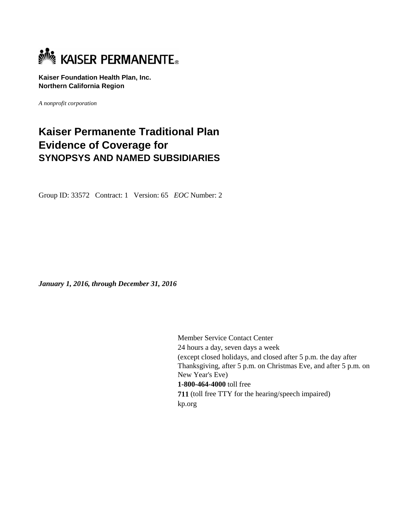

**Kaiser Foundation Health Plan, Inc. Northern California Region** 

*A nonprofit corporation*

# **Kaiser Permanente Traditional Plan Evidence of Coverage for SYNOPSYS AND NAMED SUBSIDIARIES**

Group ID: 33572 Contract: 1 Version: 65 *EOC* Number: 2

*January 1, 2016, through December 31, 2016* 

Member Service Contact Center 24 hours a day, seven days a week (except closed holidays, and closed after 5 p.m. the day after Thanksgiving, after 5 p.m. on Christmas Eve, and after 5 p.m. on New Year's Eve) **1-800-464-4000** toll free **711** (toll free TTY for the hearing/speech impaired) kp.org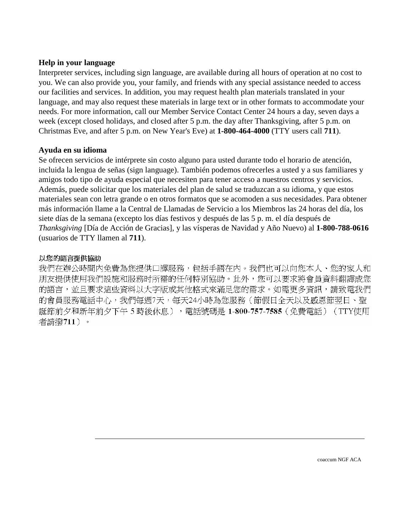# **Help in your language**

Interpreter services, including sign language, are available during all hours of operation at no cost to you. We can also provide you, your family, and friends with any special assistance needed to access our facilities and services. In addition, you may request health plan materials translated in your language, and may also request these materials in large text or in other formats to accommodate your needs. For more information, call our Member Service Contact Center 24 hours a day, seven days a week (except closed holidays, and closed after 5 p.m. the day after Thanksgiving, after 5 p.m. on Christmas Eve, and after 5 p.m. on New Year's Eve) at **1-800-464-4000** (TTY users call **711**).

# **Ayuda en su idioma**

Se ofrecen servicios de intérprete sin costo alguno para usted durante todo el horario de atención, incluida la lengua de señas (sign language). También podemos ofrecerles a usted y a sus familiares y amigos todo tipo de ayuda especial que necesiten para tener acceso a nuestros centros y servicios. Además, puede solicitar que los materiales del plan de salud se traduzcan a su idioma, y que estos materiales sean con letra grande o en otros formatos que se acomoden a sus necesidades. Para obtener más información llame a la Central de Llamadas de Servicio a los Miembros las 24 horas del día, los siete días de la semana (excepto los días festivos y después de las 5 p. m. el día después de *Thanksgiving* [Día de Acción de Gracias], y las vísperas de Navidad y Año Nuevo) al **1-800-788-0616** (usuarios de TTY llamen al **711**).

# 以您的語言提供協助

我們在辦公時間內免費為您提供口譯服務,包括手語在內。我們也可以向您本人、您的家人和 朋友提供使用我們設施和服務时所需的任何特別協助。此外,您可以要求將會員資料翻譯成您 的語言,並且要求這些資料以大字版或其他格式來滿足您的需求。如需更多資訊,請致電我們 的會員服務電話中心,我們每週7天,每天24小時為您服務(節假日全天以及感恩節翌日、聖 誕節前夕和新年前夕下午5時後休息),電話號碼是 1-800-757-7585 (免費電話) (TTY使用 者請撥711)。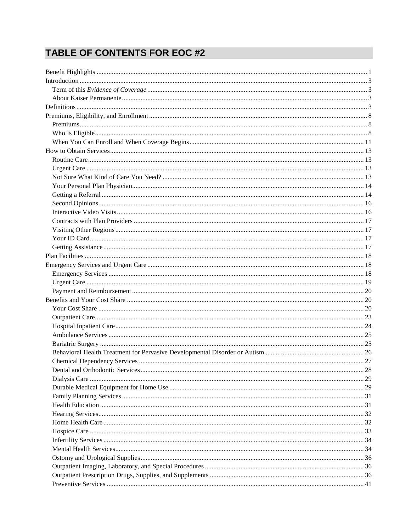# **TABLE OF CONTENTS FOR EOC #2**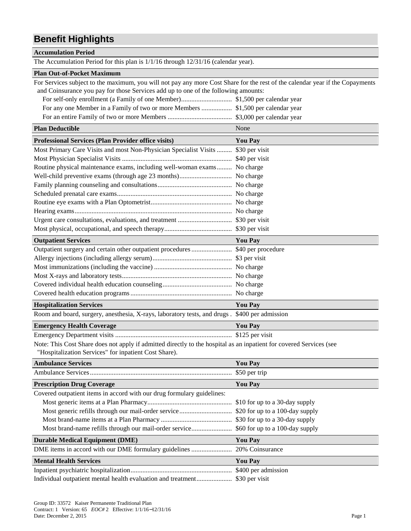# **Benefit Highlights**

#### **Accumulation Period**

The Accumulation Period for this plan is 1/1/16 through 12/31/16 (calendar year).

#### **Plan Out-of-Pocket Maximum**

For Services subject to the maximum, you will not pay any more Cost Share for the rest of the calendar year if the Copayments and Coinsurance you pay for those Services add up to one of the following amounts:

| <b>Plan Deductible</b>                                                   | None           |
|--------------------------------------------------------------------------|----------------|
| <b>Professional Services (Plan Provider office visits)</b>               | <b>You Pay</b> |
| Most Primary Care Visits and most Non-Physician Specialist Visits        | \$30 per visit |
|                                                                          |                |
| Routine physical maintenance exams, including well-woman exams No charge |                |
|                                                                          |                |
|                                                                          |                |
|                                                                          |                |
|                                                                          |                |
|                                                                          |                |
|                                                                          |                |
|                                                                          |                |
| <b>Outpatient Services</b>                                               | <b>You Pay</b> |

| <b>Hospitalization Services</b> | <b>You Pay</b> |
|---------------------------------|----------------|
|                                 |                |
|                                 |                |
|                                 |                |
|                                 |                |
|                                 |                |
|                                 |                |

Room and board, surgery, anesthesia, X-rays, laboratory tests, and drugs . \$400 per admission

# **Emergency Health Coverage You Pay**  You Pay

Emergency Department visits ..................................................................... \$125 per visit

Note: This Cost Share does not apply if admitted directly to the hospital as an inpatient for covered Services (see "Hospitalization Services" for inpatient Cost Share).

| <b>Ambulance Services</b>                                                              | <b>You Pay</b>                 |
|----------------------------------------------------------------------------------------|--------------------------------|
|                                                                                        | \$50 per trip                  |
| <b>Prescription Drug Coverage</b>                                                      | <b>You Pay</b>                 |
| Covered outpatient items in accord with our drug formulary guidelines:                 |                                |
|                                                                                        | \$10 for up to a 30-day supply |
|                                                                                        |                                |
|                                                                                        | \$30 for up to a 30-day supply |
| Most brand-name refills through our mail-order service \$60 for up to a 100-day supply |                                |
| <b>Durable Medical Equipment (DME)</b>                                                 | <b>You Pay</b>                 |
|                                                                                        | 20% Coinsurance                |
| <b>Mental Health Services</b>                                                          | <b>You Pay</b>                 |
|                                                                                        | \$400 per admission            |
|                                                                                        |                                |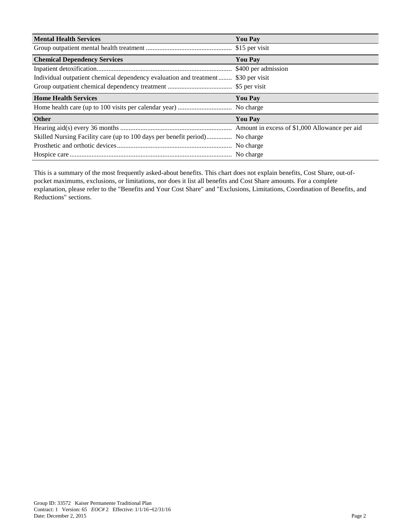| <b>Mental Health Services</b>                                                     | <b>You Pay</b> |
|-----------------------------------------------------------------------------------|----------------|
|                                                                                   |                |
| <b>Chemical Dependency Services</b>                                               | <b>You Pay</b> |
|                                                                                   |                |
| Individual outpatient chemical dependency evaluation and treatment \$30 per visit |                |
|                                                                                   |                |
| <b>Home Health Services</b>                                                       | <b>You Pay</b> |
|                                                                                   | No charge      |
| <b>Other</b>                                                                      | <b>You Pay</b> |
|                                                                                   |                |
| Skilled Nursing Facility care (up to 100 days per benefit period)                 | No charge      |
|                                                                                   | No charge      |
|                                                                                   |                |

This is a summary of the most frequently asked-about benefits. This chart does not explain benefits, Cost Share, out-ofpocket maximums, exclusions, or limitations, nor does it list all benefits and Cost Share amounts. For a complete explanation, please refer to the "Benefits and Your Cost Share" and "Exclusions, Limitations, Coordination of Benefits, and Reductions" sections.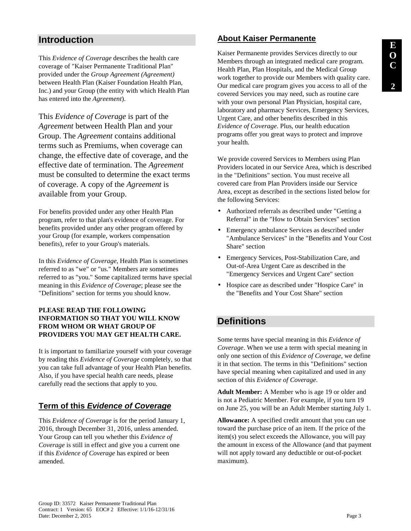# **Introduction**

This *Evidence of Coverage* describes the health care coverage of "Kaiser Permanente Traditional Plan" provided under the *Group Agreement (Agreement)* between Health Plan (Kaiser Foundation Health Plan, Inc.) and your Group (the entity with which Health Plan has entered into the *Agreement*).

This *Evidence of Coverage* is part of the *Agreement* between Health Plan and your Group. The *Agreement* contains additional terms such as Premiums, when coverage can change, the effective date of coverage, and the effective date of termination. The *Agreement* must be consulted to determine the exact terms of coverage. A copy of the *Agreement* is available from your Group.

For benefits provided under any other Health Plan program, refer to that plan's evidence of coverage. For benefits provided under any other program offered by your Group (for example, workers compensation benefits), refer to your Group's materials.

In this *Evidence of Coverage*, Health Plan is sometimes referred to as "we" or "us." Members are sometimes referred to as "you." Some capitalized terms have special meaning in this *Evidence of Coverage*; please see the "Definitions" section for terms you should know.

#### **PLEASE READ THE FOLLOWING INFORMATION SO THAT YOU WILL KNOW FROM WHOM OR WHAT GROUP OF PROVIDERS YOU MAY GET HEALTH CARE.**

It is important to familiarize yourself with your coverage by reading this *Evidence of Coverage* completely, so that you can take full advantage of your Health Plan benefits. Also, if you have special health care needs, please carefully read the sections that apply to you.

# **Term of this Evidence of Coverage**

This *Evidence of Coverage* is for the period January 1, 2016, through December 31, 2016, unless amended. Your Group can tell you whether this *Evidence of Coverage* is still in effect and give you a current one if this *Evidence of Coverage* has expired or been amended.

# **About Kaiser Permanente**

Kaiser Permanente provides Services directly to our Members through an integrated medical care program. Health Plan, Plan Hospitals, and the Medical Group work together to provide our Members with quality care. Our medical care program gives you access to all of the covered Services you may need, such as routine care with your own personal Plan Physician, hospital care, laboratory and pharmacy Services, Emergency Services, Urgent Care, and other benefits described in this *Evidence of Coverage*. Plus, our health education programs offer you great ways to protect and improve your health.

We provide covered Services to Members using Plan Providers located in our Service Area, which is described in the "Definitions" section. You must receive all covered care from Plan Providers inside our Service Area, except as described in the sections listed below for the following Services:

- Authorized referrals as described under "Getting a Referral" in the "How to Obtain Services" section
- Emergency ambulance Services as described under "Ambulance Services" in the "Benefits and Your Cost Share" section
- Emergency Services, Post-Stabilization Care, and Out-of-Area Urgent Care as described in the "Emergency Services and Urgent Care" section
- Hospice care as described under "Hospice Care" in the "Benefits and Your Cost Share" section

# **Definitions**

Some terms have special meaning in this *Evidence of Coverage*. When we use a term with special meaning in only one section of this *Evidence of Coverage*, we define it in that section. The terms in this "Definitions" section have special meaning when capitalized and used in any section of this *Evidence of Coverage*.

**Adult Member:** A Member who is age 19 or older and is not a Pediatric Member. For example, if you turn 19 on June 25, you will be an Adult Member starting July 1.

**Allowance:** A specified credit amount that you can use toward the purchase price of an item. If the price of the item(s) you select exceeds the Allowance, you will pay the amount in excess of the Allowance (and that payment will not apply toward any deductible or out-of-pocket maximum).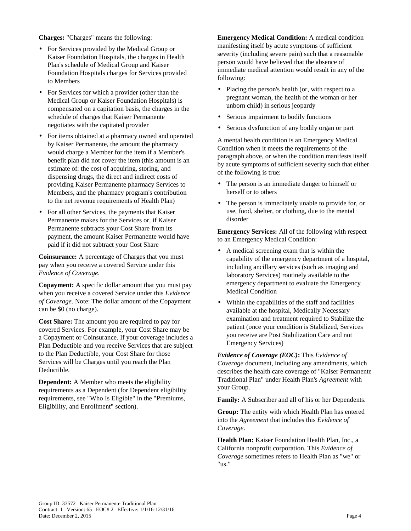**Charges:** "Charges" means the following:

- For Services provided by the Medical Group or Kaiser Foundation Hospitals, the charges in Health Plan's schedule of Medical Group and Kaiser Foundation Hospitals charges for Services provided to Members
- For Services for which a provider (other than the Medical Group or Kaiser Foundation Hospitals) is compensated on a capitation basis, the charges in the schedule of charges that Kaiser Permanente negotiates with the capitated provider
- For items obtained at a pharmacy owned and operated by Kaiser Permanente, the amount the pharmacy would charge a Member for the item if a Member's benefit plan did not cover the item (this amount is an estimate of: the cost of acquiring, storing, and dispensing drugs, the direct and indirect costs of providing Kaiser Permanente pharmacy Services to Members, and the pharmacy program's contribution to the net revenue requirements of Health Plan)
- For all other Services, the payments that Kaiser Permanente makes for the Services or, if Kaiser Permanente subtracts your Cost Share from its payment, the amount Kaiser Permanente would have paid if it did not subtract your Cost Share

**Coinsurance:** A percentage of Charges that you must pay when you receive a covered Service under this *Evidence of Coverage*.

**Copayment:** A specific dollar amount that you must pay when you receive a covered Service under this *Evidence of Coverage*. Note: The dollar amount of the Copayment can be \$0 (no charge).

**Cost Share:** The amount you are required to pay for covered Services. For example, your Cost Share may be a Copayment or Coinsurance. If your coverage includes a Plan Deductible and you receive Services that are subject to the Plan Deductible, your Cost Share for those Services will be Charges until you reach the Plan Deductible.

**Dependent:** A Member who meets the eligibility requirements as a Dependent (for Dependent eligibility requirements, see "Who Is Eligible" in the "Premiums, Eligibility, and Enrollment" section).

**Emergency Medical Condition:** A medical condition manifesting itself by acute symptoms of sufficient severity (including severe pain) such that a reasonable person would have believed that the absence of immediate medical attention would result in any of the following:

- Placing the person's health (or, with respect to a pregnant woman, the health of the woman or her unborn child) in serious jeopardy
- Serious impairment to bodily functions
- Serious dysfunction of any bodily organ or part

A mental health condition is an Emergency Medical Condition when it meets the requirements of the paragraph above, or when the condition manifests itself by acute symptoms of sufficient severity such that either of the following is true:

- The person is an immediate danger to himself or herself or to others
- The person is immediately unable to provide for, or use, food, shelter, or clothing, due to the mental disorder

**Emergency Services:** All of the following with respect to an Emergency Medical Condition:

- A medical screening exam that is within the capability of the emergency department of a hospital, including ancillary services (such as imaging and laboratory Services) routinely available to the emergency department to evaluate the Emergency Medical Condition
- Within the capabilities of the staff and facilities available at the hospital, Medically Necessary examination and treatment required to Stabilize the patient (once your condition is Stabilized, Services you receive are Post Stabilization Care and not Emergency Services)

*Evidence of Coverage (EOC)***:** This *Evidence of Coverage* document, including any amendments, which describes the health care coverage of "Kaiser Permanente Traditional Plan" under Health Plan's *Agreement* with your Group.

**Family:** A Subscriber and all of his or her Dependents.

**Group:** The entity with which Health Plan has entered into the *Agreement* that includes this *Evidence of Coverage*.

**Health Plan:** Kaiser Foundation Health Plan, Inc., a California nonprofit corporation. This *Evidence of Coverage* sometimes refers to Health Plan as "we" or "us."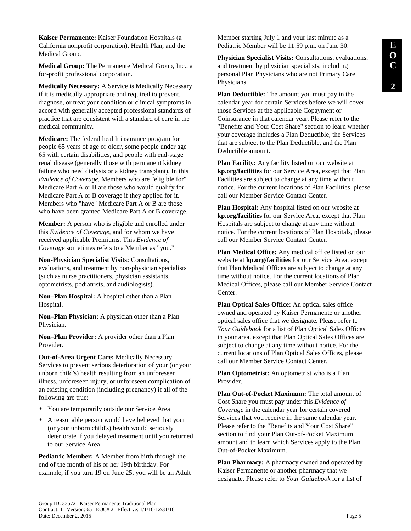**Kaiser Permanente:** Kaiser Foundation Hospitals (a California nonprofit corporation), Health Plan, and the Medical Group.

**Medical Group:** The Permanente Medical Group, Inc., a for-profit professional corporation.

**Medically Necessary:** A Service is Medically Necessary if it is medically appropriate and required to prevent, diagnose, or treat your condition or clinical symptoms in accord with generally accepted professional standards of practice that are consistent with a standard of care in the medical community.

**Medicare:** The federal health insurance program for people 65 years of age or older, some people under age 65 with certain disabilities, and people with end-stage renal disease (generally those with permanent kidney failure who need dialysis or a kidney transplant). In this *Evidence of Coverage*, Members who are "eligible for" Medicare Part A or B are those who would qualify for Medicare Part A or B coverage if they applied for it. Members who "have" Medicare Part A or B are those who have been granted Medicare Part A or B coverage.

**Member:** A person who is eligible and enrolled under this *Evidence of Coverage*, and for whom we have received applicable Premiums. This *Evidence of Coverage* sometimes refers to a Member as "you."

**Non-Physician Specialist Visits:** Consultations, evaluations, and treatment by non-physician specialists (such as nurse practitioners, physician assistants, optometrists, podiatrists, and audiologists).

**Non–Plan Hospital:** A hospital other than a Plan Hospital.

**Non–Plan Physician:** A physician other than a Plan Physician.

**Non–Plan Provider:** A provider other than a Plan Provider.

**Out-of-Area Urgent Care:** Medically Necessary Services to prevent serious deterioration of your (or your unborn child's) health resulting from an unforeseen illness, unforeseen injury, or unforeseen complication of an existing condition (including pregnancy) if all of the following are true:

- You are temporarily outside our Service Area
- A reasonable person would have believed that your (or your unborn child's) health would seriously deteriorate if you delayed treatment until you returned to our Service Area

**Pediatric Member:** A Member from birth through the end of the month of his or her 19th birthday. For example, if you turn 19 on June 25, you will be an Adult Member starting July 1 and your last minute as a Pediatric Member will be 11:59 p.m. on June 30.

**Physician Specialist Visits:** Consultations, evaluations, and treatment by physician specialists, including personal Plan Physicians who are not Primary Care Physicians.

**Plan Deductible:** The amount you must pay in the calendar year for certain Services before we will cover those Services at the applicable Copayment or Coinsurance in that calendar year. Please refer to the "Benefits and Your Cost Share" section to learn whether your coverage includes a Plan Deductible, the Services that are subject to the Plan Deductible, and the Plan Deductible amount.

**Plan Facility:** Any facility listed on our website at **kp.org/facilities** for our Service Area, except that Plan Facilities are subject to change at any time without notice. For the current locations of Plan Facilities, please call our Member Service Contact Center.

**Plan Hospital:** Any hospital listed on our website at **kp.org/facilities** for our Service Area, except that Plan Hospitals are subject to change at any time without notice. For the current locations of Plan Hospitals, please call our Member Service Contact Center.

**Plan Medical Office:** Any medical office listed on our website at **kp.org/facilities** for our Service Area, except that Plan Medical Offices are subject to change at any time without notice. For the current locations of Plan Medical Offices, please call our Member Service Contact Center.

**Plan Optical Sales Office:** An optical sales office owned and operated by Kaiser Permanente or another optical sales office that we designate. Please refer to *Your Guidebook* for a list of Plan Optical Sales Offices in your area, except that Plan Optical Sales Offices are subject to change at any time without notice. For the current locations of Plan Optical Sales Offices, please call our Member Service Contact Center.

**Plan Optometrist:** An optometrist who is a Plan Provider.

**Plan Out-of-Pocket Maximum:** The total amount of Cost Share you must pay under this *Evidence of Coverage* in the calendar year for certain covered Services that you receive in the same calendar year. Please refer to the "Benefits and Your Cost Share" section to find your Plan Out-of-Pocket Maximum amount and to learn which Services apply to the Plan Out-of-Pocket Maximum.

**Plan Pharmacy:** A pharmacy owned and operated by Kaiser Permanente or another pharmacy that we designate. Please refer to *Your Guidebook* for a list of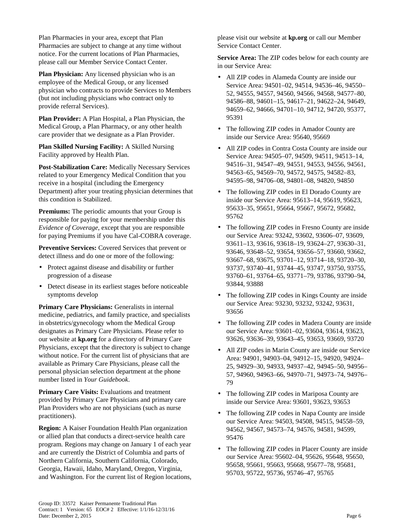Plan Pharmacies in your area, except that Plan Pharmacies are subject to change at any time without notice. For the current locations of Plan Pharmacies, please call our Member Service Contact Center.

**Plan Physician:** Any licensed physician who is an employee of the Medical Group, or any licensed physician who contracts to provide Services to Members (but not including physicians who contract only to provide referral Services).

**Plan Provider:** A Plan Hospital, a Plan Physician, the Medical Group, a Plan Pharmacy, or any other health care provider that we designate as a Plan Provider.

**Plan Skilled Nursing Facility:** A Skilled Nursing Facility approved by Health Plan.

**Post-Stabilization Care:** Medically Necessary Services related to your Emergency Medical Condition that you receive in a hospital (including the Emergency Department) after your treating physician determines that this condition is Stabilized.

**Premiums:** The periodic amounts that your Group is responsible for paying for your membership under this *Evidence of Coverage*, except that you are responsible for paying Premiums if you have Cal-COBRA coverage.

**Preventive Services:** Covered Services that prevent or detect illness and do one or more of the following:

- Protect against disease and disability or further progression of a disease
- Detect disease in its earliest stages before noticeable symptoms develop

**Primary Care Physicians:** Generalists in internal medicine, pediatrics, and family practice, and specialists in obstetrics/gynecology whom the Medical Group designates as Primary Care Physicians. Please refer to our website at **kp.org** for a directory of Primary Care Physicians, except that the directory is subject to change without notice. For the current list of physicians that are available as Primary Care Physicians, please call the personal physician selection department at the phone number listed in *Your Guidebook*.

**Primary Care Visits:** Evaluations and treatment provided by Primary Care Physicians and primary care Plan Providers who are not physicians (such as nurse practitioners).

**Region:** A Kaiser Foundation Health Plan organization or allied plan that conducts a direct-service health care program. Regions may change on January 1 of each year and are currently the District of Columbia and parts of Northern California, Southern California, Colorado, Georgia, Hawaii, Idaho, Maryland, Oregon, Virginia, and Washington. For the current list of Region locations, please visit our website at **kp.org** or call our Member Service Contact Center.

**Service Area:** The ZIP codes below for each county are in our Service Area:

- All ZIP codes in Alameda County are inside our Service Area: 94501–02, 94514, 94536–46, 94550– 52, 94555, 94557, 94560, 94566, 94568, 94577–80, 94586–88, 94601–15, 94617–21, 94622–24, 94649, 94659–62, 94666, 94701–10, 94712, 94720, 95377, 95391
- The following ZIP codes in Amador County are inside our Service Area: 95640, 95669
- All ZIP codes in Contra Costa County are inside our Service Area: 94505–07, 94509, 94511, 94513–14, 94516–31, 94547–49, 94551, 94553, 94556, 94561, 94563–65, 94569–70, 94572, 94575, 94582–83, 94595–98, 94706–08, 94801–08, 94820, 94850
- The following ZIP codes in El Dorado County are inside our Service Area: 95613–14, 95619, 95623, 95633–35, 95651, 95664, 95667, 95672, 95682, 95762
- The following ZIP codes in Fresno County are inside our Service Area: 93242, 93602, 93606–07, 93609, 93611–13, 93616, 93618–19, 93624–27, 93630–31, 93646, 93648–52, 93654, 93656–57, 93660, 93662, 93667–68, 93675, 93701–12, 93714–18, 93720–30, 93737, 93740–41, 93744–45, 93747, 93750, 93755, 93760–61, 93764–65, 93771–79, 93786, 93790–94, 93844, 93888
- The following ZIP codes in Kings County are inside our Service Area: 93230, 93232, 93242, 93631, 93656
- The following ZIP codes in Madera County are inside our Service Area: 93601–02, 93604, 93614, 93623, 93626, 93636–39, 93643–45, 93653, 93669, 93720
- All ZIP codes in Marin County are inside our Service Area: 94901, 94903–04, 94912–15, 94920, 94924– 25, 94929–30, 94933, 94937–42, 94945–50, 94956– 57, 94960, 94963–66, 94970–71, 94973–74, 94976– 79
- The following ZIP codes in Mariposa County are inside our Service Area: 93601, 93623, 93653
- The following ZIP codes in Napa County are inside our Service Area: 94503, 94508, 94515, 94558–59, 94562, 94567, 94573–74, 94576, 94581, 94599, 95476
- The following ZIP codes in Placer County are inside our Service Area: 95602–04, 95626, 95648, 95650, 95658, 95661, 95663, 95668, 95677–78, 95681, 95703, 95722, 95736, 95746–47, 95765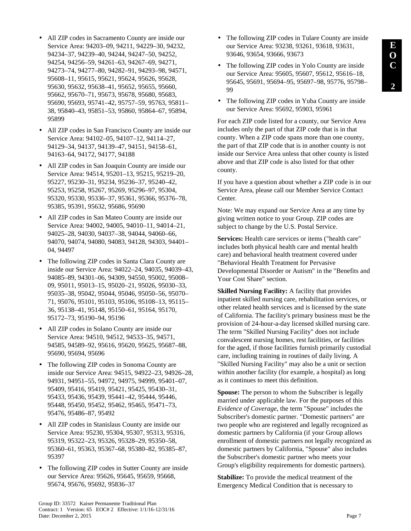- All ZIP codes in Sacramento County are inside our Service Area: 94203–09, 94211, 94229–30, 94232, 94234–37, 94239–40, 94244, 94247–50, 94252, 94254, 94256–59, 94261–63, 94267–69, 94271, 94273–74, 94277–80, 94282–91, 94293–98, 94571, 95608–11, 95615, 95621, 95624, 95626, 95628, 95630, 95632, 95638–41, 95652, 95655, 95660, 95662, 95670–71, 95673, 95678, 95680, 95683, 95690, 95693, 95741–42, 95757–59, 95763, 95811– 38, 95840–43, 95851–53, 95860, 95864–67, 95894, 95899
- All ZIP codes in San Francisco County are inside our Service Area: 94102–05, 94107–12, 94114–27, 94129–34, 94137, 94139–47, 94151, 94158–61, 94163–64, 94172, 94177, 94188
- All ZIP codes in San Joaquin County are inside our Service Area: 94514, 95201–13, 95215, 95219–20, 95227, 95230–31, 95234, 95236–37, 95240–42, 95253, 95258, 95267, 95269, 95296–97, 95304, 95320, 95330, 95336–37, 95361, 95366, 95376–78, 95385, 95391, 95632, 95686, 95690
- All ZIP codes in San Mateo County are inside our Service Area: 94002, 94005, 94010–11, 94014–21, 94025–28, 94030, 94037–38, 94044, 94060–66, 94070, 94074, 94080, 94083, 94128, 94303, 94401– 04, 94497
- The following ZIP codes in Santa Clara County are inside our Service Area: 94022–24, 94035, 94039–43, 94085–89, 94301–06, 94309, 94550, 95002, 95008– 09, 95011, 95013–15, 95020–21, 95026, 95030–33, 95035–38, 95042, 95044, 95046, 95050–56, 95070– 71, 95076, 95101, 95103, 95106, 95108–13, 95115– 36, 95138–41, 95148, 95150–61, 95164, 95170, 95172–73, 95190–94, 95196
- All ZIP codes in Solano County are inside our Service Area: 94510, 94512, 94533–35, 94571, 94585, 94589–92, 95616, 95620, 95625, 95687–88, 95690, 95694, 95696
- The following ZIP codes in Sonoma County are inside our Service Area: 94515, 94922–23, 94926–28, 94931, 94951–55, 94972, 94975, 94999, 95401–07, 95409, 95416, 95419, 95421, 95425, 95430–31, 95433, 95436, 95439, 95441–42, 95444, 95446, 95448, 95450, 95452, 95462, 95465, 95471–73, 95476, 95486–87, 95492
- All ZIP codes in Stanislaus County are inside our Service Area: 95230, 95304, 95307, 95313, 95316, 95319, 95322–23, 95326, 95328–29, 95350–58, 95360–61, 95363, 95367–68, 95380–82, 95385–87, 95397
- The following ZIP codes in Sutter County are inside our Service Area: 95626, 95645, 95659, 95668, 95674, 95676, 95692, 95836–37
- The following ZIP codes in Tulare County are inside our Service Area: 93238, 93261, 93618, 93631, 93646, 93654, 93666, 93673
- The following ZIP codes in Yolo County are inside our Service Area: 95605, 95607, 95612, 95616–18, 95645, 95691, 95694–95, 95697–98, 95776, 95798– 99
- The following ZIP codes in Yuba County are inside our Service Area: 95692, 95903, 95961

For each ZIP code listed for a county, our Service Area includes only the part of that ZIP code that is in that county. When a ZIP code spans more than one county, the part of that ZIP code that is in another county is not inside our Service Area unless that other county is listed above and that ZIP code is also listed for that other county.

If you have a question about whether a ZIP code is in our Service Area, please call our Member Service Contact Center.

Note: We may expand our Service Area at any time by giving written notice to your Group. ZIP codes are subject to change by the U.S. Postal Service.

**Services:** Health care services or items ("health care" includes both physical health care and mental health care) and behavioral health treatment covered under "Behavioral Health Treatment for Pervasive Developmental Disorder or Autism" in the "Benefits and Your Cost Share" section.

**Skilled Nursing Facility:** A facility that provides inpatient skilled nursing care, rehabilitation services, or other related health services and is licensed by the state of California. The facility's primary business must be the provision of 24-hour-a-day licensed skilled nursing care. The term "Skilled Nursing Facility" does not include convalescent nursing homes, rest facilities, or facilities for the aged, if those facilities furnish primarily custodial care, including training in routines of daily living. A "Skilled Nursing Facility" may also be a unit or section within another facility (for example, a hospital) as long as it continues to meet this definition.

**Spouse:** The person to whom the Subscriber is legally married under applicable law. For the purposes of this *Evidence of Coverage*, the term "Spouse" includes the Subscriber's domestic partner. "Domestic partners" are two people who are registered and legally recognized as domestic partners by California (if your Group allows enrollment of domestic partners not legally recognized as domestic partners by California, "Spouse" also includes the Subscriber's domestic partner who meets your Group's eligibility requirements for domestic partners).

**Stabilize:** To provide the medical treatment of the Emergency Medical Condition that is necessary to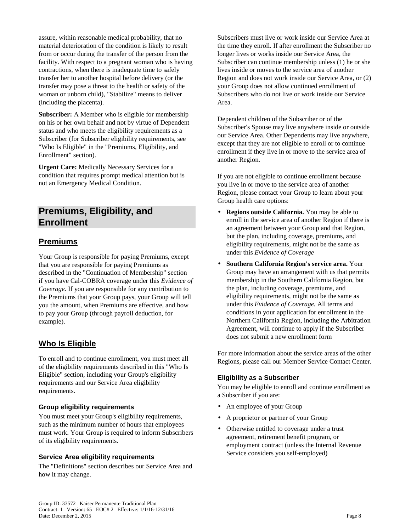assure, within reasonable medical probability, that no material deterioration of the condition is likely to result from or occur during the transfer of the person from the facility. With respect to a pregnant woman who is having contractions, when there is inadequate time to safely transfer her to another hospital before delivery (or the transfer may pose a threat to the health or safety of the woman or unborn child), "Stabilize" means to deliver (including the placenta).

**Subscriber:** A Member who is eligible for membership on his or her own behalf and not by virtue of Dependent status and who meets the eligibility requirements as a Subscriber (for Subscriber eligibility requirements, see "Who Is Eligible" in the "Premiums, Eligibility, and Enrollment" section).

**Urgent Care:** Medically Necessary Services for a condition that requires prompt medical attention but is not an Emergency Medical Condition.

# **Premiums, Eligibility, and Enrollment**

# **Premiums**

Your Group is responsible for paying Premiums, except that you are responsible for paying Premiums as described in the "Continuation of Membership" section if you have Cal-COBRA coverage under this *Evidence of Coverage*. If you are responsible for any contribution to the Premiums that your Group pays, your Group will tell you the amount, when Premiums are effective, and how to pay your Group (through payroll deduction, for example).

# **Who Is Eligible**

To enroll and to continue enrollment, you must meet all of the eligibility requirements described in this "Who Is Eligible" section, including your Group's eligibility requirements and our Service Area eligibility requirements.

#### **Group eligibility requirements**

You must meet your Group's eligibility requirements, such as the minimum number of hours that employees must work. Your Group is required to inform Subscribers of its eligibility requirements.

#### **Service Area eligibility requirements**

The "Definitions" section describes our Service Area and how it may change.

Subscribers must live or work inside our Service Area at the time they enroll. If after enrollment the Subscriber no longer lives or works inside our Service Area, the Subscriber can continue membership unless (1) he or she lives inside or moves to the service area of another Region and does not work inside our Service Area, or (2) your Group does not allow continued enrollment of Subscribers who do not live or work inside our Service Area.

Dependent children of the Subscriber or of the Subscriber's Spouse may live anywhere inside or outside our Service Area. Other Dependents may live anywhere, except that they are not eligible to enroll or to continue enrollment if they live in or move to the service area of another Region.

If you are not eligible to continue enrollment because you live in or move to the service area of another Region, please contact your Group to learn about your Group health care options:

- **Regions outside California.** You may be able to enroll in the service area of another Region if there is an agreement between your Group and that Region, but the plan, including coverage, premiums, and eligibility requirements, might not be the same as under this *Evidence of Coverage*
- **Southern California Region's service area.** Your Group may have an arrangement with us that permits membership in the Southern California Region, but the plan, including coverage, premiums, and eligibility requirements, might not be the same as under this *Evidence of Coverage.* All terms and conditions in your application for enrollment in the Northern California Region, including the Arbitration Agreement, will continue to apply if the Subscriber does not submit a new enrollment form

For more information about the service areas of the other Regions, please call our Member Service Contact Center.

#### **Eligibility as a Subscriber**

You may be eligible to enroll and continue enrollment as a Subscriber if you are:

- An employee of your Group
- A proprietor or partner of your Group
- Otherwise entitled to coverage under a trust agreement, retirement benefit program, or employment contract (unless the Internal Revenue Service considers you self-employed)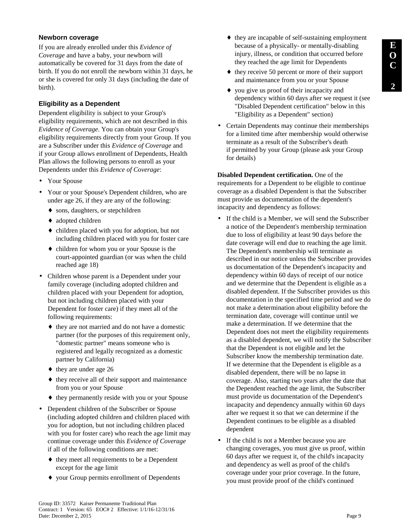# **Newborn coverage**

If you are already enrolled under this *Evidence of Coverage* and have a baby, your newborn will automatically be covered for 31 days from the date of birth. If you do not enroll the newborn within 31 days, he or she is covered for only 31 days (including the date of birth).

# **Eligibility as a Dependent**

Dependent eligibility is subject to your Group's eligibility requirements, which are not described in this *Evidence of Coverage*. You can obtain your Group's eligibility requirements directly from your Group. If you are a Subscriber under this *Evidence of Coverage* and if your Group allows enrollment of Dependents, Health Plan allows the following persons to enroll as your Dependents under this *Evidence of Coverage*:

- Your Spouse
- Your or your Spouse's Dependent children, who are under age 26, if they are any of the following:
	- ♦ sons, daughters, or stepchildren
	- ♦ adopted children
	- ♦ children placed with you for adoption, but not including children placed with you for foster care
	- ♦ children for whom you or your Spouse is the court-appointed guardian (or was when the child reached age 18)
- Children whose parent is a Dependent under your family coverage (including adopted children and children placed with your Dependent for adoption, but not including children placed with your Dependent for foster care) if they meet all of the following requirements:
	- ♦ they are not married and do not have a domestic partner (for the purposes of this requirement only, "domestic partner" means someone who is registered and legally recognized as a domestic partner by California)
	- $\leftrightarrow$  they are under age 26
	- ♦ they receive all of their support and maintenance from you or your Spouse
	- ♦ they permanently reside with you or your Spouse
- Dependent children of the Subscriber or Spouse (including adopted children and children placed with you for adoption, but not including children placed with you for foster care) who reach the age limit may continue coverage under this *Evidence of Coverage* if all of the following conditions are met:
	- ♦ they meet all requirements to be a Dependent except for the age limit
	- ♦ your Group permits enrollment of Dependents
- ♦ they are incapable of self-sustaining employment because of a physically- or mentally-disabling injury, illness, or condition that occurred before they reached the age limit for Dependents
- ♦ they receive 50 percent or more of their support and maintenance from you or your Spouse
- ♦ you give us proof of their incapacity and dependency within 60 days after we request it (see "Disabled Dependent certification" below in this "Eligibility as a Dependent" section)
- Certain Dependents may continue their memberships for a limited time after membership would otherwise terminate as a result of the Subscriber's death if permitted by your Group (please ask your Group for details)

**Disabled Dependent certification.** One of the requirements for a Dependent to be eligible to continue coverage as a disabled Dependent is that the Subscriber must provide us documentation of the dependent's incapacity and dependency as follows:

- If the child is a Member, we will send the Subscriber a notice of the Dependent's membership termination due to loss of eligibility at least 90 days before the date coverage will end due to reaching the age limit. The Dependent's membership will terminate as described in our notice unless the Subscriber provides us documentation of the Dependent's incapacity and dependency within 60 days of receipt of our notice and we determine that the Dependent is eligible as a disabled dependent. If the Subscriber provides us this documentation in the specified time period and we do not make a determination about eligibility before the termination date, coverage will continue until we make a determination. If we determine that the Dependent does not meet the eligibility requirements as a disabled dependent, we will notify the Subscriber that the Dependent is not eligible and let the Subscriber know the membership termination date. If we determine that the Dependent is eligible as a disabled dependent, there will be no lapse in coverage. Also, starting two years after the date that the Dependent reached the age limit, the Subscriber must provide us documentation of the Dependent's incapacity and dependency annually within 60 days after we request it so that we can determine if the Dependent continues to be eligible as a disabled dependent
- If the child is not a Member because you are changing coverages, you must give us proof, within 60 days after we request it, of the child's incapacity and dependency as well as proof of the child's coverage under your prior coverage. In the future, you must provide proof of the child's continued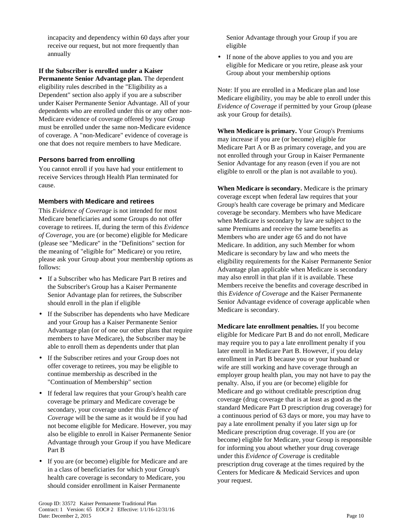incapacity and dependency within 60 days after your receive our request, but not more frequently than annually

**If the Subscriber is enrolled under a Kaiser Permanente Senior Advantage plan.** The dependent eligibility rules described in the "Eligibility as a Dependent" section also apply if you are a subscriber under Kaiser Permanente Senior Advantage. All of your dependents who are enrolled under this or any other non-Medicare evidence of coverage offered by your Group must be enrolled under the same non-Medicare evidence of coverage. A "non-Medicare" evidence of coverage is one that does not require members to have Medicare.

# **Persons barred from enrolling**

You cannot enroll if you have had your entitlement to receive Services through Health Plan terminated for cause.

## **Members with Medicare and retirees**

This *Evidence of Coverage* is not intended for most Medicare beneficiaries and some Groups do not offer coverage to retirees. If, during the term of this *Evidence of Coverage*, you are (or become) eligible for Medicare (please see "Medicare" in the "Definitions" section for the meaning of "eligible for" Medicare) or you retire, please ask your Group about your membership options as follows:

- If a Subscriber who has Medicare Part B retires and the Subscriber's Group has a Kaiser Permanente Senior Advantage plan for retirees, the Subscriber should enroll in the plan if eligible
- If the Subscriber has dependents who have Medicare and your Group has a Kaiser Permanente Senior Advantage plan (or of one our other plans that require members to have Medicare), the Subscriber may be able to enroll them as dependents under that plan
- If the Subscriber retires and your Group does not offer coverage to retirees, you may be eligible to continue membership as described in the "Continuation of Membership" section
- If federal law requires that your Group's health care coverage be primary and Medicare coverage be secondary, your coverage under this *Evidence of Coverage* will be the same as it would be if you had not become eligible for Medicare. However, you may also be eligible to enroll in Kaiser Permanente Senior Advantage through your Group if you have Medicare Part B
- If you are (or become) eligible for Medicare and are in a class of beneficiaries for which your Group's health care coverage is secondary to Medicare, you should consider enrollment in Kaiser Permanente

Senior Advantage through your Group if you are eligible

• If none of the above applies to you and you are eligible for Medicare or you retire, please ask your Group about your membership options

Note: If you are enrolled in a Medicare plan and lose Medicare eligibility, you may be able to enroll under this *Evidence of Coverage* if permitted by your Group (please ask your Group for details).

**When Medicare is primary.** Your Group's Premiums may increase if you are (or become) eligible for Medicare Part A or B as primary coverage, and you are not enrolled through your Group in Kaiser Permanente Senior Advantage for any reason (even if you are not eligible to enroll or the plan is not available to you).

**When Medicare is secondary.** Medicare is the primary coverage except when federal law requires that your Group's health care coverage be primary and Medicare coverage be secondary. Members who have Medicare when Medicare is secondary by law are subject to the same Premiums and receive the same benefits as Members who are under age 65 and do not have Medicare. In addition, any such Member for whom Medicare is secondary by law and who meets the eligibility requirements for the Kaiser Permanente Senior Advantage plan applicable when Medicare is secondary may also enroll in that plan if it is available. These Members receive the benefits and coverage described in this *Evidence of Coverage* and the Kaiser Permanente Senior Advantage evidence of coverage applicable when Medicare is secondary.

**Medicare late enrollment penalties.** If you become eligible for Medicare Part B and do not enroll, Medicare may require you to pay a late enrollment penalty if you later enroll in Medicare Part B. However, if you delay enrollment in Part B because you or your husband or wife are still working and have coverage through an employer group health plan, you may not have to pay the penalty. Also, if you are (or become) eligible for Medicare and go without creditable prescription drug coverage (drug coverage that is at least as good as the standard Medicare Part D prescription drug coverage) for a continuous period of 63 days or more, you may have to pay a late enrollment penalty if you later sign up for Medicare prescription drug coverage. If you are (or become) eligible for Medicare, your Group is responsible for informing you about whether your drug coverage under this *Evidence of Coverage* is creditable prescription drug coverage at the times required by the Centers for Medicare & Medicaid Services and upon your request.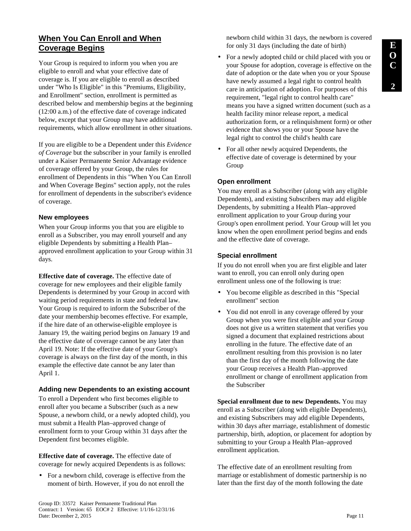# **When You Can Enroll and When Coverage Begins**

Your Group is required to inform you when you are eligible to enroll and what your effective date of coverage is. If you are eligible to enroll as described under "Who Is Eligible" in this "Premiums, Eligibility, and Enrollment" section, enrollment is permitted as described below and membership begins at the beginning (12:00 a.m.) of the effective date of coverage indicated below, except that your Group may have additional requirements, which allow enrollment in other situations.

If you are eligible to be a Dependent under this *Evidence of Coverage* but the subscriber in your family is enrolled under a Kaiser Permanente Senior Advantage evidence of coverage offered by your Group, the rules for enrollment of Dependents in this "When You Can Enroll and When Coverage Begins" section apply, not the rules for enrollment of dependents in the subscriber's evidence of coverage.

#### **New employees**

When your Group informs you that you are eligible to enroll as a Subscriber, you may enroll yourself and any eligible Dependents by submitting a Health Plan– approved enrollment application to your Group within 31 days.

**Effective date of coverage.** The effective date of coverage for new employees and their eligible family Dependents is determined by your Group in accord with waiting period requirements in state and federal law. Your Group is required to inform the Subscriber of the date your membership becomes effective. For example, if the hire date of an otherwise-eligible employee is January 19, the waiting period begins on January 19 and the effective date of coverage cannot be any later than April 19. Note: If the effective date of your Group's coverage is always on the first day of the month, in this example the effective date cannot be any later than April 1.

## **Adding new Dependents to an existing account**

To enroll a Dependent who first becomes eligible to enroll after you became a Subscriber (such as a new Spouse, a newborn child, or a newly adopted child), you must submit a Health Plan–approved change of enrollment form to your Group within 31 days after the Dependent first becomes eligible.

**Effective date of coverage.** The effective date of coverage for newly acquired Dependents is as follows:

• For a newborn child, coverage is effective from the moment of birth. However, if you do not enroll the

newborn child within 31 days, the newborn is covered for only 31 days (including the date of birth)

- For a newly adopted child or child placed with you or your Spouse for adoption, coverage is effective on the date of adoption or the date when you or your Spouse have newly assumed a legal right to control health care in anticipation of adoption. For purposes of this requirement, "legal right to control health care" means you have a signed written document (such as a health facility minor release report, a medical authorization form, or a relinquishment form) or other evidence that shows you or your Spouse have the legal right to control the child's health care
- For all other newly acquired Dependents, the effective date of coverage is determined by your Group

# **Open enrollment**

You may enroll as a Subscriber (along with any eligible Dependents), and existing Subscribers may add eligible Dependents, by submitting a Health Plan–approved enrollment application to your Group during your Group's open enrollment period. Your Group will let you know when the open enrollment period begins and ends and the effective date of coverage.

## **Special enrollment**

If you do not enroll when you are first eligible and later want to enroll, you can enroll only during open enrollment unless one of the following is true:

- You become eligible as described in this "Special enrollment" section
- You did not enroll in any coverage offered by your Group when you were first eligible and your Group does not give us a written statement that verifies you signed a document that explained restrictions about enrolling in the future. The effective date of an enrollment resulting from this provision is no later than the first day of the month following the date your Group receives a Health Plan–approved enrollment or change of enrollment application from the Subscriber

**Special enrollment due to new Dependents.** You may enroll as a Subscriber (along with eligible Dependents), and existing Subscribers may add eligible Dependents, within 30 days after marriage, establishment of domestic partnership, birth, adoption, or placement for adoption by submitting to your Group a Health Plan–approved enrollment application.

The effective date of an enrollment resulting from marriage or establishment of domestic partnership is no later than the first day of the month following the date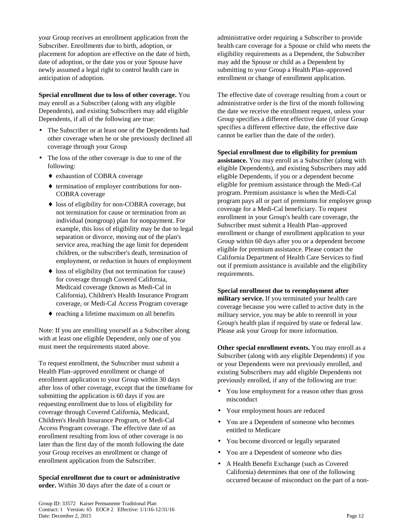your Group receives an enrollment application from the Subscriber. Enrollments due to birth, adoption, or placement for adoption are effective on the date of birth, date of adoption, or the date you or your Spouse have newly assumed a legal right to control health care in anticipation of adoption.

**Special enrollment due to loss of other coverage.** You may enroll as a Subscriber (along with any eligible Dependents), and existing Subscribers may add eligible Dependents, if all of the following are true:

- The Subscriber or at least one of the Dependents had other coverage when he or she previously declined all coverage through your Group
- The loss of the other coverage is due to one of the following:
	- ♦ exhaustion of COBRA coverage
	- ♦ termination of employer contributions for non-COBRA coverage
	- loss of eligibility for non-COBRA coverage, but not termination for cause or termination from an individual (nongroup) plan for nonpayment. For example, this loss of eligibility may be due to legal separation or divorce, moving out of the plan's service area, reaching the age limit for dependent children, or the subscriber's death, termination of employment, or reduction in hours of employment
	- ♦ loss of eligibility (but not termination for cause) for coverage through Covered California, Medicaid coverage (known as Medi-Cal in California), Children's Health Insurance Program coverage, or Medi-Cal Access Program coverage
	- ♦ reaching a lifetime maximum on all benefits

Note: If you are enrolling yourself as a Subscriber along with at least one eligible Dependent, only one of you must meet the requirements stated above.

To request enrollment, the Subscriber must submit a Health Plan–approved enrollment or change of enrollment application to your Group within 30 days after loss of other coverage, except that the timeframe for submitting the application is 60 days if you are requesting enrollment due to loss of eligibility for coverage through Covered California, Medicaid, Children's Health Insurance Program, or Medi-Cal Access Program coverage. The effective date of an enrollment resulting from loss of other coverage is no later than the first day of the month following the date your Group receives an enrollment or change of enrollment application from the Subscriber.

**Special enrollment due to court or administrative order.** Within 30 days after the date of a court or

administrative order requiring a Subscriber to provide health care coverage for a Spouse or child who meets the eligibility requirements as a Dependent, the Subscriber may add the Spouse or child as a Dependent by submitting to your Group a Health Plan–approved enrollment or change of enrollment application.

The effective date of coverage resulting from a court or administrative order is the first of the month following the date we receive the enrollment request, unless your Group specifies a different effective date (if your Group specifies a different effective date, the effective date cannot be earlier than the date of the order).

#### **Special enrollment due to eligibility for premium**

**assistance.** You may enroll as a Subscriber (along with eligible Dependents), and existing Subscribers may add eligible Dependents, if you or a dependent become eligible for premium assistance through the Medi-Cal program. Premium assistance is when the Medi-Cal program pays all or part of premiums for employer group coverage for a Medi-Cal beneficiary. To request enrollment in your Group's health care coverage, the Subscriber must submit a Health Plan–approved enrollment or change of enrollment application to your Group within 60 days after you or a dependent become eligible for premium assistance. Please contact the California Department of Health Care Services to find out if premium assistance is available and the eligibility requirements.

#### **Special enrollment due to reemployment after**

**military service.** If you terminated your health care coverage because you were called to active duty in the military service, you may be able to reenroll in your Group's health plan if required by state or federal law. Please ask your Group for more information.

**Other special enrollment events.** You may enroll as a Subscriber (along with any eligible Dependents) if you or your Dependents were not previously enrolled, and existing Subscribers may add eligible Dependents not previously enrolled, if any of the following are true:

- You lose employment for a reason other than gross misconduct
- Your employment hours are reduced
- You are a Dependent of someone who becomes entitled to Medicare
- You become divorced or legally separated
- You are a Dependent of someone who dies
- A Health Benefit Exchange (such as Covered California) determines that one of the following occurred because of misconduct on the part of a non-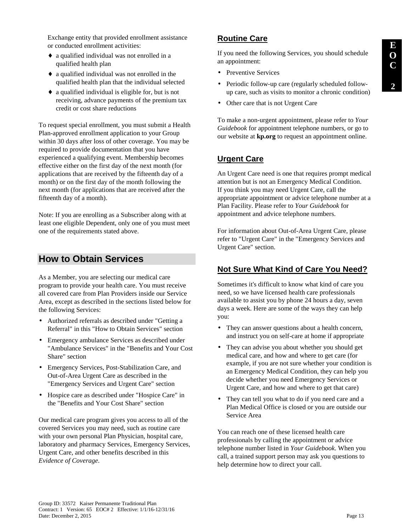Exchange entity that provided enrollment assistance or conducted enrollment activities:

- ♦ a qualified individual was not enrolled in a qualified health plan
- ♦ a qualified individual was not enrolled in the qualified health plan that the individual selected
- ♦ a qualified individual is eligible for, but is not receiving, advance payments of the premium tax credit or cost share reductions

To request special enrollment, you must submit a Health Plan-approved enrollment application to your Group within 30 days after loss of other coverage. You may be required to provide documentation that you have experienced a qualifying event. Membership becomes effective either on the first day of the next month (for applications that are received by the fifteenth day of a month) or on the first day of the month following the next month (for applications that are received after the fifteenth day of a month).

Note: If you are enrolling as a Subscriber along with at least one eligible Dependent, only one of you must meet one of the requirements stated above.

# **How to Obtain Services**

As a Member, you are selecting our medical care program to provide your health care. You must receive all covered care from Plan Providers inside our Service Area, except as described in the sections listed below for the following Services:

- Authorized referrals as described under "Getting a Referral" in this "How to Obtain Services" section
- Emergency ambulance Services as described under "Ambulance Services" in the "Benefits and Your Cost Share" section
- Emergency Services, Post-Stabilization Care, and Out-of-Area Urgent Care as described in the "Emergency Services and Urgent Care" section
- Hospice care as described under "Hospice Care" in the "Benefits and Your Cost Share" section

Our medical care program gives you access to all of the covered Services you may need, such as routine care with your own personal Plan Physician, hospital care, laboratory and pharmacy Services, Emergency Services, Urgent Care, and other benefits described in this *Evidence of Coverage*.

# **Routine Care**

If you need the following Services, you should schedule an appointment:

- Preventive Services
- Periodic follow-up care (regularly scheduled followup care, such as visits to monitor a chronic condition)
- Other care that is not Urgent Care

To make a non-urgent appointment, please refer to *Your Guidebook* for appointment telephone numbers, or go to our website at **kp.org** to request an appointment online.

# **Urgent Care**

An Urgent Care need is one that requires prompt medical attention but is not an Emergency Medical Condition. If you think you may need Urgent Care, call the appropriate appointment or advice telephone number at a Plan Facility. Please refer to *Your Guidebook* for appointment and advice telephone numbers.

For information about Out-of-Area Urgent Care, please refer to "Urgent Care" in the "Emergency Services and Urgent Care" section.

# **Not Sure What Kind of Care You Need?**

Sometimes it's difficult to know what kind of care you need, so we have licensed health care professionals available to assist you by phone 24 hours a day, seven days a week. Here are some of the ways they can help you:

- They can answer questions about a health concern, and instruct you on self-care at home if appropriate
- They can advise you about whether you should get medical care, and how and where to get care (for example, if you are not sure whether your condition is an Emergency Medical Condition, they can help you decide whether you need Emergency Services or Urgent Care, and how and where to get that care)
- They can tell you what to do if you need care and a Plan Medical Office is closed or you are outside our Service Area

You can reach one of these licensed health care professionals by calling the appointment or advice telephone number listed in *Your Guidebook*. When you call, a trained support person may ask you questions to help determine how to direct your call.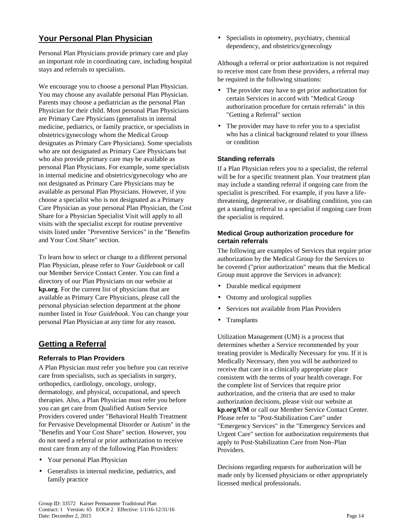# **Your Personal Plan Physician**

Personal Plan Physicians provide primary care and play an important role in coordinating care, including hospital stays and referrals to specialists.

We encourage you to choose a personal Plan Physician. You may choose any available personal Plan Physician. Parents may choose a pediatrician as the personal Plan Physician for their child. Most personal Plan Physicians are Primary Care Physicians (generalists in internal medicine, pediatrics, or family practice, or specialists in obstetrics/gynecology whom the Medical Group designates as Primary Care Physicians). Some specialists who are not designated as Primary Care Physicians but who also provide primary care may be available as personal Plan Physicians. For example, some specialists in internal medicine and obstetrics/gynecology who are not designated as Primary Care Physicians may be available as personal Plan Physicians. However, if you choose a specialist who is not designated as a Primary Care Physician as your personal Plan Physician, the Cost Share for a Physician Specialist Visit will apply to all visits with the specialist except for routine preventive visits listed under "Preventive Services" in the "Benefits and Your Cost Share" section.

To learn how to select or change to a different personal Plan Physician, please refer to *Your Guidebook* or call our Member Service Contact Center. You can find a directory of our Plan Physicians on our website at **kp.org**. For the current list of physicians that are available as Primary Care Physicians, please call the personal physician selection department at the phone number listed in *Your Guidebook*. You can change your personal Plan Physician at any time for any reason.

# **Getting a Referral**

## **Referrals to Plan Providers**

A Plan Physician must refer you before you can receive care from specialists, such as specialists in surgery, orthopedics, cardiology, oncology, urology, dermatology, and physical, occupational, and speech therapies. Also, a Plan Physician must refer you before you can get care from Qualified Autism Service Providers covered under "Behavioral Health Treatment for Pervasive Developmental Disorder or Autism" in the "Benefits and Your Cost Share" section. However, you do not need a referral or prior authorization to receive most care from any of the following Plan Providers:

- Your personal Plan Physician
- Generalists in internal medicine, pediatrics, and family practice

• Specialists in optometry, psychiatry, chemical dependency, and obstetrics/gynecology

Although a referral or prior authorization is not required to receive most care from these providers, a referral may be required in the following situations:

- The provider may have to get prior authorization for certain Services in accord with "Medical Group authorization procedure for certain referrals" in this "Getting a Referral" section
- The provider may have to refer you to a specialist who has a clinical background related to your illness or condition

## **Standing referrals**

If a Plan Physician refers you to a specialist, the referral will be for a specific treatment plan. Your treatment plan may include a standing referral if ongoing care from the specialist is prescribed. For example, if you have a lifethreatening, degenerative, or disabling condition, you can get a standing referral to a specialist if ongoing care from the specialist is required.

#### **Medical Group authorization procedure for certain referrals**

The following are examples of Services that require prior authorization by the Medical Group for the Services to be covered ("prior authorization" means that the Medical Group must approve the Services in advance):

- Durable medical equipment
- Ostomy and urological supplies
- Services not available from Plan Providers
- **Transplants**

Utilization Management (UM) is a process that determines whether a Service recommended by your treating provider is Medically Necessary for you. If it is Medically Necessary, then you will be authorized to receive that care in a clinically appropriate place consistent with the terms of your health coverage. For the complete list of Services that require prior authorization, and the criteria that are used to make authorization decisions, please visit our website at **kp.org/UM** or call our Member Service Contact Center. Please refer to "Post-Stabilization Care" under "Emergency Services" in the "Emergency Services and Urgent Care" section for authorization requirements that apply to Post-Stabilization Care from Non–Plan Providers.

Decisions regarding requests for authorization will be made only by licensed physicians or other appropriately licensed medical professionals.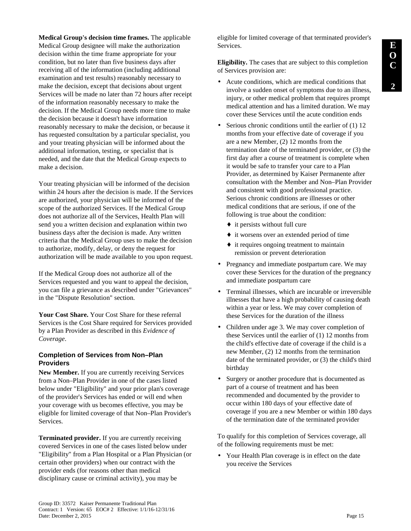**Medical Group's decision time frames.** The applicable Medical Group designee will make the authorization decision within the time frame appropriate for your condition, but no later than five business days after receiving all of the information (including additional examination and test results) reasonably necessary to make the decision, except that decisions about urgent Services will be made no later than 72 hours after receipt of the information reasonably necessary to make the decision. If the Medical Group needs more time to make the decision because it doesn't have information reasonably necessary to make the decision, or because it has requested consultation by a particular specialist, you and your treating physician will be informed about the additional information, testing, or specialist that is needed, and the date that the Medical Group expects to make a decision.

Your treating physician will be informed of the decision within 24 hours after the decision is made. If the Services are authorized, your physician will be informed of the scope of the authorized Services. If the Medical Group does not authorize all of the Services, Health Plan will send you a written decision and explanation within two business days after the decision is made. Any written criteria that the Medical Group uses to make the decision to authorize, modify, delay, or deny the request for authorization will be made available to you upon request.

If the Medical Group does not authorize all of the Services requested and you want to appeal the decision, you can file a grievance as described under "Grievances" in the "Dispute Resolution" section.

**Your Cost Share.** Your Cost Share for these referral Services is the Cost Share required for Services provided by a Plan Provider as described in this *Evidence of Coverage*.

#### **Completion of Services from Non–Plan Providers**

**New Member.** If you are currently receiving Services from a Non–Plan Provider in one of the cases listed below under "Eligibility" and your prior plan's coverage of the provider's Services has ended or will end when your coverage with us becomes effective, you may be eligible for limited coverage of that Non–Plan Provider's Services.

**Terminated provider.** If you are currently receiving covered Services in one of the cases listed below under "Eligibility" from a Plan Hospital or a Plan Physician (or certain other providers) when our contract with the provider ends (for reasons other than medical disciplinary cause or criminal activity), you may be

eligible for limited coverage of that terminated provider's Services.

**Eligibility.** The cases that are subject to this completion of Services provision are:

- Acute conditions, which are medical conditions that involve a sudden onset of symptoms due to an illness, injury, or other medical problem that requires prompt medical attention and has a limited duration. We may cover these Services until the acute condition ends
- Serious chronic conditions until the earlier of (1) 12 months from your effective date of coverage if you are a new Member, (2) 12 months from the termination date of the terminated provider, or (3) the first day after a course of treatment is complete when it would be safe to transfer your care to a Plan Provider, as determined by Kaiser Permanente after consultation with the Member and Non–Plan Provider and consistent with good professional practice. Serious chronic conditions are illnesses or other medical conditions that are serious, if one of the following is true about the condition:
	- $\bullet$  it persists without full cure
	- ♦ it worsens over an extended period of time
	- ♦ it requires ongoing treatment to maintain remission or prevent deterioration
- Pregnancy and immediate postpartum care. We may cover these Services for the duration of the pregnancy and immediate postpartum care
- Terminal illnesses, which are incurable or irreversible illnesses that have a high probability of causing death within a year or less. We may cover completion of these Services for the duration of the illness
- Children under age 3. We may cover completion of these Services until the earlier of (1) 12 months from the child's effective date of coverage if the child is a new Member, (2) 12 months from the termination date of the terminated provider, or (3) the child's third birthday
- Surgery or another procedure that is documented as part of a course of treatment and has been recommended and documented by the provider to occur within 180 days of your effective date of coverage if you are a new Member or within 180 days of the termination date of the terminated provider

To qualify for this completion of Services coverage, all of the following requirements must be met:

• Your Health Plan coverage is in effect on the date you receive the Services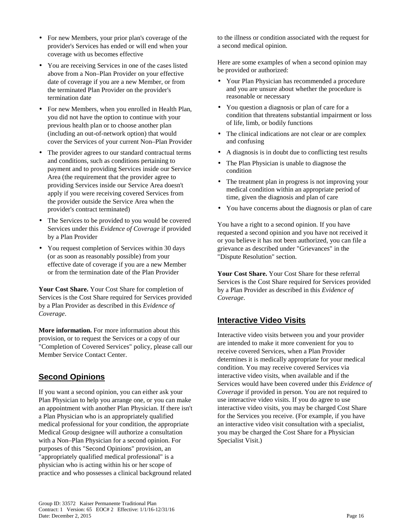- For new Members, your prior plan's coverage of the provider's Services has ended or will end when your coverage with us becomes effective
- You are receiving Services in one of the cases listed above from a Non–Plan Provider on your effective date of coverage if you are a new Member, or from the terminated Plan Provider on the provider's termination date
- For new Members, when you enrolled in Health Plan, you did not have the option to continue with your previous health plan or to choose another plan (including an out-of-network option) that would cover the Services of your current Non–Plan Provider
- The provider agrees to our standard contractual terms and conditions, such as conditions pertaining to payment and to providing Services inside our Service Area (the requirement that the provider agree to providing Services inside our Service Area doesn't apply if you were receiving covered Services from the provider outside the Service Area when the provider's contract terminated)
- The Services to be provided to you would be covered Services under this *Evidence of Coverage* if provided by a Plan Provider
- You request completion of Services within 30 days (or as soon as reasonably possible) from your effective date of coverage if you are a new Member or from the termination date of the Plan Provider

**Your Cost Share.** Your Cost Share for completion of Services is the Cost Share required for Services provided by a Plan Provider as described in this *Evidence of Coverage*.

**More information.** For more information about this provision, or to request the Services or a copy of our "Completion of Covered Services" policy, please call our Member Service Contact Center.

# **Second Opinions**

If you want a second opinion, you can either ask your Plan Physician to help you arrange one, or you can make an appointment with another Plan Physician. If there isn't a Plan Physician who is an appropriately qualified medical professional for your condition, the appropriate Medical Group designee will authorize a consultation with a Non–Plan Physician for a second opinion. For purposes of this "Second Opinions" provision, an "appropriately qualified medical professional" is a physician who is acting within his or her scope of practice and who possesses a clinical background related

to the illness or condition associated with the request for a second medical opinion.

Here are some examples of when a second opinion may be provided or authorized:

- Your Plan Physician has recommended a procedure and you are unsure about whether the procedure is reasonable or necessary
- You question a diagnosis or plan of care for a condition that threatens substantial impairment or loss of life, limb, or bodily functions
- The clinical indications are not clear or are complex and confusing
- A diagnosis is in doubt due to conflicting test results
- The Plan Physician is unable to diagnose the condition
- The treatment plan in progress is not improving your medical condition within an appropriate period of time, given the diagnosis and plan of care
- You have concerns about the diagnosis or plan of care

You have a right to a second opinion. If you have requested a second opinion and you have not received it or you believe it has not been authorized, you can file a grievance as described under "Grievances" in the "Dispute Resolution" section.

**Your Cost Share.** Your Cost Share for these referral Services is the Cost Share required for Services provided by a Plan Provider as described in this *Evidence of Coverage*.

# **Interactive Video Visits**

Interactive video visits between you and your provider are intended to make it more convenient for you to receive covered Services, when a Plan Provider determines it is medically appropriate for your medical condition. You may receive covered Services via interactive video visits, when available and if the Services would have been covered under this *Evidence of Coverage* if provided in person. You are not required to use interactive video visits. If you do agree to use interactive video visits, you may be charged Cost Share for the Services you receive. (For example, if you have an interactive video visit consultation with a specialist, you may be charged the Cost Share for a Physician Specialist Visit.)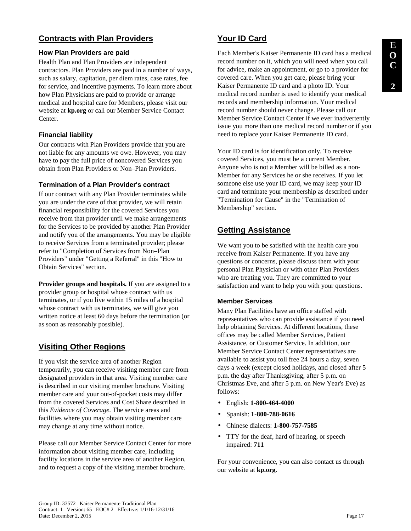# **Contracts with Plan Providers**

#### **How Plan Providers are paid**

Health Plan and Plan Providers are independent contractors. Plan Providers are paid in a number of ways, such as salary, capitation, per diem rates, case rates, fee for service, and incentive payments. To learn more about how Plan Physicians are paid to provide or arrange medical and hospital care for Members, please visit our website at **kp.org** or call our Member Service Contact Center.

## **Financial liability**

Our contracts with Plan Providers provide that you are not liable for any amounts we owe. However, you may have to pay the full price of noncovered Services you obtain from Plan Providers or Non–Plan Providers.

#### **Termination of a Plan Provider's contract**

If our contract with any Plan Provider terminates while you are under the care of that provider, we will retain financial responsibility for the covered Services you receive from that provider until we make arrangements for the Services to be provided by another Plan Provider and notify you of the arrangements. You may be eligible to receive Services from a terminated provider; please refer to "Completion of Services from Non–Plan Providers" under "Getting a Referral" in this "How to Obtain Services" section.

**Provider groups and hospitals.** If you are assigned to a provider group or hospital whose contract with us terminates, or if you live within 15 miles of a hospital whose contract with us terminates, we will give you written notice at least 60 days before the termination (or as soon as reasonably possible).

# **Visiting Other Regions**

If you visit the service area of another Region temporarily, you can receive visiting member care from designated providers in that area. Visiting member care is described in our visiting member brochure. Visiting member care and your out-of-pocket costs may differ from the covered Services and Cost Share described in this *Evidence of Coverage*. The service areas and facilities where you may obtain visiting member care may change at any time without notice.

Please call our Member Service Contact Center for more information about visiting member care, including facility locations in the service area of another Region, and to request a copy of the visiting member brochure.

# **Your ID Card**

Each Member's Kaiser Permanente ID card has a medical record number on it, which you will need when you call for advice, make an appointment, or go to a provider for covered care. When you get care, please bring your Kaiser Permanente ID card and a photo ID. Your medical record number is used to identify your medical records and membership information. Your medical record number should never change. Please call our Member Service Contact Center if we ever inadvertently issue you more than one medical record number or if you need to replace your Kaiser Permanente ID card.

Your ID card is for identification only. To receive covered Services, you must be a current Member. Anyone who is not a Member will be billed as a non-Member for any Services he or she receives. If you let someone else use your ID card, we may keep your ID card and terminate your membership as described under "Termination for Cause" in the "Termination of Membership" section.

# **Getting Assistance**

We want you to be satisfied with the health care you receive from Kaiser Permanente. If you have any questions or concerns, please discuss them with your personal Plan Physician or with other Plan Providers who are treating you. They are committed to your satisfaction and want to help you with your questions.

## **Member Services**

Many Plan Facilities have an office staffed with representatives who can provide assistance if you need help obtaining Services. At different locations, these offices may be called Member Services, Patient Assistance, or Customer Service. In addition, our Member Service Contact Center representatives are available to assist you toll free 24 hours a day, seven days a week (except closed holidays, and closed after 5 p.m. the day after Thanksgiving, after 5 p.m. on Christmas Eve, and after 5 p.m. on New Year's Eve) as follows:

- English: **1-800-464-4000**
- Spanish: **1-800-788-0616**
- Chinese dialects: **1-800-757-7585**
- TTY for the deaf, hard of hearing, or speech impaired: **711**

For your convenience, you can also contact us through our website at **kp.org**.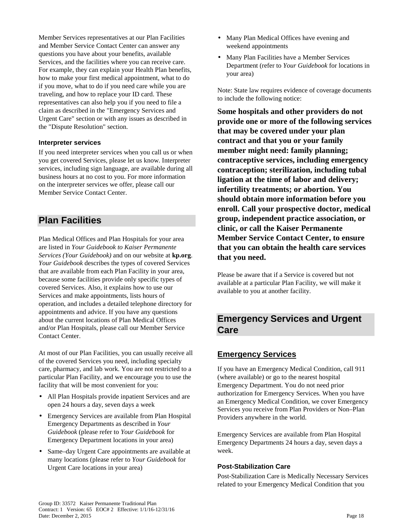Member Services representatives at our Plan Facilities and Member Service Contact Center can answer any questions you have about your benefits, available Services, and the facilities where you can receive care. For example, they can explain your Health Plan benefits, how to make your first medical appointment, what to do if you move, what to do if you need care while you are traveling, and how to replace your ID card. These representatives can also help you if you need to file a claim as described in the "Emergency Services and Urgent Care" section or with any issues as described in the "Dispute Resolution" section.

#### **Interpreter services**

If you need interpreter services when you call us or when you get covered Services, please let us know. Interpreter services, including sign language, are available during all business hours at no cost to you. For more information on the interpreter services we offer, please call our Member Service Contact Center.

# **Plan Facilities**

Plan Medical Offices and Plan Hospitals for your area are listed in *Your Guidebook to Kaiser Permanente Services (Your Guidebook)* and on our website at **kp.org**. *Your Guidebook* describes the types of covered Services that are available from each Plan Facility in your area, because some facilities provide only specific types of covered Services. Also, it explains how to use our Services and make appointments, lists hours of operation, and includes a detailed telephone directory for appointments and advice. If you have any questions about the current locations of Plan Medical Offices and/or Plan Hospitals, please call our Member Service Contact Center.

At most of our Plan Facilities, you can usually receive all of the covered Services you need, including specialty care, pharmacy, and lab work. You are not restricted to a particular Plan Facility, and we encourage you to use the facility that will be most convenient for you:

- All Plan Hospitals provide inpatient Services and are open 24 hours a day, seven days a week
- Emergency Services are available from Plan Hospital Emergency Departments as described in *Your Guidebook* (please refer to *Your Guidebook* for Emergency Department locations in your area)
- Same–day Urgent Care appointments are available at many locations (please refer to *Your Guidebook* for Urgent Care locations in your area)
- Many Plan Medical Offices have evening and weekend appointments
- Many Plan Facilities have a Member Services Department (refer to *Your Guidebook* for locations in your area)

Note: State law requires evidence of coverage documents to include the following notice:

**Some hospitals and other providers do not provide one or more of the following services that may be covered under your plan contract and that you or your family member might need: family planning; contraceptive services, including emergency contraception; sterilization, including tubal ligation at the time of labor and delivery; infertility treatments; or abortion. You should obtain more information before you enroll. Call your prospective doctor, medical group, independent practice association, or clinic, or call the Kaiser Permanente Member Service Contact Center, to ensure that you can obtain the health care services that you need.** 

Please be aware that if a Service is covered but not available at a particular Plan Facility, we will make it available to you at another facility.

# **Emergency Services and Urgent Care**

# **Emergency Services**

If you have an Emergency Medical Condition, call 911 (where available) or go to the nearest hospital Emergency Department. You do not need prior authorization for Emergency Services. When you have an Emergency Medical Condition, we cover Emergency Services you receive from Plan Providers or Non–Plan Providers anywhere in the world.

Emergency Services are available from Plan Hospital Emergency Departments 24 hours a day, seven days a week.

#### **Post-Stabilization Care**

Post-Stabilization Care is Medically Necessary Services related to your Emergency Medical Condition that you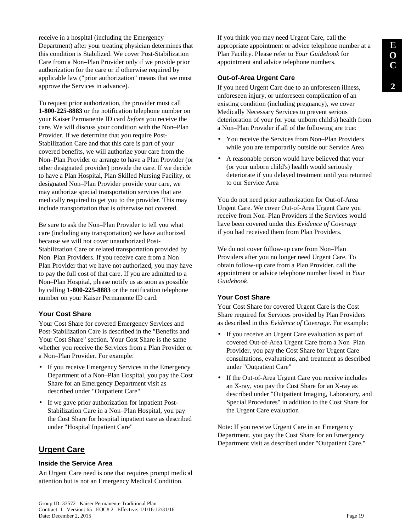receive in a hospital (including the Emergency Department) after your treating physician determines that this condition is Stabilized. We cover Post-Stabilization Care from a Non–Plan Provider only if we provide prior authorization for the care or if otherwise required by applicable law ("prior authorization" means that we must approve the Services in advance).

To request prior authorization, the provider must call **1-800-225-8883** or the notification telephone number on your Kaiser Permanente ID card *before* you receive the care. We will discuss your condition with the Non–Plan Provider. If we determine that you require Post-Stabilization Care and that this care is part of your covered benefits, we will authorize your care from the Non–Plan Provider or arrange to have a Plan Provider (or other designated provider) provide the care. If we decide to have a Plan Hospital, Plan Skilled Nursing Facility, or designated Non–Plan Provider provide your care, we may authorize special transportation services that are medically required to get you to the provider. This may include transportation that is otherwise not covered.

Be sure to ask the Non–Plan Provider to tell you what care (including any transportation) we have authorized because we will not cover unauthorized Post-Stabilization Care or related transportation provided by Non–Plan Providers. If you receive care from a Non– Plan Provider that we have not authorized, you may have to pay the full cost of that care. If you are admitted to a Non–Plan Hospital, please notify us as soon as possible by calling **1-800-225-8883** or the notification telephone number on your Kaiser Permanente ID card.

# **Your Cost Share**

Your Cost Share for covered Emergency Services and Post-Stabilization Care is described in the "Benefits and Your Cost Share" section. Your Cost Share is the same whether you receive the Services from a Plan Provider or a Non–Plan Provider. For example:

- If you receive Emergency Services in the Emergency Department of a Non–Plan Hospital, you pay the Cost Share for an Emergency Department visit as described under "Outpatient Care"
- If we gave prior authorization for inpatient Post-Stabilization Care in a Non–Plan Hospital, you pay the Cost Share for hospital inpatient care as described under "Hospital Inpatient Care"

# **Urgent Care**

## **Inside the Service Area**

An Urgent Care need is one that requires prompt medical attention but is not an Emergency Medical Condition.

If you think you may need Urgent Care, call the appropriate appointment or advice telephone number at a Plan Facility. Please refer to *Your Guidebook* for appointment and advice telephone numbers.

## **Out-of-Area Urgent Care**

If you need Urgent Care due to an unforeseen illness, unforeseen injury, or unforeseen complication of an existing condition (including pregnancy), we cover Medically Necessary Services to prevent serious deterioration of your (or your unborn child's) health from a Non–Plan Provider if all of the following are true:

- You receive the Services from Non–Plan Providers while you are temporarily outside our Service Area
- A reasonable person would have believed that your (or your unborn child's) health would seriously deteriorate if you delayed treatment until you returned to our Service Area

You do not need prior authorization for Out-of-Area Urgent Care. We cover Out-of-Area Urgent Care you receive from Non–Plan Providers if the Services would have been covered under this *Evidence of Coverage* if you had received them from Plan Providers.

We do not cover follow-up care from Non–Plan Providers after you no longer need Urgent Care. To obtain follow-up care from a Plan Provider, call the appointment or advice telephone number listed in *Your Guidebook*.

# **Your Cost Share**

Your Cost Share for covered Urgent Care is the Cost Share required for Services provided by Plan Providers as described in this *Evidence of Coverage*. For example:

- If you receive an Urgent Care evaluation as part of covered Out-of-Area Urgent Care from a Non–Plan Provider, you pay the Cost Share for Urgent Care consultations, evaluations, and treatment as described under "Outpatient Care"
- If the Out-of-Area Urgent Care you receive includes an X-ray, you pay the Cost Share for an X-ray as described under "Outpatient Imaging, Laboratory, and Special Procedures" in addition to the Cost Share for the Urgent Care evaluation

Note: If you receive Urgent Care in an Emergency Department, you pay the Cost Share for an Emergency Department visit as described under "Outpatient Care."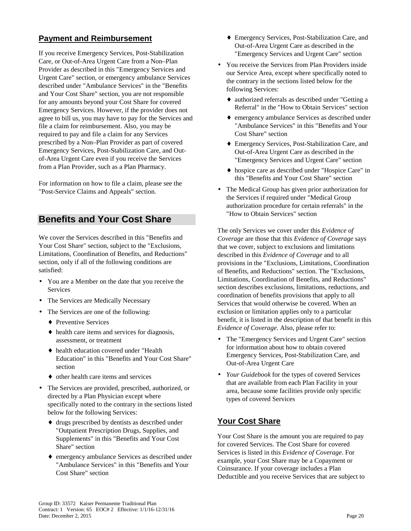# **Payment and Reimbursement**

If you receive Emergency Services, Post-Stabilization Care, or Out-of-Area Urgent Care from a Non–Plan Provider as described in this "Emergency Services and Urgent Care" section, or emergency ambulance Services described under "Ambulance Services" in the "Benefits and Your Cost Share" section, you are not responsible for any amounts beyond your Cost Share for covered Emergency Services. However, if the provider does not agree to bill us, you may have to pay for the Services and file a claim for reimbursement. Also, you may be required to pay and file a claim for any Services prescribed by a Non–Plan Provider as part of covered Emergency Services, Post-Stabilization Care, and Outof-Area Urgent Care even if you receive the Services from a Plan Provider, such as a Plan Pharmacy.

For information on how to file a claim, please see the "Post-Service Claims and Appeals" section.

# **Benefits and Your Cost Share**

We cover the Services described in this "Benefits and Your Cost Share" section, subject to the "Exclusions, Limitations, Coordination of Benefits, and Reductions" section, only if all of the following conditions are satisfied:

- You are a Member on the date that you receive the **Services**
- The Services are Medically Necessary
- The Services are one of the following:
	- ◆ Preventive Services
	- ♦ health care items and services for diagnosis, assessment, or treatment
	- ♦ health education covered under "Health Education" in this "Benefits and Your Cost Share" section
	- ♦ other health care items and services
- The Services are provided, prescribed, authorized, or directed by a Plan Physician except where specifically noted to the contrary in the sections listed below for the following Services:
	- ♦ drugs prescribed by dentists as described under "Outpatient Prescription Drugs, Supplies, and Supplements" in this "Benefits and Your Cost Share" section
	- ♦ emergency ambulance Services as described under "Ambulance Services" in this "Benefits and Your Cost Share" section
- ♦ Emergency Services, Post-Stabilization Care, and Out-of-Area Urgent Care as described in the "Emergency Services and Urgent Care" section
- You receive the Services from Plan Providers inside our Service Area, except where specifically noted to the contrary in the sections listed below for the following Services:
	- ♦ authorized referrals as described under "Getting a Referral" in the "How to Obtain Services" section
	- ♦ emergency ambulance Services as described under "Ambulance Services" in this "Benefits and Your Cost Share" section
	- ♦ Emergency Services, Post-Stabilization Care, and Out-of-Area Urgent Care as described in the "Emergency Services and Urgent Care" section
	- ♦ hospice care as described under "Hospice Care" in this "Benefits and Your Cost Share" section
- The Medical Group has given prior authorization for the Services if required under "Medical Group authorization procedure for certain referrals" in the "How to Obtain Services" section

The only Services we cover under this *Evidence of Coverage* are those that this *Evidence of Coverage* says that we cover, subject to exclusions and limitations described in this *Evidence of Coverage* and to all provisions in the "Exclusions, Limitations, Coordination of Benefits, and Reductions" section. The "Exclusions, Limitations, Coordination of Benefits, and Reductions" section describes exclusions, limitations, reductions, and coordination of benefits provisions that apply to all Services that would otherwise be covered. When an exclusion or limitation applies only to a particular benefit, it is listed in the description of that benefit in this *Evidence of Coverage*. Also, please refer to:

- The "Emergency Services and Urgent Care" section for information about how to obtain covered Emergency Services, Post-Stabilization Care, and Out-of-Area Urgent Care
- *Your Guidebook* for the types of covered Services that are available from each Plan Facility in your area, because some facilities provide only specific types of covered Services

# **Your Cost Share**

Your Cost Share is the amount you are required to pay for covered Services. The Cost Share for covered Services is listed in this *Evidence of Coverage*. For example, your Cost Share may be a Copayment or Coinsurance. If your coverage includes a Plan Deductible and you receive Services that are subject to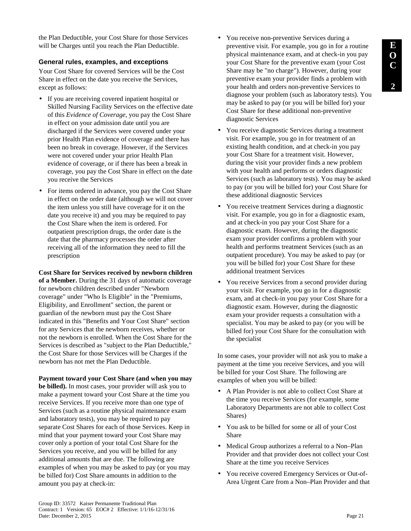the Plan Deductible, your Cost Share for those Services will be Charges until you reach the Plan Deductible.

#### **General rules, examples, and exceptions**

Your Cost Share for covered Services will be the Cost Share in effect on the date you receive the Services, except as follows:

- If you are receiving covered inpatient hospital or Skilled Nursing Facility Services on the effective date of this *Evidence of Coverage*, you pay the Cost Share in effect on your admission date until you are discharged if the Services were covered under your prior Health Plan evidence of coverage and there has been no break in coverage. However, if the Services were not covered under your prior Health Plan evidence of coverage, or if there has been a break in coverage, you pay the Cost Share in effect on the date you receive the Services
- For items ordered in advance, you pay the Cost Share in effect on the order date (although we will not cover the item unless you still have coverage for it on the date you receive it) and you may be required to pay the Cost Share when the item is ordered. For outpatient prescription drugs, the order date is the date that the pharmacy processes the order after receiving all of the information they need to fill the prescription

**Cost Share for Services received by newborn children of a Member.** During the 31 days of automatic coverage for newborn children described under "Newborn coverage" under "Who Is Eligible" in the "Premiums, Eligibility, and Enrollment" section, the parent or guardian of the newborn must pay the Cost Share indicated in this "Benefits and Your Cost Share" section for any Services that the newborn receives, whether or not the newborn is enrolled. When the Cost Share for the Services is described as "subject to the Plan Deductible," the Cost Share for those Services will be Charges if the newborn has not met the Plan Deductible.

**Payment toward your Cost Share (and when you may be billed).** In most cases, your provider will ask you to make a payment toward your Cost Share at the time you receive Services. If you receive more than one type of Services (such as a routine physical maintenance exam and laboratory tests), you may be required to pay separate Cost Shares for each of those Services. Keep in mind that your payment toward your Cost Share may cover only a portion of your total Cost Share for the Services you receive, and you will be billed for any additional amounts that are due. The following are examples of when you may be asked to pay (or you may be billed for) Cost Share amounts in addition to the amount you pay at check-in:

- You receive non-preventive Services during a preventive visit. For example, you go in for a routine physical maintenance exam, and at check-in you pay your Cost Share for the preventive exam (your Cost Share may be "no charge"). However, during your preventive exam your provider finds a problem with your health and orders non-preventive Services to diagnose your problem (such as laboratory tests). You may be asked to pay (or you will be billed for) your Cost Share for these additional non-preventive diagnostic Services
- You receive diagnostic Services during a treatment visit. For example, you go in for treatment of an existing health condition, and at check-in you pay your Cost Share for a treatment visit. However, during the visit your provider finds a new problem with your health and performs or orders diagnostic Services (such as laboratory tests). You may be asked to pay (or you will be billed for) your Cost Share for these additional diagnostic Services
- You receive treatment Services during a diagnostic visit. For example, you go in for a diagnostic exam, and at check-in you pay your Cost Share for a diagnostic exam. However, during the diagnostic exam your provider confirms a problem with your health and performs treatment Services (such as an outpatient procedure). You may be asked to pay (or you will be billed for) your Cost Share for these additional treatment Services
- You receive Services from a second provider during your visit. For example, you go in for a diagnostic exam, and at check-in you pay your Cost Share for a diagnostic exam. However, during the diagnostic exam your provider requests a consultation with a specialist. You may be asked to pay (or you will be billed for) your Cost Share for the consultation with the specialist

In some cases, your provider will not ask you to make a payment at the time you receive Services, and you will be billed for your Cost Share. The following are examples of when you will be billed:

- A Plan Provider is not able to collect Cost Share at the time you receive Services (for example, some Laboratory Departments are not able to collect Cost Shares)
- You ask to be billed for some or all of your Cost Share
- Medical Group authorizes a referral to a Non–Plan Provider and that provider does not collect your Cost Share at the time you receive Services
- You receive covered Emergency Services or Out-of-Area Urgent Care from a Non–Plan Provider and that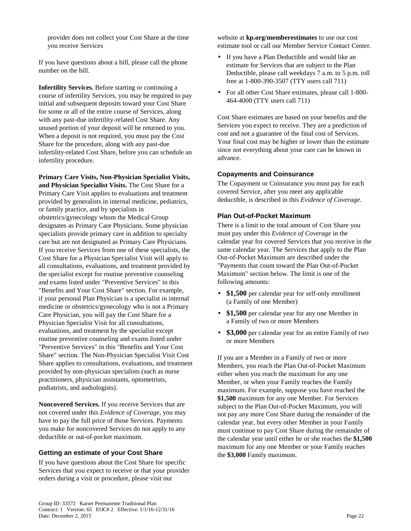provider does not collect your Cost Share at the time you receive Services

If you have questions about a bill, please call the phone number on the bill.

**Infertility Services.** Before starting or continuing a course of infertility Services, you may be required to pay initial and subsequent deposits toward your Cost Share for some or all of the entire course of Services, along with any past-due infertility-related Cost Share. Any unused portion of your deposit will be returned to you. When a deposit is not required, you must pay the Cost Share for the procedure, along with any past-due infertility-related Cost Share, before you can schedule an infertility procedure.

**Primary Care Visits, Non-Physician Specialist Visits, and Physician Specialist Visits.** The Cost Share for a Primary Care Visit applies to evaluations and treatment provided by generalists in internal medicine, pediatrics, or family practice, and by specialists in obstetrics/gynecology whom the Medical Group designates as Primary Care Physicians. Some physician specialists provide primary care in addition to specialty care but are not designated as Primary Care Physicians. If you receive Services from one of these specialists, the Cost Share for a Physician Specialist Visit will apply to all consultations, evaluations, and treatment provided by the specialist except for routine preventive counseling and exams listed under "Preventive Services" in this "Benefits and Your Cost Share" section. For example, if your personal Plan Physician is a specialist in internal medicine or obstetrics/gynecology who is not a Primary Care Physician, you will pay the Cost Share for a Physician Specialist Visit for all consultations, evaluations, and treatment by the specialist except routine preventive counseling and exams listed under "Preventive Services" in this "Benefits and Your Cost Share" section. The Non-Physician Specialist Visit Cost Share applies to consultations, evaluations, and treatment provided by non-physician specialists (such as nurse practitioners, physician assistants, optometrists, podiatrists, and audiologists).

**Noncovered Services.** If you receive Services that are not covered under this *Evidence of Coverage*, you may have to pay the full price of those Services. Payments you make for noncovered Services do not apply to any deductible or out-of-pocket maximum.

#### **Getting an estimate of your Cost Share**

If you have questions about the Cost Share for specific Services that you expect to receive or that your provider orders during a visit or procedure, please visit our

website at **kp.org/memberestimates** to use our cost estimate tool or call our Member Service Contact Center.

- If you have a Plan Deductible and would like an estimate for Services that are subject to the Plan Deductible, please call weekdays 7 a.m. to 5 p.m. toll free at 1-800-390-3507 (TTY users call 711)
- For all other Cost Share estimates, please call 1-800- 464-4000 (TTY users call 711)

Cost Share estimates are based on your benefits and the Services you expect to receive. They are a prediction of cost and not a guarantee of the final cost of Services. Your final cost may be higher or lower than the estimate since not everything about your care can be known in advance.

#### **Copayments and Coinsurance**

The Copayment or Coinsurance you must pay for each covered Service, after you meet any applicable deductible, is described in this *Evidence of Coverage*.

#### **Plan Out-of-Pocket Maximum**

There is a limit to the total amount of Cost Share you must pay under this *Evidence of Coverage* in the calendar year for covered Services that you receive in the same calendar year. The Services that apply to the Plan Out-of-Pocket Maximum are described under the "Payments that count toward the Plan Out-of-Pocket Maximum" section below. The limit is one of the following amounts:

- **\$1,500** per calendar year for self-only enrollment (a Family of one Member)
- **\$1,500** per calendar year for any one Member in a Family of two or more Members
- **\$3,000** per calendar year for an entire Family of two or more Members

If you are a Member in a Family of two or more Members, you reach the Plan Out-of-Pocket Maximum either when you reach the maximum for any one Member, or when your Family reaches the Family maximum. For example, suppose you have reached the **\$1,500** maximum for any one Member. For Services subject to the Plan Out-of-Pocket Maximum, you will not pay any more Cost Share during the remainder of the calendar year, but every other Member in your Family must continue to pay Cost Share during the remainder of the calendar year until either he or she reaches the **\$1,500** maximum for any one Member or your Family reaches the **\$3,000** Family maximum.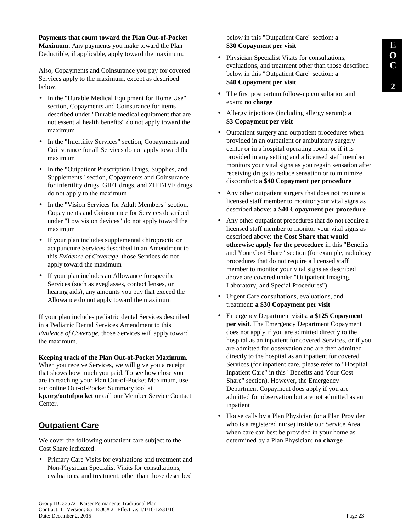**Payments that count toward the Plan Out-of-Pocket Maximum.** Any payments you make toward the Plan Deductible, if applicable, apply toward the maximum.

Also, Copayments and Coinsurance you pay for covered Services apply to the maximum, except as described below:

- In the "Durable Medical Equipment for Home Use" section, Copayments and Coinsurance for items described under "Durable medical equipment that are not essential health benefits" do not apply toward the maximum
- In the "Infertility Services" section, Copayments and Coinsurance for all Services do not apply toward the maximum
- In the "Outpatient Prescription Drugs, Supplies, and Supplements" section, Copayments and Coinsurance for infertility drugs, GIFT drugs, and ZIFT/IVF drugs do not apply to the maximum
- In the "Vision Services for Adult Members" section, Copayments and Coinsurance for Services described under "Low vision devices" do not apply toward the maximum
- If your plan includes supplemental chiropractic or acupuncture Services described in an Amendment to this *Evidence of Coverage*, those Services do not apply toward the maximum
- If your plan includes an Allowance for specific Services (such as eyeglasses, contact lenses, or hearing aids), any amounts you pay that exceed the Allowance do not apply toward the maximum

If your plan includes pediatric dental Services described in a Pediatric Dental Services Amendment to this *Evidence of Coverage*, those Services will apply toward the maximum.

#### **Keeping track of the Plan Out-of-Pocket Maximum.**

When you receive Services, we will give you a receipt that shows how much you paid. To see how close you are to reaching your Plan Out-of-Pocket Maximum, use our online Out-of-Pocket Summary tool at **kp.org/outofpocket** or call our Member Service Contact Center.

# **Outpatient Care**

We cover the following outpatient care subject to the Cost Share indicated:

• Primary Care Visits for evaluations and treatment and Non-Physician Specialist Visits for consultations, evaluations, and treatment, other than those described

below in this "Outpatient Care" section: **a \$30 Copayment per visit**

- Physician Specialist Visits for consultations, evaluations, and treatment other than those described below in this "Outpatient Care" section: **a \$40 Copayment per visit**
- The first postpartum follow-up consultation and exam: **no charge**
- Allergy injections (including allergy serum): **a \$3 Copayment per visit**
- Outpatient surgery and outpatient procedures when provided in an outpatient or ambulatory surgery center or in a hospital operating room, or if it is provided in any setting and a licensed staff member monitors your vital signs as you regain sensation after receiving drugs to reduce sensation or to minimize discomfort: **a \$40 Copayment per procedure**
- Any other outpatient surgery that does not require a licensed staff member to monitor your vital signs as described above: **a \$40 Copayment per procedure**
- Any other outpatient procedures that do not require a licensed staff member to monitor your vital signs as described above: **the Cost Share that would otherwise apply for the procedure** in this "Benefits and Your Cost Share" section (for example, radiology procedures that do not require a licensed staff member to monitor your vital signs as described above are covered under "Outpatient Imaging, Laboratory, and Special Procedures")
- Urgent Care consultations, evaluations, and treatment: **a \$30 Copayment per visit**
- Emergency Department visits: **a \$125 Copayment per visit**. The Emergency Department Copayment does not apply if you are admitted directly to the hospital as an inpatient for covered Services, or if you are admitted for observation and are then admitted directly to the hospital as an inpatient for covered Services (for inpatient care, please refer to "Hospital Inpatient Care" in this "Benefits and Your Cost Share" section). However, the Emergency Department Copayment does apply if you are admitted for observation but are not admitted as an inpatient
- House calls by a Plan Physician (or a Plan Provider who is a registered nurse) inside our Service Area when care can best be provided in your home as determined by a Plan Physician: **no charge**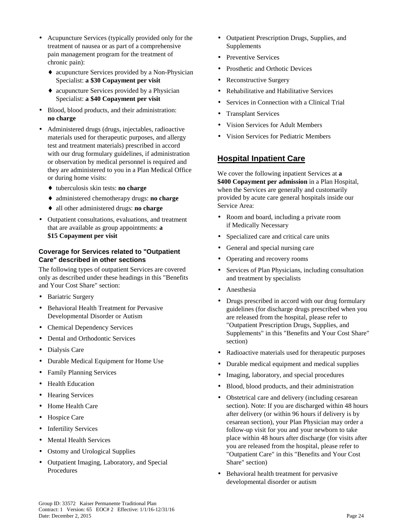- Acupuncture Services (typically provided only for the treatment of nausea or as part of a comprehensive pain management program for the treatment of chronic pain):
	- ♦ acupuncture Services provided by a Non-Physician Specialist: **a \$30 Copayment per visit**
	- ♦ acupuncture Services provided by a Physician Specialist: **a \$40 Copayment per visit**
- Blood, blood products, and their administration: **no charge**
- Administered drugs (drugs, injectables, radioactive materials used for therapeutic purposes, and allergy test and treatment materials) prescribed in accord with our drug formulary guidelines, if administration or observation by medical personnel is required and they are administered to you in a Plan Medical Office or during home visits:
	- ♦ tuberculosis skin tests: **no charge**
	- ♦ administered chemotherapy drugs: **no charge**
	- ♦ all other administered drugs: **no charge**
- Outpatient consultations, evaluations, and treatment that are available as group appointments: **a \$15 Copayment per visit**

#### **Coverage for Services related to "Outpatient Care" described in other sections**

The following types of outpatient Services are covered only as described under these headings in this "Benefits and Your Cost Share" section:

- Bariatric Surgery
- Behavioral Health Treatment for Pervasive Developmental Disorder or Autism
- Chemical Dependency Services
- Dental and Orthodontic Services
- Dialysis Care
- Durable Medical Equipment for Home Use
- Family Planning Services
- Health Education
- **Hearing Services**
- Home Health Care
- Hospice Care
- Infertility Services
- **Mental Health Services**
- Ostomy and Urological Supplies
- Outpatient Imaging, Laboratory, and Special Procedures
- Outpatient Prescription Drugs, Supplies, and Supplements
- Preventive Services
- Prosthetic and Orthotic Devices
- Reconstructive Surgery
- Rehabilitative and Habilitative Services
- Services in Connection with a Clinical Trial
- Transplant Services
- Vision Services for Adult Members
- Vision Services for Pediatric Members

# **Hospital Inpatient Care**

We cover the following inpatient Services at **a \$400 Copayment per admission** in a Plan Hospital, when the Services are generally and customarily provided by acute care general hospitals inside our Service Area:

- Room and board, including a private room if Medically Necessary
- Specialized care and critical care units
- General and special nursing care
- Operating and recovery rooms
- Services of Plan Physicians, including consultation and treatment by specialists
- Anesthesia
- Drugs prescribed in accord with our drug formulary guidelines (for discharge drugs prescribed when you are released from the hospital, please refer to "Outpatient Prescription Drugs, Supplies, and Supplements" in this "Benefits and Your Cost Share" section)
- Radioactive materials used for therapeutic purposes
- Durable medical equipment and medical supplies
- Imaging, laboratory, and special procedures
- Blood, blood products, and their administration
- Obstetrical care and delivery (including cesarean section). Note: If you are discharged within 48 hours after delivery (or within 96 hours if delivery is by cesarean section), your Plan Physician may order a follow-up visit for you and your newborn to take place within 48 hours after discharge (for visits after you are released from the hospital, please refer to "Outpatient Care" in this "Benefits and Your Cost Share" section)
- Behavioral health treatment for pervasive developmental disorder or autism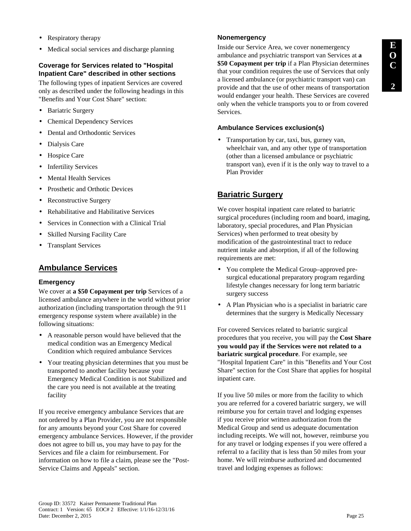- Respiratory therapy
- Medical social services and discharge planning

# **Coverage for Services related to "Hospital Inpatient Care" described in other sections**

The following types of inpatient Services are covered only as described under the following headings in this "Benefits and Your Cost Share" section:

- Bariatric Surgery
- Chemical Dependency Services
- Dental and Orthodontic Services
- Dialysis Care
- Hospice Care
- Infertility Services
- **Mental Health Services**
- Prosthetic and Orthotic Devices
- Reconstructive Surgery
- Rehabilitative and Habilitative Services
- Services in Connection with a Clinical Trial
- **Skilled Nursing Facility Care**
- Transplant Services

# **Ambulance Services**

#### **Emergency**

We cover at **a \$50 Copayment per trip** Services of a licensed ambulance anywhere in the world without prior authorization (including transportation through the 911 emergency response system where available) in the following situations:

- A reasonable person would have believed that the medical condition was an Emergency Medical Condition which required ambulance Services
- Your treating physician determines that you must be transported to another facility because your Emergency Medical Condition is not Stabilized and the care you need is not available at the treating facility

If you receive emergency ambulance Services that are not ordered by a Plan Provider, you are not responsible for any amounts beyond your Cost Share for covered emergency ambulance Services. However, if the provider does not agree to bill us, you may have to pay for the Services and file a claim for reimbursement. For information on how to file a claim, please see the "Post-Service Claims and Appeals" section.

## **Nonemergency**

Inside our Service Area, we cover nonemergency ambulance and psychiatric transport van Services at **a \$50 Copayment per trip** if a Plan Physician determines that your condition requires the use of Services that only a licensed ambulance (or psychiatric transport van) can provide and that the use of other means of transportation would endanger your health. These Services are covered only when the vehicle transports you to or from covered Services.

## **Ambulance Services exclusion(s)**

• Transportation by car, taxi, bus, gurney van, wheelchair van, and any other type of transportation (other than a licensed ambulance or psychiatric transport van), even if it is the only way to travel to a Plan Provider

# **Bariatric Surgery**

We cover hospital inpatient care related to bariatric surgical procedures (including room and board, imaging, laboratory, special procedures, and Plan Physician Services) when performed to treat obesity by modification of the gastrointestinal tract to reduce nutrient intake and absorption, if all of the following requirements are met:

- You complete the Medical Group–approved presurgical educational preparatory program regarding lifestyle changes necessary for long term bariatric surgery success
- A Plan Physician who is a specialist in bariatric care determines that the surgery is Medically Necessary

For covered Services related to bariatric surgical procedures that you receive, you will pay the **Cost Share you would pay if the Services were not related to a bariatric surgical procedure**. For example, see "Hospital Inpatient Care" in this "Benefits and Your Cost Share" section for the Cost Share that applies for hospital inpatient care.

If you live 50 miles or more from the facility to which you are referred for a covered bariatric surgery, we will reimburse you for certain travel and lodging expenses if you receive prior written authorization from the Medical Group and send us adequate documentation including receipts. We will not, however, reimburse you for any travel or lodging expenses if you were offered a referral to a facility that is less than 50 miles from your home. We will reimburse authorized and documented travel and lodging expenses as follows: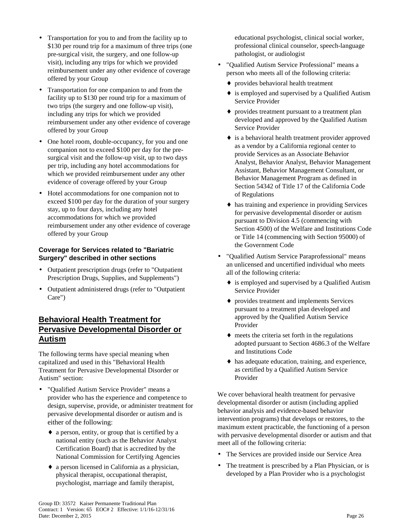- Transportation for you to and from the facility up to \$130 per round trip for a maximum of three trips (one pre-surgical visit, the surgery, and one follow-up visit), including any trips for which we provided reimbursement under any other evidence of coverage offered by your Group
- Transportation for one companion to and from the facility up to \$130 per round trip for a maximum of two trips (the surgery and one follow-up visit), including any trips for which we provided reimbursement under any other evidence of coverage offered by your Group
- One hotel room, double-occupancy, for you and one companion not to exceed \$100 per day for the presurgical visit and the follow-up visit, up to two days per trip, including any hotel accommodations for which we provided reimbursement under any other evidence of coverage offered by your Group
- Hotel accommodations for one companion not to exceed \$100 per day for the duration of your surgery stay, up to four days, including any hotel accommodations for which we provided reimbursement under any other evidence of coverage offered by your Group

## **Coverage for Services related to "Bariatric Surgery" described in other sections**

- Outpatient prescription drugs (refer to "Outpatient Prescription Drugs, Supplies, and Supplements")
- Outpatient administered drugs (refer to "Outpatient Care")

# **Behavioral Health Treatment for Pervasive Developmental Disorder or Autism**

The following terms have special meaning when capitalized and used in this "Behavioral Health Treatment for Pervasive Developmental Disorder or Autism" section:

- "Qualified Autism Service Provider" means a provider who has the experience and competence to design, supervise, provide, or administer treatment for pervasive developmental disorder or autism and is either of the following:
	- ♦ a person, entity, or group that is certified by a national entity (such as the Behavior Analyst Certification Board) that is accredited by the National Commission for Certifying Agencies
	- ♦ a person licensed in California as a physician, physical therapist, occupational therapist, psychologist, marriage and family therapist,

educational psychologist, clinical social worker, professional clinical counselor, speech-language pathologist, or audiologist

- "Qualified Autism Service Professional" means a person who meets all of the following criteria:
	- ♦ provides behavioral health treatment
	- ♦ is employed and supervised by a Qualified Autism Service Provider
	- ♦ provides treatment pursuant to a treatment plan developed and approved by the Qualified Autism Service Provider
	- ♦ is a behavioral health treatment provider approved as a vendor by a California regional center to provide Services as an Associate Behavior Analyst, Behavior Analyst, Behavior Management Assistant, Behavior Management Consultant, or Behavior Management Program as defined in Section 54342 of Title 17 of the California Code of Regulations
	- ♦ has training and experience in providing Services for pervasive developmental disorder or autism pursuant to Division 4.5 (commencing with Section 4500) of the Welfare and Institutions Code or Title 14 (commencing with Section 95000) of the Government Code
- "Qualified Autism Service Paraprofessional" means an unlicensed and uncertified individual who meets all of the following criteria:
	- ♦ is employed and supervised by a Qualified Autism Service Provider
	- ♦ provides treatment and implements Services pursuant to a treatment plan developed and approved by the Qualified Autism Service Provider
	- ♦ meets the criteria set forth in the regulations adopted pursuant to Section 4686.3 of the Welfare and Institutions Code
	- ♦ has adequate education, training, and experience, as certified by a Qualified Autism Service Provider

We cover behavioral health treatment for pervasive developmental disorder or autism (including applied behavior analysis and evidence-based behavior intervention programs) that develops or restores, to the maximum extent practicable, the functioning of a person with pervasive developmental disorder or autism and that meet all of the following criteria:

- The Services are provided inside our Service Area
- The treatment is prescribed by a Plan Physician, or is developed by a Plan Provider who is a psychologist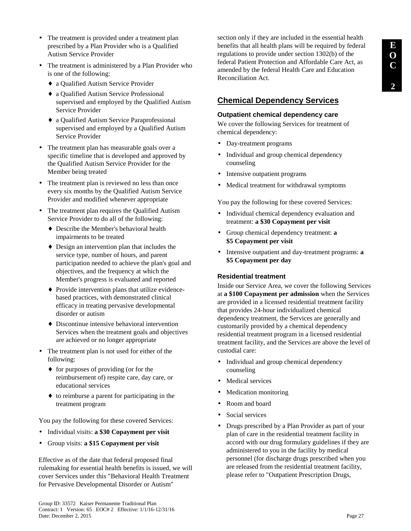- The treatment is provided under a treatment plan prescribed by a Plan Provider who is a Qualified Autism Service Provider
- The treatment is administered by a Plan Provider who is one of the following:
	- ♦ a Qualified Autism Service Provider
	- ♦ a Qualified Autism Service Professional supervised and employed by the Qualified Autism Service Provider
	- ♦ a Qualified Autism Service Paraprofessional supervised and employed by a Qualified Autism Service Provider
- The treatment plan has measurable goals over a specific timeline that is developed and approved by the Qualified Autism Service Provider for the Member being treated
- The treatment plan is reviewed no less than once every six months by the Qualified Autism Service Provider and modified whenever appropriate
- The treatment plan requires the Qualified Autism Service Provider to do all of the following:
	- ♦ Describe the Member's behavioral health impairments to be treated
	- ♦ Design an intervention plan that includes the service type, number of hours, and parent participation needed to achieve the plan's goal and objectives, and the frequency at which the Member's progress is evaluated and reported
	- ♦ Provide intervention plans that utilize evidencebased practices, with demonstrated clinical efficacy in treating pervasive developmental disorder or autism
	- ♦ Discontinue intensive behavioral intervention Services when the treatment goals and objectives are achieved or no longer appropriate
- The treatment plan is not used for either of the following:
	- ♦ for purposes of providing (or for the reimbursement of) respite care, day care, or educational services
	- ♦ to reimburse a parent for participating in the treatment program

You pay the following for these covered Services:

- Individual visits: **a \$30 Copayment per visit**
- Group visits: **a \$15 Copayment per visit**

Effective as of the date that federal proposed final rulemaking for essential health benefits is issued, we will cover Services under this "Behavioral Health Treatment for Pervasive Developmental Disorder or Autism"

# **Chemical Dependency Services**

## **Outpatient chemical dependency care**

We cover the following Services for treatment of chemical dependency:

- Day-treatment programs
- Individual and group chemical dependency counseling
- Intensive outpatient programs
- Medical treatment for withdrawal symptoms

You pay the following for these covered Services:

- Individual chemical dependency evaluation and treatment: **a \$30 Copayment per visit**
- Group chemical dependency treatment: **a \$5 Copayment per visit**
- Intensive outpatient and day-treatment programs: **a \$5 Copayment per day**

## **Residential treatment**

Inside our Service Area, we cover the following Services at **a \$100 Copayment per admission** when the Services are provided in a licensed residential treatment facility that provides 24-hour individualized chemical dependency treatment, the Services are generally and customarily provided by a chemical dependency residential treatment program in a licensed residential treatment facility, and the Services are above the level of custodial care:

- Individual and group chemical dependency counseling
- Medical services
- Medication monitoring
- Room and board
- Social services
- Drugs prescribed by a Plan Provider as part of your plan of care in the residential treatment facility in accord with our drug formulary guidelines if they are administered to you in the facility by medical personnel (for discharge drugs prescribed when you are released from the residential treatment facility, please refer to "Outpatient Prescription Drugs,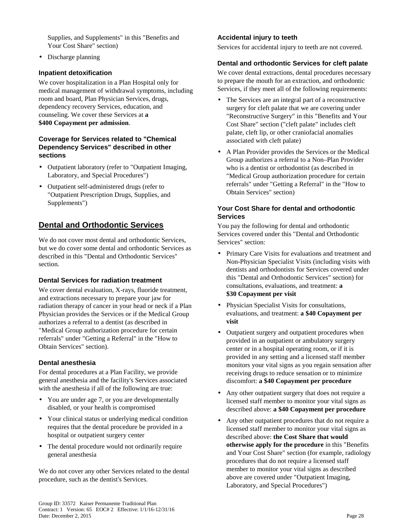Supplies, and Supplements" in this "Benefits and Your Cost Share" section)

• Discharge planning

#### **Inpatient detoxification**

We cover hospitalization in a Plan Hospital only for medical management of withdrawal symptoms, including room and board, Plan Physician Services, drugs, dependency recovery Services, education, and counseling. We cover these Services at **a \$400 Copayment per admission**.

#### **Coverage for Services related to "Chemical Dependency Services" described in other sections**

- Outpatient laboratory (refer to "Outpatient Imaging, Laboratory, and Special Procedures")
- Outpatient self-administered drugs (refer to "Outpatient Prescription Drugs, Supplies, and Supplements")

# **Dental and Orthodontic Services**

We do not cover most dental and orthodontic Services, but we do cover some dental and orthodontic Services as described in this "Dental and Orthodontic Services" section.

## **Dental Services for radiation treatment**

We cover dental evaluation, X-rays, fluoride treatment, and extractions necessary to prepare your jaw for radiation therapy of cancer in your head or neck if a Plan Physician provides the Services or if the Medical Group authorizes a referral to a dentist (as described in "Medical Group authorization procedure for certain referrals" under "Getting a Referral" in the "How to Obtain Services" section).

#### **Dental anesthesia**

For dental procedures at a Plan Facility, we provide general anesthesia and the facility's Services associated with the anesthesia if all of the following are true:

- You are under age 7, or you are developmentally disabled, or your health is compromised
- Your clinical status or underlying medical condition requires that the dental procedure be provided in a hospital or outpatient surgery center
- The dental procedure would not ordinarily require general anesthesia

We do not cover any other Services related to the dental procedure, such as the dentist's Services.

## **Accidental injury to teeth**

Services for accidental injury to teeth are not covered.

#### **Dental and orthodontic Services for cleft palate**

We cover dental extractions, dental procedures necessary to prepare the mouth for an extraction, and orthodontic Services, if they meet all of the following requirements:

- The Services are an integral part of a reconstructive surgery for cleft palate that we are covering under "Reconstructive Surgery" in this "Benefits and Your Cost Share" section ("cleft palate" includes cleft palate, cleft lip, or other craniofacial anomalies associated with cleft palate)
- A Plan Provider provides the Services or the Medical Group authorizes a referral to a Non–Plan Provider who is a dentist or orthodontist (as described in "Medical Group authorization procedure for certain referrals" under "Getting a Referral" in the "How to Obtain Services" section)

#### **Your Cost Share for dental and orthodontic Services**

You pay the following for dental and orthodontic Services covered under this "Dental and Orthodontic Services" section:

- Primary Care Visits for evaluations and treatment and Non-Physician Specialist Visits (including visits with dentists and orthodontists for Services covered under this "Dental and Orthodontic Services" section) for consultations, evaluations, and treatment: **a \$30 Copayment per visit**
- Physician Specialist Visits for consultations, evaluations, and treatment: **a \$40 Copayment per visit**
- Outpatient surgery and outpatient procedures when provided in an outpatient or ambulatory surgery center or in a hospital operating room, or if it is provided in any setting and a licensed staff member monitors your vital signs as you regain sensation after receiving drugs to reduce sensation or to minimize discomfort: **a \$40 Copayment per procedure**
- Any other outpatient surgery that does not require a licensed staff member to monitor your vital signs as described above: **a \$40 Copayment per procedure**
- Any other outpatient procedures that do not require a licensed staff member to monitor your vital signs as described above: **the Cost Share that would otherwise apply for the procedure** in this "Benefits and Your Cost Share" section (for example, radiology procedures that do not require a licensed staff member to monitor your vital signs as described above are covered under "Outpatient Imaging, Laboratory, and Special Procedures")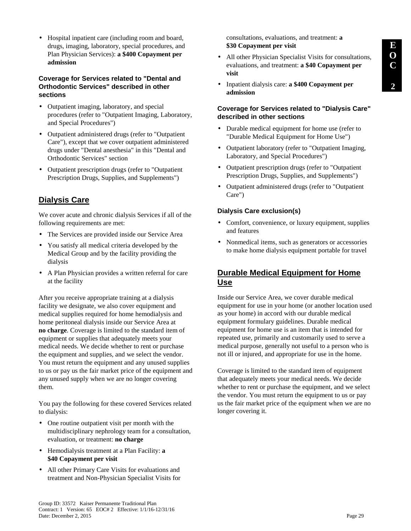• Hospital inpatient care (including room and board, drugs, imaging, laboratory, special procedures, and Plan Physician Services): **a \$400 Copayment per admission**

#### **Coverage for Services related to "Dental and Orthodontic Services" described in other sections**

- Outpatient imaging, laboratory, and special procedures (refer to "Outpatient Imaging, Laboratory, and Special Procedures")
- Outpatient administered drugs (refer to "Outpatient Care"), except that we cover outpatient administered drugs under "Dental anesthesia" in this "Dental and Orthodontic Services" section
- Outpatient prescription drugs (refer to "Outpatient Prescription Drugs, Supplies, and Supplements")

# **Dialysis Care**

We cover acute and chronic dialysis Services if all of the following requirements are met:

- The Services are provided inside our Service Area
- You satisfy all medical criteria developed by the Medical Group and by the facility providing the dialysis
- A Plan Physician provides a written referral for care at the facility

After you receive appropriate training at a dialysis facility we designate, we also cover equipment and medical supplies required for home hemodialysis and home peritoneal dialysis inside our Service Area at **no charge**. Coverage is limited to the standard item of equipment or supplies that adequately meets your medical needs. We decide whether to rent or purchase the equipment and supplies, and we select the vendor. You must return the equipment and any unused supplies to us or pay us the fair market price of the equipment and any unused supply when we are no longer covering them.

You pay the following for these covered Services related to dialysis:

- One routine outpatient visit per month with the multidisciplinary nephrology team for a consultation, evaluation, or treatment: **no charge**
- Hemodialysis treatment at a Plan Facility: **a \$40 Copayment per visit**
- All other Primary Care Visits for evaluations and treatment and Non-Physician Specialist Visits for

consultations, evaluations, and treatment: **a \$30 Copayment per visit**

- All other Physician Specialist Visits for consultations, evaluations, and treatment: **a \$40 Copayment per visit**
- Inpatient dialysis care: **a \$400 Copayment per admission**

#### **Coverage for Services related to "Dialysis Care" described in other sections**

- Durable medical equipment for home use (refer to "Durable Medical Equipment for Home Use")
- Outpatient laboratory (refer to "Outpatient Imaging, Laboratory, and Special Procedures")
- Outpatient prescription drugs (refer to "Outpatient Prescription Drugs, Supplies, and Supplements")
- Outpatient administered drugs (refer to "Outpatient Care")

## **Dialysis Care exclusion(s)**

- Comfort, convenience, or luxury equipment, supplies and features
- Nonmedical items, such as generators or accessories to make home dialysis equipment portable for travel

# **Durable Medical Equipment for Home Use**

Inside our Service Area, we cover durable medical equipment for use in your home (or another location used as your home) in accord with our durable medical equipment formulary guidelines. Durable medical equipment for home use is an item that is intended for repeated use, primarily and customarily used to serve a medical purpose, generally not useful to a person who is not ill or injured, and appropriate for use in the home.

Coverage is limited to the standard item of equipment that adequately meets your medical needs. We decide whether to rent or purchase the equipment, and we select the vendor. You must return the equipment to us or pay us the fair market price of the equipment when we are no longer covering it.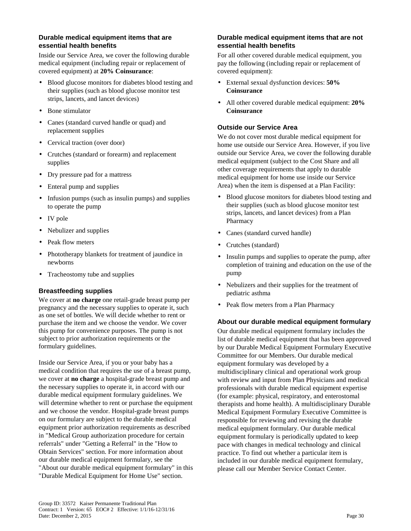#### **Durable medical equipment items that are essential health benefits**

Inside our Service Area, we cover the following durable medical equipment (including repair or replacement of covered equipment) at **20% Coinsurance**:

- Blood glucose monitors for diabetes blood testing and their supplies (such as blood glucose monitor test strips, lancets, and lancet devices)
- Bone stimulator
- Canes (standard curved handle or quad) and replacement supplies
- Cervical traction (over door)
- Crutches (standard or forearm) and replacement supplies
- Dry pressure pad for a mattress
- Enteral pump and supplies
- Infusion pumps (such as insulin pumps) and supplies to operate the pump
- IV pole
- Nebulizer and supplies
- Peak flow meters
- Phototherapy blankets for treatment of jaundice in newborns
- Tracheostomy tube and supplies

## **Breastfeeding supplies**

We cover at **no charge** one retail-grade breast pump per pregnancy and the necessary supplies to operate it, such as one set of bottles. We will decide whether to rent or purchase the item and we choose the vendor. We cover this pump for convenience purposes. The pump is not subject to prior authorization requirements or the formulary guidelines.

Inside our Service Area, if you or your baby has a medical condition that requires the use of a breast pump, we cover at **no charge** a hospital-grade breast pump and the necessary supplies to operate it, in accord with our durable medical equipment formulary guidelines. We will determine whether to rent or purchase the equipment and we choose the vendor. Hospital-grade breast pumps on our formulary are subject to the durable medical equipment prior authorization requirements as described in "Medical Group authorization procedure for certain referrals" under "Getting a Referral" in the "How to Obtain Services" section. For more information about our durable medical equipment formulary, see the "About our durable medical equipment formulary" in this "Durable Medical Equipment for Home Use" section.

## **Durable medical equipment items that are not essential health benefits**

For all other covered durable medical equipment, you pay the following (including repair or replacement of covered equipment):

- External sexual dysfunction devices: **50% Coinsurance**
- All other covered durable medical equipment: **20% Coinsurance**

## **Outside our Service Area**

We do not cover most durable medical equipment for home use outside our Service Area. However, if you live outside our Service Area, we cover the following durable medical equipment (subject to the Cost Share and all other coverage requirements that apply to durable medical equipment for home use inside our Service Area) when the item is dispensed at a Plan Facility:

- Blood glucose monitors for diabetes blood testing and their supplies (such as blood glucose monitor test strips, lancets, and lancet devices) from a Plan Pharmacy
- Canes (standard curved handle)
- Crutches (standard)
- Insulin pumps and supplies to operate the pump, after completion of training and education on the use of the pump
- Nebulizers and their supplies for the treatment of pediatric asthma
- Peak flow meters from a Plan Pharmacy

## **About our durable medical equipment formulary**

Our durable medical equipment formulary includes the list of durable medical equipment that has been approved by our Durable Medical Equipment Formulary Executive Committee for our Members. Our durable medical equipment formulary was developed by a multidisciplinary clinical and operational work group with review and input from Plan Physicians and medical professionals with durable medical equipment expertise (for example: physical, respiratory, and enterostomal therapists and home health). A multidisciplinary Durable Medical Equipment Formulary Executive Committee is responsible for reviewing and revising the durable medical equipment formulary. Our durable medical equipment formulary is periodically updated to keep pace with changes in medical technology and clinical practice. To find out whether a particular item is included in our durable medical equipment formulary, please call our Member Service Contact Center.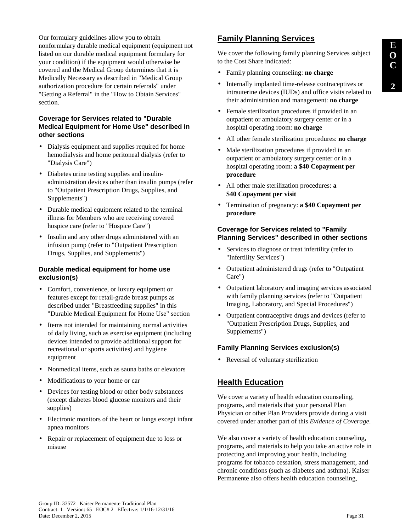Our formulary guidelines allow you to obtain nonformulary durable medical equipment (equipment not listed on our durable medical equipment formulary for your condition) if the equipment would otherwise be covered and the Medical Group determines that it is Medically Necessary as described in "Medical Group authorization procedure for certain referrals" under "Getting a Referral" in the "How to Obtain Services" section.

# **Coverage for Services related to "Durable Medical Equipment for Home Use" described in other sections**

- Dialysis equipment and supplies required for home hemodialysis and home peritoneal dialysis (refer to "Dialysis Care")
- Diabetes urine testing supplies and insulinadministration devices other than insulin pumps (refer to "Outpatient Prescription Drugs, Supplies, and Supplements")
- Durable medical equipment related to the terminal illness for Members who are receiving covered hospice care (refer to "Hospice Care")
- Insulin and any other drugs administered with an infusion pump (refer to "Outpatient Prescription Drugs, Supplies, and Supplements")

# **Durable medical equipment for home use exclusion(s)**

- Comfort, convenience, or luxury equipment or features except for retail-grade breast pumps as described under "Breastfeeding supplies" in this "Durable Medical Equipment for Home Use" section
- Items not intended for maintaining normal activities of daily living, such as exercise equipment (including devices intended to provide additional support for recreational or sports activities) and hygiene equipment
- Nonmedical items, such as sauna baths or elevators
- Modifications to your home or car
- Devices for testing blood or other body substances (except diabetes blood glucose monitors and their supplies)
- Electronic monitors of the heart or lungs except infant apnea monitors
- Repair or replacement of equipment due to loss or misuse

# **Family Planning Services**

We cover the following family planning Services subject to the Cost Share indicated:

- Family planning counseling: **no charge**
- Internally implanted time-release contraceptives or intrauterine devices (IUDs) and office visits related to their administration and management: **no charge**
- Female sterilization procedures if provided in an outpatient or ambulatory surgery center or in a hospital operating room: **no charge**
- All other female sterilization procedures: **no charge**
- Male sterilization procedures if provided in an outpatient or ambulatory surgery center or in a hospital operating room: **a \$40 Copayment per procedure**
- All other male sterilization procedures: **a \$40 Copayment per visit**
- Termination of pregnancy: **a \$40 Copayment per procedure**

# **Coverage for Services related to "Family Planning Services" described in other sections**

- Services to diagnose or treat infertility (refer to "Infertility Services")
- Outpatient administered drugs (refer to "Outpatient Care")
- Outpatient laboratory and imaging services associated with family planning services (refer to "Outpatient Imaging, Laboratory, and Special Procedures")
- Outpatient contraceptive drugs and devices (refer to "Outpatient Prescription Drugs, Supplies, and Supplements")

# **Family Planning Services exclusion(s)**

• Reversal of voluntary sterilization

# **Health Education**

We cover a variety of health education counseling, programs, and materials that your personal Plan Physician or other Plan Providers provide during a visit covered under another part of this *Evidence of Coverage*.

We also cover a variety of health education counseling, programs, and materials to help you take an active role in protecting and improving your health, including programs for tobacco cessation, stress management, and chronic conditions (such as diabetes and asthma). Kaiser Permanente also offers health education counseling,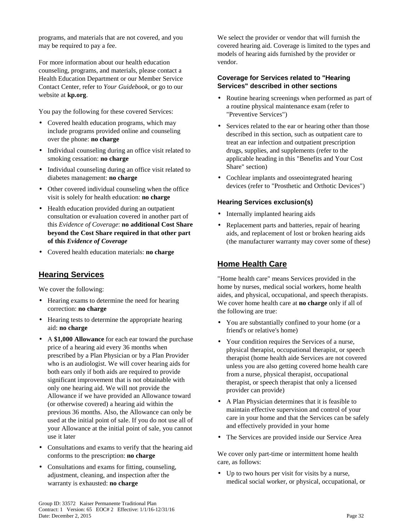programs, and materials that are not covered, and you may be required to pay a fee.

For more information about our health education counseling, programs, and materials, please contact a Health Education Department or our Member Service Contact Center, refer to *Your Guidebook*, or go to our website at **kp.org**.

You pay the following for these covered Services:

- Covered health education programs, which may include programs provided online and counseling over the phone: **no charge**
- Individual counseling during an office visit related to smoking cessation: **no charge**
- Individual counseling during an office visit related to diabetes management: **no charge**
- Other covered individual counseling when the office visit is solely for health education: **no charge**
- Health education provided during an outpatient consultation or evaluation covered in another part of this *Evidence of Coverage*: **no additional Cost Share beyond the Cost Share required in that other part of this** *Evidence of Coverage*
- Covered health education materials: **no charge**

# **Hearing Services**

We cover the following:

- Hearing exams to determine the need for hearing correction: **no charge**
- Hearing tests to determine the appropriate hearing aid: **no charge**
- A **\$1,000 Allowance** for each ear toward the purchase price of a hearing aid every 36 months when prescribed by a Plan Physician or by a Plan Provider who is an audiologist. We will cover hearing aids for both ears only if both aids are required to provide significant improvement that is not obtainable with only one hearing aid. We will not provide the Allowance if we have provided an Allowance toward (or otherwise covered) a hearing aid within the previous 36 months. Also, the Allowance can only be used at the initial point of sale. If you do not use all of your Allowance at the initial point of sale, you cannot use it later
- Consultations and exams to verify that the hearing aid conforms to the prescription: **no charge**
- Consultations and exams for fitting, counseling, adjustment, cleaning, and inspection after the warranty is exhausted: **no charge**

We select the provider or vendor that will furnish the covered hearing aid. Coverage is limited to the types and models of hearing aids furnished by the provider or vendor.

## **Coverage for Services related to "Hearing Services" described in other sections**

- Routine hearing screenings when performed as part of a routine physical maintenance exam (refer to "Preventive Services")
- Services related to the ear or hearing other than those described in this section, such as outpatient care to treat an ear infection and outpatient prescription drugs, supplies, and supplements (refer to the applicable heading in this "Benefits and Your Cost Share" section)
- Cochlear implants and osseointegrated hearing devices (refer to "Prosthetic and Orthotic Devices")

## **Hearing Services exclusion(s)**

- Internally implanted hearing aids
- Replacement parts and batteries, repair of hearing aids, and replacement of lost or broken hearing aids (the manufacturer warranty may cover some of these)

# **Home Health Care**

"Home health care" means Services provided in the home by nurses, medical social workers, home health aides, and physical, occupational, and speech therapists. We cover home health care at **no charge** only if all of the following are true:

- You are substantially confined to your home (or a friend's or relative's home)
- Your condition requires the Services of a nurse, physical therapist, occupational therapist, or speech therapist (home health aide Services are not covered unless you are also getting covered home health care from a nurse, physical therapist, occupational therapist, or speech therapist that only a licensed provider can provide)
- A Plan Physician determines that it is feasible to maintain effective supervision and control of your care in your home and that the Services can be safely and effectively provided in your home
- The Services are provided inside our Service Area

We cover only part-time or intermittent home health care, as follows:

• Up to two hours per visit for visits by a nurse, medical social worker, or physical, occupational, or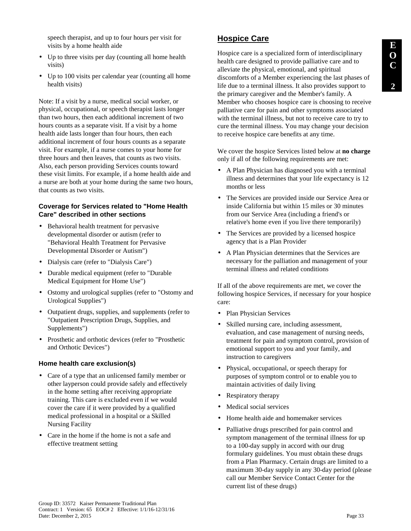speech therapist, and up to four hours per visit for visits by a home health aide

- Up to three visits per day (counting all home health visits)
- Up to 100 visits per calendar year (counting all home health visits)

Note: If a visit by a nurse, medical social worker, or physical, occupational, or speech therapist lasts longer than two hours, then each additional increment of two hours counts as a separate visit. If a visit by a home health aide lasts longer than four hours, then each additional increment of four hours counts as a separate visit. For example, if a nurse comes to your home for three hours and then leaves, that counts as two visits. Also, each person providing Services counts toward these visit limits. For example, if a home health aide and a nurse are both at your home during the same two hours, that counts as two visits.

#### **Coverage for Services related to "Home Health Care" described in other sections**

- Behavioral health treatment for pervasive developmental disorder or autism (refer to "Behavioral Health Treatment for Pervasive Developmental Disorder or Autism")
- Dialysis care (refer to "Dialysis Care")
- Durable medical equipment (refer to "Durable Medical Equipment for Home Use")
- Ostomy and urological supplies (refer to "Ostomy and Urological Supplies")
- Outpatient drugs, supplies, and supplements (refer to "Outpatient Prescription Drugs, Supplies, and Supplements")
- Prosthetic and orthotic devices (refer to "Prosthetic and Orthotic Devices")

#### **Home health care exclusion(s)**

- Care of a type that an unlicensed family member or other layperson could provide safely and effectively in the home setting after receiving appropriate training. This care is excluded even if we would cover the care if it were provided by a qualified medical professional in a hospital or a Skilled Nursing Facility
- Care in the home if the home is not a safe and effective treatment setting

## **Hospice Care**

Hospice care is a specialized form of interdisciplinary health care designed to provide palliative care and to alleviate the physical, emotional, and spiritual discomforts of a Member experiencing the last phases of life due to a terminal illness. It also provides support to the primary caregiver and the Member's family. A Member who chooses hospice care is choosing to receive palliative care for pain and other symptoms associated with the terminal illness, but not to receive care to try to cure the terminal illness. You may change your decision to receive hospice care benefits at any time.

We cover the hospice Services listed below at **no charge** only if all of the following requirements are met:

- A Plan Physician has diagnosed you with a terminal illness and determines that your life expectancy is 12 months or less
- The Services are provided inside our Service Area or inside California but within 15 miles or 30 minutes from our Service Area (including a friend's or relative's home even if you live there temporarily)
- The Services are provided by a licensed hospice agency that is a Plan Provider
- A Plan Physician determines that the Services are necessary for the palliation and management of your terminal illness and related conditions

If all of the above requirements are met, we cover the following hospice Services, if necessary for your hospice care:

- Plan Physician Services
- Skilled nursing care, including assessment, evaluation, and case management of nursing needs, treatment for pain and symptom control, provision of emotional support to you and your family, and instruction to caregivers
- Physical, occupational, or speech therapy for purposes of symptom control or to enable you to maintain activities of daily living
- Respiratory therapy
- Medical social services
- Home health aide and homemaker services
- Palliative drugs prescribed for pain control and symptom management of the terminal illness for up to a 100-day supply in accord with our drug formulary guidelines. You must obtain these drugs from a Plan Pharmacy. Certain drugs are limited to a maximum 30-day supply in any 30-day period (please call our Member Service Contact Center for the current list of these drugs)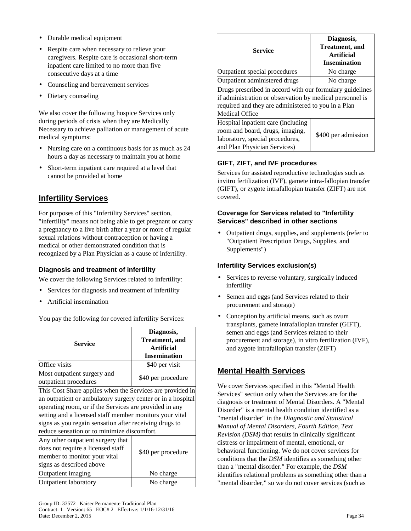- Durable medical equipment
- Respite care when necessary to relieve your caregivers. Respite care is occasional short-term inpatient care limited to no more than five consecutive days at a time
- Counseling and bereavement services
- Dietary counseling

We also cover the following hospice Services only during periods of crisis when they are Medically Necessary to achieve palliation or management of acute medical symptoms:

- Nursing care on a continuous basis for as much as 24 hours a day as necessary to maintain you at home
- Short-term inpatient care required at a level that cannot be provided at home

# **Infertility Services**

For purposes of this "Infertility Services" section, "infertility" means not being able to get pregnant or carry a pregnancy to a live birth after a year or more of regular sexual relations without contraception or having a medical or other demonstrated condition that is recognized by a Plan Physician as a cause of infertility.

## **Diagnosis and treatment of infertility**

We cover the following Services related to infertility:

- Services for diagnosis and treatment of infertility
- Artificial insemination

You pay the following for covered infertility Services:

| <b>Service</b>                                                                                                                                                                                                                                                                                                                                         | Diagnosis,<br><b>Treatment</b> , and<br><b>Artificial</b><br><b>Insemination</b> |  |
|--------------------------------------------------------------------------------------------------------------------------------------------------------------------------------------------------------------------------------------------------------------------------------------------------------------------------------------------------------|----------------------------------------------------------------------------------|--|
| Office visits                                                                                                                                                                                                                                                                                                                                          | \$40 per visit                                                                   |  |
| Most outpatient surgery and<br>outpatient procedures                                                                                                                                                                                                                                                                                                   | \$40 per procedure                                                               |  |
| This Cost Share applies when the Services are provided in<br>an outpatient or ambulatory surgery center or in a hospital<br>operating room, or if the Services are provided in any<br>setting and a licensed staff member monitors your vital<br>signs as you regain sensation after receiving drugs to<br>reduce sensation or to minimize discomfort. |                                                                                  |  |
| Any other outpatient surgery that<br>does not require a licensed staff<br>member to monitor your vital<br>signs as described above                                                                                                                                                                                                                     | \$40 per procedure                                                               |  |
| Outpatient imaging                                                                                                                                                                                                                                                                                                                                     | No charge                                                                        |  |
| <b>Outpatient laboratory</b>                                                                                                                                                                                                                                                                                                                           | No charge                                                                        |  |

| <b>Service</b>                                                                                                                                                                                | Diagnosis,<br><b>Treatment</b> , and<br>Artificial<br><b>Insemination</b> |  |
|-----------------------------------------------------------------------------------------------------------------------------------------------------------------------------------------------|---------------------------------------------------------------------------|--|
| Outpatient special procedures                                                                                                                                                                 | No charge                                                                 |  |
| Outpatient administered drugs                                                                                                                                                                 | No charge                                                                 |  |
| Drugs prescribed in accord with our formulary guidelines<br>if administration or observation by medical personnel is<br>required and they are administered to you in a Plan<br>Medical Office |                                                                           |  |
| Hospital inpatient care (including<br>room and board, drugs, imaging,<br>laboratory, special procedures,<br>and Plan Physician Services)                                                      | \$400 per admission                                                       |  |

## **GIFT, ZIFT, and IVF procedures**

Services for assisted reproductive technologies such as invitro fertilization (IVF), gamete intra-fallopian transfer (GIFT), or zygote intrafallopian transfer (ZIFT) are not covered.

#### **Coverage for Services related to "Infertility Services" described in other sections**

• Outpatient drugs, supplies, and supplements (refer to "Outpatient Prescription Drugs, Supplies, and Supplements")

### **Infertility Services exclusion(s)**

- Services to reverse voluntary, surgically induced infertility
- Semen and eggs (and Services related to their procurement and storage)
- Conception by artificial means, such as ovum transplants, gamete intrafallopian transfer (GIFT), semen and eggs (and Services related to their procurement and storage), in vitro fertilization (IVF), and zygote intrafallopian transfer (ZIFT)

## **Mental Health Services**

We cover Services specified in this "Mental Health Services" section only when the Services are for the diagnosis or treatment of Mental Disorders. A "Mental Disorder" is a mental health condition identified as a "mental disorder" in the *Diagnostic and Statistical Manual of Mental Disorders, Fourth Edition, Text Revision (DSM)* that results in clinically significant distress or impairment of mental, emotional, or behavioral functioning. We do not cover services for conditions that the *DSM* identifies as something other than a "mental disorder." For example, the *DSM* identifies relational problems as something other than a "mental disorder," so we do not cover services (such as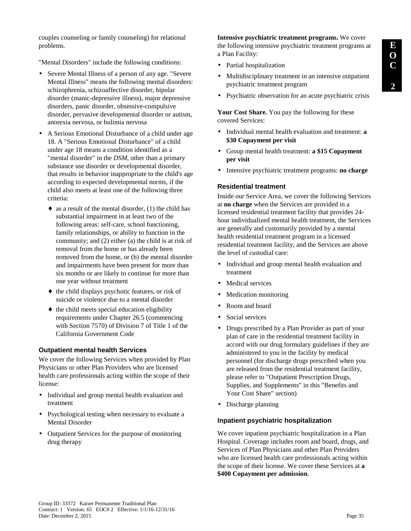couples counseling or family counseling) for relational problems.

"Mental Disorders" include the following conditions:

- Severe Mental Illness of a person of any age. "Severe Mental Illness" means the following mental disorders: schizophrenia, schizoaffective disorder, bipolar disorder (manic-depressive illness), major depressive disorders, panic disorder, obsessive-compulsive disorder, pervasive developmental disorder or autism, anorexia nervosa, or bulimia nervosa
- A Serious Emotional Disturbance of a child under age 18. A "Serious Emotional Disturbance" of a child under age 18 means a condition identified as a "mental disorder" in the *DSM*, other than a primary substance use disorder or developmental disorder, that results in behavior inappropriate to the child's age according to expected developmental norms, if the child also meets at least one of the following three criteria:
	- $\bullet$  as a result of the mental disorder, (1) the child has substantial impairment in at least two of the following areas: self-care, school functioning, family relationships, or ability to function in the community; and (2) either (a) the child is at risk of removal from the home or has already been removed from the home, or (b) the mental disorder and impairments have been present for more than six months or are likely to continue for more than one year without treatment
	- ♦ the child displays psychotic features, or risk of suicide or violence due to a mental disorder
	- $\bullet$  the child meets special education eligibility requirements under Chapter 26.5 (commencing with Section 7570) of Division 7 of Title 1 of the California Government Code

#### **Outpatient mental health Services**

We cover the following Services when provided by Plan Physicians or other Plan Providers who are licensed health care professionals acting within the scope of their license:

- Individual and group mental health evaluation and treatment
- Psychological testing when necessary to evaluate a Mental Disorder
- Outpatient Services for the purpose of monitoring drug therapy

**Intensive psychiatric treatment programs.** We cover the following intensive psychiatric treatment programs at a Plan Facility:

- Partial hospitalization
- Multidisciplinary treatment in an intensive outpatient psychiatric treatment program
- Psychiatric observation for an acute psychiatric crisis

**Your Cost Share.** You pay the following for these covered Services:

- Individual mental health evaluation and treatment: **a \$30 Copayment per visit**
- Group mental health treatment: **a \$15 Copayment per visit**
- Intensive psychiatric treatment programs: **no charge**

#### **Residential treatment**

Inside our Service Area, we cover the following Services at **no charge** when the Services are provided in a licensed residential treatment facility that provides 24 hour individualized mental health treatment, the Services are generally and customarily provided by a mental health residential treatment program in a licensed residential treatment facility, and the Services are above the level of custodial care:

- Individual and group mental health evaluation and treatment
- Medical services
- Medication monitoring
- Room and board
- Social services
- Drugs prescribed by a Plan Provider as part of your plan of care in the residential treatment facility in accord with our drug formulary guidelines if they are administered to you in the facility by medical personnel (for discharge drugs prescribed when you are released from the residential treatment facility, please refer to "Outpatient Prescription Drugs, Supplies, and Supplements" in this "Benefits and Your Cost Share" section)
- Discharge planning

#### **Inpatient psychiatric hospitalization**

We cover inpatient psychiatric hospitalization in a Plan Hospital. Coverage includes room and board, drugs, and Services of Plan Physicians and other Plan Providers who are licensed health care professionals acting within the scope of their license. We cover these Services at **a \$400 Copayment per admission**.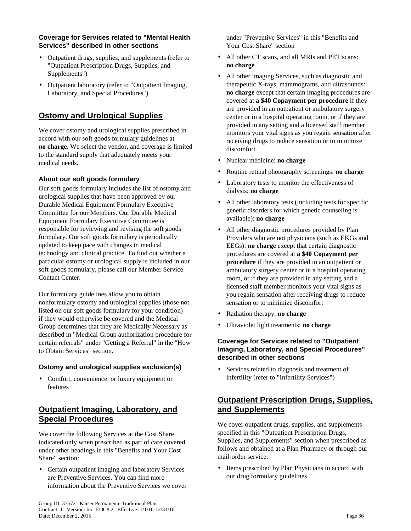#### **Coverage for Services related to "Mental Health Services" described in other sections**

- Outpatient drugs, supplies, and supplements (refer to "Outpatient Prescription Drugs, Supplies, and Supplements")
- Outpatient laboratory (refer to "Outpatient Imaging, Laboratory, and Special Procedures")

# **Ostomy and Urological Supplies**

We cover ostomy and urological supplies prescribed in accord with our soft goods formulary guidelines at **no charge**. We select the vendor, and coverage is limited to the standard supply that adequately meets your medical needs.

## **About our soft goods formulary**

Our soft goods formulary includes the list of ostomy and urological supplies that have been approved by our Durable Medical Equipment Formulary Executive Committee for our Members. Our Durable Medical Equipment Formulary Executive Committee is responsible for reviewing and revising the soft goods formulary. Our soft goods formulary is periodically updated to keep pace with changes in medical technology and clinical practice. To find out whether a particular ostomy or urological supply is included in our soft goods formulary, please call our Member Service Contact Center.

Our formulary guidelines allow you to obtain nonformulary ostomy and urological supplies (those not listed on our soft goods formulary for your condition) if they would otherwise be covered and the Medical Group determines that they are Medically Necessary as described in "Medical Group authorization procedure for certain referrals" under "Getting a Referral" in the "How to Obtain Services" section.

### **Ostomy and urological supplies exclusion(s)**

• Comfort, convenience, or luxury equipment or features

# **Outpatient Imaging, Laboratory, and Special Procedures**

We cover the following Services at the Cost Share indicated only when prescribed as part of care covered under other headings in this "Benefits and Your Cost Share" section:

• Certain outpatient imaging and laboratory Services are Preventive Services. You can find more information about the Preventive Services we cover under "Preventive Services" in this "Benefits and Your Cost Share" section

- All other CT scans, and all MRIs and PET scans: **no charge**
- All other imaging Services, such as diagnostic and therapeutic X-rays, mammograms, and ultrasounds: **no charge** except that certain imaging procedures are covered at **a \$40 Copayment per procedure** if they are provided in an outpatient or ambulatory surgery center or in a hospital operating room, or if they are provided in any setting and a licensed staff member monitors your vital signs as you regain sensation after receiving drugs to reduce sensation or to minimize discomfort
- Nuclear medicine: **no charge**
- Routine retinal photography screenings: **no charge**
- Laboratory tests to monitor the effectiveness of dialysis: **no charge**
- All other laboratory tests (including tests for specific genetic disorders for which genetic counseling is available): **no charge**
- All other diagnostic procedures provided by Plan Providers who are not physicians (such as EKGs and EEGs): **no charge** except that certain diagnostic procedures are covered at **a \$40 Copayment per procedure** if they are provided in an outpatient or ambulatory surgery center or in a hospital operating room, or if they are provided in any setting and a licensed staff member monitors your vital signs as you regain sensation after receiving drugs to reduce sensation or to minimize discomfort
- Radiation therapy: **no charge**
- Ultraviolet light treatments: **no charge**

#### **Coverage for Services related to "Outpatient Imaging, Laboratory, and Special Procedures" described in other sections**

• Services related to diagnosis and treatment of infertility (refer to "Infertility Services")

# **Outpatient Prescription Drugs, Supplies, and Supplements**

We cover outpatient drugs, supplies, and supplements specified in this "Outpatient Prescription Drugs, Supplies, and Supplements" section when prescribed as follows and obtained at a Plan Pharmacy or through our mail-order service:

• Items prescribed by Plan Physicians in accord with our drug formulary guidelines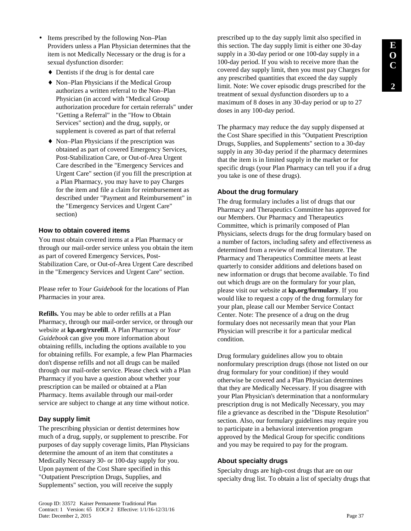- Items prescribed by the following Non–Plan Providers unless a Plan Physician determines that the item is not Medically Necessary or the drug is for a sexual dysfunction disorder:
	- $\triangle$  Dentists if the drug is for dental care
	- ♦ Non–Plan Physicians if the Medical Group authorizes a written referral to the Non–Plan Physician (in accord with "Medical Group authorization procedure for certain referrals" under "Getting a Referral" in the "How to Obtain Services" section) and the drug, supply, or supplement is covered as part of that referral
	- ♦ Non–Plan Physicians if the prescription was obtained as part of covered Emergency Services, Post-Stabilization Care, or Out-of-Area Urgent Care described in the "Emergency Services and Urgent Care" section (if you fill the prescription at a Plan Pharmacy, you may have to pay Charges for the item and file a claim for reimbursement as described under "Payment and Reimbursement" in the "Emergency Services and Urgent Care" section)

### **How to obtain covered items**

You must obtain covered items at a Plan Pharmacy or through our mail-order service unless you obtain the item as part of covered Emergency Services, Post-Stabilization Care, or Out-of-Area Urgent Care described in the "Emergency Services and Urgent Care" section.

Please refer to *Your Guidebook* for the locations of Plan Pharmacies in your area.

**Refills.** You may be able to order refills at a Plan Pharmacy, through our mail-order service, or through our website at **kp.org/rxrefill**. A Plan Pharmacy or *Your Guidebook* can give you more information about obtaining refills, including the options available to you for obtaining refills. For example, a few Plan Pharmacies don't dispense refills and not all drugs can be mailed through our mail-order service. Please check with a Plan Pharmacy if you have a question about whether your prescription can be mailed or obtained at a Plan Pharmacy. Items available through our mail-order service are subject to change at any time without notice.

## **Day supply limit**

The prescribing physician or dentist determines how much of a drug, supply, or supplement to prescribe. For purposes of day supply coverage limits, Plan Physicians determine the amount of an item that constitutes a Medically Necessary 30- or 100-day supply for you. Upon payment of the Cost Share specified in this "Outpatient Prescription Drugs, Supplies, and Supplements" section, you will receive the supply

prescribed up to the day supply limit also specified in this section. The day supply limit is either one 30-day supply in a 30-day period or one 100-day supply in a 100-day period. If you wish to receive more than the covered day supply limit, then you must pay Charges for any prescribed quantities that exceed the day supply limit. Note: We cover episodic drugs prescribed for the treatment of sexual dysfunction disorders up to a maximum of 8 doses in any 30-day period or up to 27 doses in any 100-day period.

The pharmacy may reduce the day supply dispensed at the Cost Share specified in this "Outpatient Prescription Drugs, Supplies, and Supplements" section to a 30-day supply in any 30-day period if the pharmacy determines that the item is in limited supply in the market or for specific drugs (your Plan Pharmacy can tell you if a drug you take is one of these drugs).

### **About the drug formulary**

The drug formulary includes a list of drugs that our Pharmacy and Therapeutics Committee has approved for our Members. Our Pharmacy and Therapeutics Committee, which is primarily composed of Plan Physicians, selects drugs for the drug formulary based on a number of factors, including safety and effectiveness as determined from a review of medical literature. The Pharmacy and Therapeutics Committee meets at least quarterly to consider additions and deletions based on new information or drugs that become available. To find out which drugs are on the formulary for your plan, please visit our website at **kp.org/formulary**. If you would like to request a copy of the drug formulary for your plan, please call our Member Service Contact Center. Note: The presence of a drug on the drug formulary does not necessarily mean that your Plan Physician will prescribe it for a particular medical condition.

Drug formulary guidelines allow you to obtain nonformulary prescription drugs (those not listed on our drug formulary for your condition) if they would otherwise be covered and a Plan Physician determines that they are Medically Necessary. If you disagree with your Plan Physician's determination that a nonformulary prescription drug is not Medically Necessary, you may file a grievance as described in the "Dispute Resolution" section. Also, our formulary guidelines may require you to participate in a behavioral intervention program approved by the Medical Group for specific conditions and you may be required to pay for the program.

### **About specialty drugs**

Specialty drugs are high-cost drugs that are on our specialty drug list. To obtain a list of specialty drugs that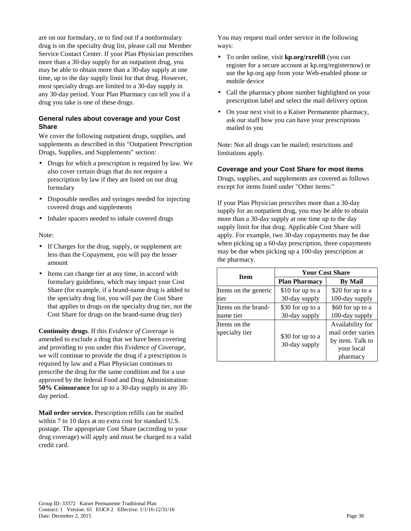are on our formulary, or to find out if a nonformulary drug is on the specialty drug list, please call our Member Service Contact Center. If your Plan Physician prescribes more than a 30-day supply for an outpatient drug, you may be able to obtain more than a 30-day supply at one time, up to the day supply limit for that drug. However, most specialty drugs are limited to a 30-day supply in any 30-day period. Your Plan Pharmacy can tell you if a drug you take is one of these drugs.

#### **General rules about coverage and your Cost Share**

We cover the following outpatient drugs, supplies, and supplements as described in this "Outpatient Prescription Drugs, Supplies, and Supplements" section:

- Drugs for which a prescription is required by law. We also cover certain drugs that do not require a prescription by law if they are listed on our drug formulary
- Disposable needles and syringes needed for injecting covered drugs and supplements
- Inhaler spacers needed to inhale covered drugs

#### Note:

- If Charges for the drug, supply, or supplement are less than the Copayment, you will pay the lesser amount
- Items can change tier at any time, in accord with formulary guidelines, which may impact your Cost Share (for example, if a brand-name drug is added to the specialty drug list, you will pay the Cost Share that applies to drugs on the specialty drug tier, not the Cost Share for drugs on the brand-name drug tier)

**Continuity drugs**. If this *Evidence of Coverage* is amended to exclude a drug that we have been covering and providing to you under this *Evidence of Coverage*, we will continue to provide the drug if a prescription is required by law and a Plan Physician continues to prescribe the drug for the same condition and for a use approved by the federal Food and Drug Administration: **50% Coinsurance** for up to a 30-day supply in any 30 day period.

**Mail order service.** Prescription refills can be mailed within 7 to 10 days at no extra cost for standard U.S. postage. The appropriate Cost Share (according to your drug coverage) will apply and must be charged to a valid credit card.

You may request mail order service in the following ways:

- To order online, visit **kp.org/rxrefill** (you can register for a secure account at kp.org/registernow) or use the kp.org app from your Web-enabled phone or mobile device
- Call the pharmacy phone number highlighted on your prescription label and select the mail delivery option
- On your next visit to a Kaiser Permanente pharmacy, ask our staff how you can have your prescriptions mailed to you

Note: Not all drugs can be mailed; restrictions and limitations apply.

#### **Coverage and your Cost Share for most items**

Drugs, supplies, and supplements are covered as follows except for items listed under "Other items:"

If your Plan Physician prescribes more than a 30-day supply for an outpatient drug, you may be able to obtain more than a 30-day supply at one time up to the day supply limit for that drug. Applicable Cost Share will apply. For example, two 30-day copayments may be due when picking up a 60-day prescription, three copayments may be due when picking up a 100-day prescription at the pharmacy.

| <b>Item</b>                    | <b>Your Cost Share</b>            |                                                                                     |
|--------------------------------|-----------------------------------|-------------------------------------------------------------------------------------|
|                                | <b>Plan Pharmacy</b>              | <b>By Mail</b>                                                                      |
| Items on the generic           | \$10 for up to a                  | \$20 for up to a                                                                    |
| tier                           | 30-day supply                     | 100-day supply                                                                      |
| Items on the brand-            | \$30 for up to a                  | \$60 for up to a                                                                    |
| name tier                      | 30-day supply                     | 100-day supply                                                                      |
| Items on the<br>specialty tier | \$30 for up to a<br>30-day supply | Availability for<br>mail order varies<br>by item. Talk to<br>your local<br>pharmacy |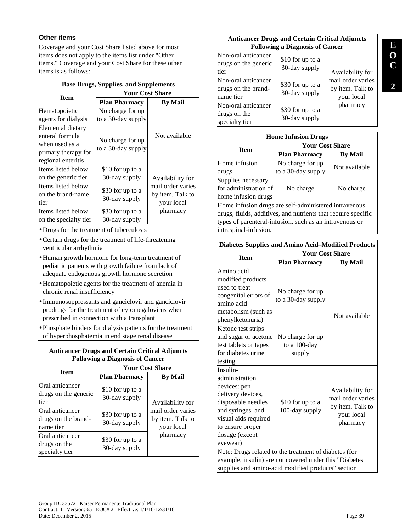## **Other items**

Coverage and your Cost Share listed above for most items does not apply to the items list under "Other items." Coverage and your Cost Share for these other items is as follows:

| <b>Base Drugs, Supplies, and Supplements</b>                                                        |                                        |                                                     |  |
|-----------------------------------------------------------------------------------------------------|----------------------------------------|-----------------------------------------------------|--|
| <b>Item</b>                                                                                         | <b>Your Cost Share</b>                 |                                                     |  |
|                                                                                                     | <b>Plan Pharmacy</b>                   | By Mail                                             |  |
| Hematopoietic<br>agents for dialysis                                                                | No charge for up<br>to a 30-day supply |                                                     |  |
| Elemental dietary<br>enteral formula<br>when used as a<br>primary therapy for<br>regional enteritis | No charge for up<br>to a 30-day supply | Not available                                       |  |
| Items listed below<br>on the generic tier                                                           | \$10 for up to a<br>30-day supply      | Availability for                                    |  |
| Items listed below<br>on the brand-name<br>tier                                                     | \$30 for up to a<br>30-day supply      | mail order varies<br>by item. Talk to<br>your local |  |
| Items listed below<br>on the specialty tier                                                         | \$30 for up to a<br>30-day supply      | pharmacy                                            |  |

- •Drugs for the treatment of tuberculosis
- •Certain drugs for the treatment of life-threatening ventricular arrhythmia
- •Human growth hormone for long-term treatment of pediatric patients with growth failure from lack of adequate endogenous growth hormone secretion
- •Hematopoietic agents for the treatment of anemia in chronic renal insufficiency
- Immunosuppressants and ganciclovir and ganciclovir prodrugs for the treatment of cytomegalovirus when prescribed in connection with a transplant
- Phosphate binders for dialysis patients for the treatment of hyperphosphatemia in end stage renal disease

| <b>Anticancer Drugs and Certain Critical Adjuncts</b><br><b>Following a Diagnosis of Cancer</b> |                                   |                                                     |
|-------------------------------------------------------------------------------------------------|-----------------------------------|-----------------------------------------------------|
| <b>Item</b>                                                                                     |                                   | <b>Your Cost Share</b>                              |
|                                                                                                 | <b>Plan Pharmacy</b>              | <b>By Mail</b>                                      |
| Oral anticancer<br>drugs on the generic<br>tier                                                 | \$10 for up to a<br>30-day supply | Availability for                                    |
| Oral anticancer<br>drugs on the brand-<br>name tier                                             | \$30 for up to a<br>30-day supply | mail order varies<br>by item. Talk to<br>your local |
| Oral anticancer<br>drugs on the<br>specialty tier                                               | \$30 for up to a<br>30-day supply | pharmacy                                            |

## **Anticancer Drugs and Certain Critical Adjuncts Following a Diagnosis of Cancer**  Non-oral anticancer

| 1 von oral anticancer<br>drugs on the generic<br>tier   | \$10 for up to a<br>30-day supply | Availability for                                    |
|---------------------------------------------------------|-----------------------------------|-----------------------------------------------------|
| Non-oral anticancer<br>drugs on the brand-<br>name tier | \$30 for up to a<br>30-day supply | mail order varies<br>by item. Talk to<br>your local |
| Non-oral anticancer<br>drugs on the<br>specialty tier   | \$30 for up to a<br>30-day supply | pharmacy                                            |

| <b>Home Infusion Drugs</b> |                      |                        |
|----------------------------|----------------------|------------------------|
| <b>Item</b>                |                      | <b>Your Cost Share</b> |
|                            | <b>Plan Pharmacy</b> | <b>By Mail</b>         |
| Home infusion              | No charge for up     | Not available          |
| drugs                      | to a 30-day supply   |                        |
| Supplies necessary         |                      |                        |
| for administration of      | No charge            | No charge              |
| home infusion drugs        |                      |                        |

Home infusion drugs are self-administered intravenous drugs, fluids, additives, and nutrients that require specific types of parenteral-infusion, such as an intravenous or intraspinal-infusion.

| <b>Diabetes Supplies and Amino Acid-Modified Products</b>                                                                                                                            |                                            |                                                                                     |
|--------------------------------------------------------------------------------------------------------------------------------------------------------------------------------------|--------------------------------------------|-------------------------------------------------------------------------------------|
|                                                                                                                                                                                      | <b>Your Cost Share</b>                     |                                                                                     |
| <b>Item</b>                                                                                                                                                                          | <b>Plan Pharmacy</b>                       | <b>By Mail</b>                                                                      |
| Amino acid-<br>modified products<br>used to treat<br>congenital errors of<br>amino acid<br>metabolism (such as<br>phenylketonuria)                                                   | No charge for up<br>to a 30-day supply     | Not available                                                                       |
| Ketone test strips<br>and sugar or acetone<br>test tablets or tapes<br>for diabetes urine<br>testing                                                                                 | No charge for up<br>to a 100-day<br>supply |                                                                                     |
| Insulin-<br>administration<br>devices: pen<br>delivery devices,<br>disposable needles<br>and syringes, and<br>visual aids required<br>to ensure proper<br>dosage (except<br>eyewear) | \$10 for up to a<br>100-day supply         | Availability for<br>mail order varies<br>by item. Talk to<br>your local<br>pharmacy |
| Note: Drugs related to the treatment of diabetes (for<br>example, insulin) are not covered under this "Diabetes<br>supplies and amino-acid modified products" section                |                                            |                                                                                     |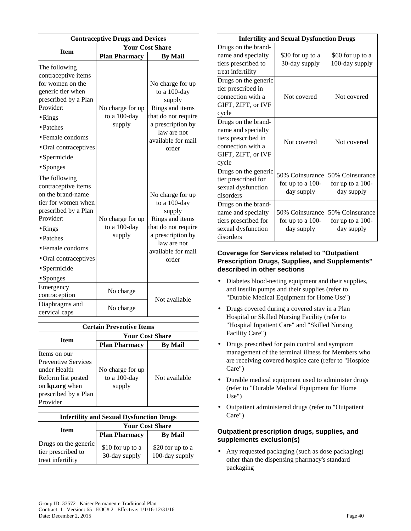| <b>Contraceptive Drugs and Devices</b>                                                                                                                                                                                                       |                                            |                                                                                                                                                         |
|----------------------------------------------------------------------------------------------------------------------------------------------------------------------------------------------------------------------------------------------|--------------------------------------------|---------------------------------------------------------------------------------------------------------------------------------------------------------|
|                                                                                                                                                                                                                                              | <b>Your Cost Share</b>                     |                                                                                                                                                         |
| <b>Item</b>                                                                                                                                                                                                                                  | <b>Plan Pharmacy</b>                       | <b>By Mail</b>                                                                                                                                          |
| The following<br>contraceptive items<br>for women on the<br>generic tier when<br>prescribed by a Plan<br>Provider:<br>$\bullet$ Rings<br>• Patches<br>$\bullet$ Female condoms<br>• Oral contraceptives<br>· Spermicide<br>$\bullet$ Sponges | No charge for up<br>to a 100-day<br>supply | No charge for up<br>to a 100-day<br>supply<br>Rings and items<br>that do not require<br>a prescription by<br>law are not<br>available for mail<br>order |
| The following<br>contraceptive items<br>on the brand-name<br>tier for women when<br>prescribed by a Plan<br>Provider:<br>$\bullet$ Rings<br>• Patches<br>• Female condoms<br>· Oral contraceptives<br>• Spermicide<br>$\bullet$ Sponges      | No charge for up<br>to a 100-day<br>supply | No charge for up<br>to a 100-day<br>supply<br>Rings and items<br>that do not require<br>a prescription by<br>law are not<br>available for mail<br>order |
| Emergency<br>contraception                                                                                                                                                                                                                   | No charge                                  | Not available                                                                                                                                           |
| Diaphragms and<br>cervical caps                                                                                                                                                                                                              | No charge                                  |                                                                                                                                                         |

| <b>Certain Preventive Items</b>               |                        |                |
|-----------------------------------------------|------------------------|----------------|
|                                               | <b>Your Cost Share</b> |                |
| <b>Item</b>                                   | <b>Plan Pharmacy</b>   | <b>By Mail</b> |
| Items on our                                  |                        |                |
| <b>Preventive Services</b>                    |                        |                |
| under Health                                  | No charge for up       |                |
| Reform list posted                            | to a 100-day           | Not available  |
| on <b>kp.org</b> when<br>prescribed by a Plan | supply                 |                |
| Provider                                      |                        |                |

| <b>Infertility and Sexual Dysfunction Drugs</b>                 |                                   |                                    |
|-----------------------------------------------------------------|-----------------------------------|------------------------------------|
|                                                                 | <b>Your Cost Share</b>            |                                    |
| <b>Item</b>                                                     | <b>Plan Pharmacy</b>              | <b>By Mail</b>                     |
| Drugs on the generic<br>tier prescribed to<br>treat infertility | \$10 for up to a<br>30-day supply | \$20 for up to a<br>100-day supply |

| <b>Infertility and Sexual Dysfunction Drugs</b> |                    |                    |
|-------------------------------------------------|--------------------|--------------------|
| Drugs on the brand-                             |                    |                    |
| name and specialty                              | \$30 for up to a   | \$60 for up to a   |
| tiers prescribed to                             | 30-day supply      | 100-day supply     |
| treat infertility                               |                    |                    |
| Drugs on the generic                            |                    |                    |
| tier prescribed in                              |                    |                    |
| connection with a                               | Not covered        | Not covered        |
| GIFT, ZIFT, or IVF                              |                    |                    |
| cycle                                           |                    |                    |
| Drugs on the brand-                             |                    |                    |
| name and specialty                              |                    |                    |
| tiers prescribed in                             | Not covered        | Not covered        |
| connection with a                               |                    |                    |
| GIFT, ZIFT, or IVF                              |                    |                    |
| cycle                                           |                    |                    |
| Drugs on the generic                            | 50% Coinsurance    | 50% Coinsurance    |
| tier prescribed for                             | for up to a $100-$ | for up to a $100-$ |
| sexual dysfunction                              | day supply         | day supply         |
| disorders                                       |                    |                    |
| Drugs on the brand-                             |                    |                    |
| name and specialty                              | 50% Coinsurance    | 50% Coinsurance    |
| tiers prescribed for                            | for up to a $100-$ | for up to a 100-   |
| sexual dysfunction                              | day supply         | day supply         |
| disorders                                       |                    |                    |

#### **Coverage for Services related to "Outpatient Prescription Drugs, Supplies, and Supplements" described in other sections**

- Diabetes blood-testing equipment and their supplies, and insulin pumps and their supplies (refer to "Durable Medical Equipment for Home Use")
- Drugs covered during a covered stay in a Plan Hospital or Skilled Nursing Facility (refer to "Hospital Inpatient Care" and "Skilled Nursing Facility Care")
- Drugs prescribed for pain control and symptom management of the terminal illness for Members who are receiving covered hospice care (refer to "Hospice Care")
- Durable medical equipment used to administer drugs (refer to "Durable Medical Equipment for Home Use")
- Outpatient administered drugs (refer to "Outpatient Care")

## **Outpatient prescription drugs, supplies, and supplements exclusion(s)**

• Any requested packaging (such as dose packaging) other than the dispensing pharmacy's standard packaging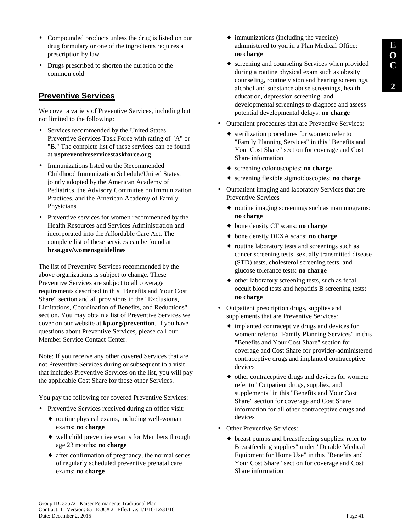- Compounded products unless the drug is listed on our drug formulary or one of the ingredients requires a prescription by law
- Drugs prescribed to shorten the duration of the common cold

# **Preventive Services**

We cover a variety of Preventive Services, including but not limited to the following:

- Services recommended by the United States Preventive Services Task Force with rating of "A" or "B." The complete list of these services can be found at **uspreventiveservicestaskforce.org**
- Immunizations listed on the Recommended Childhood Immunization Schedule/United States, jointly adopted by the American Academy of Pediatrics, the Advisory Committee on Immunization Practices, and the American Academy of Family Physicians
- Preventive services for women recommended by the Health Resources and Services Administration and incorporated into the Affordable Care Act. The complete list of these services can be found at **hrsa.gov/womensguidelines**

The list of Preventive Services recommended by the above organizations is subject to change. These Preventive Services are subject to all coverage requirements described in this "Benefits and Your Cost Share" section and all provisions in the "Exclusions, Limitations, Coordination of Benefits, and Reductions" section. You may obtain a list of Preventive Services we cover on our website at **kp.org/prevention**. If you have questions about Preventive Services, please call our Member Service Contact Center.

Note: If you receive any other covered Services that are not Preventive Services during or subsequent to a visit that includes Preventive Services on the list, you will pay the applicable Cost Share for those other Services.

You pay the following for covered Preventive Services:

- Preventive Services received during an office visit:
	- ♦ routine physical exams, including well-woman exams: **no charge**
	- ♦ well child preventive exams for Members through age 23 months: **no charge**
	- ♦ after confirmation of pregnancy, the normal series of regularly scheduled preventive prenatal care exams: **no charge**
- $\bullet$  immunizations (including the vaccine) administered to you in a Plan Medical Office: **no charge**
- ♦ screening and counseling Services when provided during a routine physical exam such as obesity counseling, routine vision and hearing screenings, alcohol and substance abuse screenings, health education, depression screening, and developmental screenings to diagnose and assess potential developmental delays: **no charge**
- Outpatient procedures that are Preventive Services:
	- ♦ sterilization procedures for women: refer to "Family Planning Services" in this "Benefits and Your Cost Share" section for coverage and Cost Share information
	- ♦ screening colonoscopies: **no charge**
	- ♦ screening flexible sigmoidoscopies: **no charge**
- Outpatient imaging and laboratory Services that are Preventive Services
	- ♦ routine imaging screenings such as mammograms: **no charge**
	- ♦ bone density CT scans: **no charge**
	- ♦ bone density DEXA scans: **no charge**
	- ♦ routine laboratory tests and screenings such as cancer screening tests, sexually transmitted disease (STD) tests, cholesterol screening tests, and glucose tolerance tests: **no charge**
	- ♦ other laboratory screening tests, such as fecal occult blood tests and hepatitis B screening tests: **no charge**
- Outpatient prescription drugs, supplies and supplements that are Preventive Services:
	- ♦ implanted contraceptive drugs and devices for women: refer to "Family Planning Services" in this "Benefits and Your Cost Share" section for coverage and Cost Share for provider-administered contraceptive drugs and implanted contraceptive devices
	- ♦ other contraceptive drugs and devices for women: refer to "Outpatient drugs, supplies, and supplements" in this "Benefits and Your Cost Share" section for coverage and Cost Share information for all other contraceptive drugs and devices
- Other Preventive Services:
	- ♦ breast pumps and breastfeeding supplies: refer to Breastfeeding supplies" under "Durable Medical Equipment for Home Use" in this "Benefits and Your Cost Share" section for coverage and Cost Share information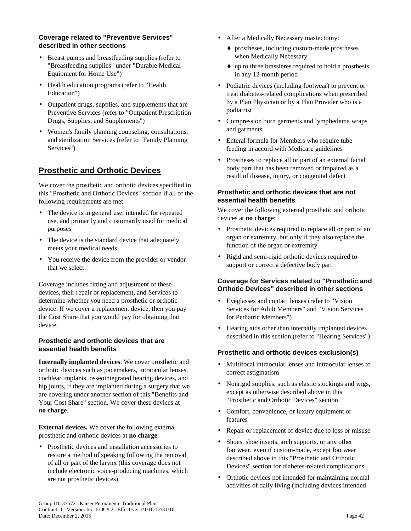#### **Coverage related to "Preventive Services" described in other sections**

- Breast pumps and breastfeeding supplies (refer to "Breastfeeding supplies" under "Durable Medical Equipment for Home Use")
- Health education programs (refer to "Health Education")
- Outpatient drugs, supplies, and supplements that are Preventive Services (refer to "Outpatient Prescription Drugs, Supplies, and Supplements")
- Women's family planning counseling, consultations, and sterilization Services (refer to "Family Planning Services")

# **Prosthetic and Orthotic Devices**

We cover the prosthetic and orthotic devices specified in this "Prosthetic and Orthotic Devices" section if all of the following requirements are met:

- The device is in general use, intended for repeated use, and primarily and customarily used for medical purposes
- The device is the standard device that adequately meets your medical needs
- You receive the device from the provider or vendor that we select

Coverage includes fitting and adjustment of these devices, their repair or replacement, and Services to determine whether you need a prosthetic or orthotic device. If we cover a replacement device, then you pay the Cost Share that you would pay for obtaining that device.

### **Prosthetic and orthotic devices that are essential health benefits**

**Internally implanted devices**. We cover prosthetic and orthotic devices such as pacemakers, intraocular lenses, cochlear implants, osseointegrated hearing devices, and hip joints, if they are implanted during a surgery that we are covering under another section of this "Benefits and Your Cost Share" section. We cover these devices at **no charge**.

**External devices.** We cover the following external prosthetic and orthotic devices at **no charge**:

• Prosthetic devices and installation accessories to restore a method of speaking following the removal of all or part of the larynx (this coverage does not include electronic voice-producing machines, which are not prosthetic devices)

- After a Medically Necessary mastectomy:
	- ♦ prostheses, including custom-made prostheses when Medically Necessary
	- ♦ up to three brassieres required to hold a prosthesis in any 12-month period
- Podiatric devices (including footwear) to prevent or treat diabetes-related complications when prescribed by a Plan Physician or by a Plan Provider who is a podiatrist
- Compression burn garments and lymphedema wraps and garments
- Enteral formula for Members who require tube feeding in accord with Medicare guidelines
- Prostheses to replace all or part of an external facial body part that has been removed or impaired as a result of disease, injury, or congenital defect

### **Prosthetic and orthotic devices that are not essential health benefits**

We cover the following external prosthetic and orthotic devices at **no charge**:

- Prosthetic devices required to replace all or part of an organ or extremity, but only if they also replace the function of the organ or extremity
- Rigid and semi-rigid orthotic devices required to support or correct a defective body part

### **Coverage for Services related to "Prosthetic and Orthotic Devices" described in other sections**

- Eyeglasses and contact lenses (refer to "Vision Services for Adult Members" and "Vision Services for Pediatric Members")
- Hearing aids other than internally implanted devices described in this section (refer to "Hearing Services")

### **Prosthetic and orthotic devices exclusion(s)**

- Multifocal intraocular lenses and intraocular lenses to correct astigmatism
- Nonrigid supplies, such as elastic stockings and wigs, except as otherwise described above in this "Prosthetic and Orthotic Devices" section
- Comfort, convenience, or luxury equipment or features
- Repair or replacement of device due to loss or misuse
- Shoes, shoe inserts, arch supports, or any other footwear, even if custom-made, except footwear described above in this "Prosthetic and Orthotic Devices" section for diabetes-related complications
- Orthotic devices not intended for maintaining normal activities of daily living (including devices intended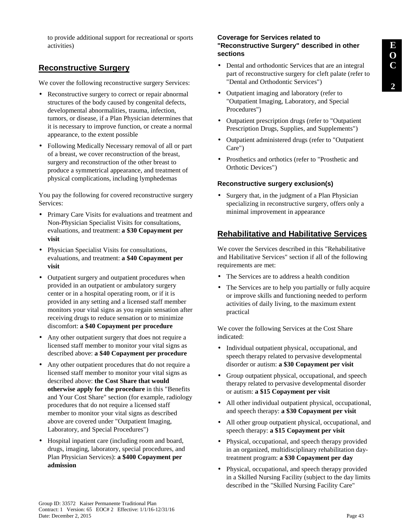to provide additional support for recreational or sports activities)

## **Reconstructive Surgery**

We cover the following reconstructive surgery Services:

- Reconstructive surgery to correct or repair abnormal structures of the body caused by congenital defects, developmental abnormalities, trauma, infection, tumors, or disease, if a Plan Physician determines that it is necessary to improve function, or create a normal appearance, to the extent possible
- Following Medically Necessary removal of all or part of a breast, we cover reconstruction of the breast, surgery and reconstruction of the other breast to produce a symmetrical appearance, and treatment of physical complications, including lymphedemas

You pay the following for covered reconstructive surgery Services:

- Primary Care Visits for evaluations and treatment and Non-Physician Specialist Visits for consultations, evaluations, and treatment: **a \$30 Copayment per visit**
- Physician Specialist Visits for consultations, evaluations, and treatment: **a \$40 Copayment per visit**
- Outpatient surgery and outpatient procedures when provided in an outpatient or ambulatory surgery center or in a hospital operating room, or if it is provided in any setting and a licensed staff member monitors your vital signs as you regain sensation after receiving drugs to reduce sensation or to minimize discomfort: **a \$40 Copayment per procedure**
- Any other outpatient surgery that does not require a licensed staff member to monitor your vital signs as described above: **a \$40 Copayment per procedure**
- Any other outpatient procedures that do not require a licensed staff member to monitor your vital signs as described above: **the Cost Share that would otherwise apply for the procedure** in this "Benefits and Your Cost Share" section (for example, radiology procedures that do not require a licensed staff member to monitor your vital signs as described above are covered under "Outpatient Imaging, Laboratory, and Special Procedures")
- Hospital inpatient care (including room and board, drugs, imaging, laboratory, special procedures, and Plan Physician Services): **a \$400 Copayment per admission**

#### **Coverage for Services related to "Reconstructive Surgery" described in other sections**

- Dental and orthodontic Services that are an integral part of reconstructive surgery for cleft palate (refer to "Dental and Orthodontic Services")
- Outpatient imaging and laboratory (refer to "Outpatient Imaging, Laboratory, and Special Procedures")
- Outpatient prescription drugs (refer to "Outpatient Prescription Drugs, Supplies, and Supplements")
- Outpatient administered drugs (refer to "Outpatient Care")
- Prosthetics and orthotics (refer to "Prosthetic and Orthotic Devices")

#### **Reconstructive surgery exclusion(s)**

• Surgery that, in the judgment of a Plan Physician specializing in reconstructive surgery, offers only a minimal improvement in appearance

## **Rehabilitative and Habilitative Services**

We cover the Services described in this "Rehabilitative and Habilitative Services" section if all of the following requirements are met:

- The Services are to address a health condition
- The Services are to help you partially or fully acquire or improve skills and functioning needed to perform activities of daily living, to the maximum extent practical

We cover the following Services at the Cost Share indicated:

- Individual outpatient physical, occupational, and speech therapy related to pervasive developmental disorder or autism: **a \$30 Copayment per visit**
- Group outpatient physical, occupational, and speech therapy related to pervasive developmental disorder or autism: **a \$15 Copayment per visit**
- All other individual outpatient physical, occupational, and speech therapy: **a \$30 Copayment per visit**
- All other group outpatient physical, occupational, and speech therapy: **a \$15 Copayment per visit**
- Physical, occupational, and speech therapy provided in an organized, multidisciplinary rehabilitation daytreatment program: **a \$30 Copayment per day**
- Physical, occupational, and speech therapy provided in a Skilled Nursing Facility (subject to the day limits described in the "Skilled Nursing Facility Care"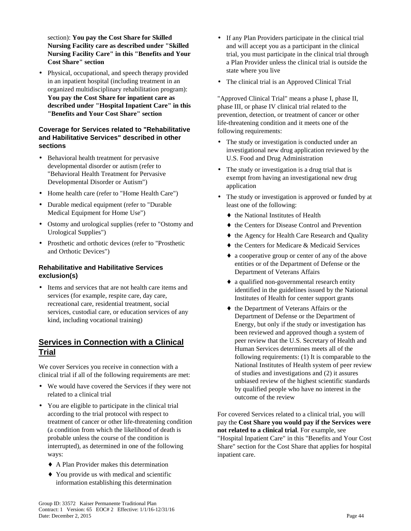section): **You pay the Cost Share for Skilled Nursing Facility care as described under "Skilled Nursing Facility Care" in this "Benefits and Your Cost Share" section**

• Physical, occupational, and speech therapy provided in an inpatient hospital (including treatment in an organized multidisciplinary rehabilitation program): **You pay the Cost Share for inpatient care as described under "Hospital Inpatient Care" in this "Benefits and Your Cost Share" section**

#### **Coverage for Services related to "Rehabilitative and Habilitative Services" described in other sections**

- Behavioral health treatment for pervasive developmental disorder or autism (refer to "Behavioral Health Treatment for Pervasive Developmental Disorder or Autism")
- Home health care (refer to "Home Health Care")
- Durable medical equipment (refer to "Durable Medical Equipment for Home Use")
- Ostomy and urological supplies (refer to "Ostomy and Urological Supplies")
- Prosthetic and orthotic devices (refer to "Prosthetic and Orthotic Devices")

### **Rehabilitative and Habilitative Services exclusion(s)**

• Items and services that are not health care items and services (for example, respite care, day care, recreational care, residential treatment, social services, custodial care, or education services of any kind, including vocational training)

# **Services in Connection with a Clinical Trial**

We cover Services you receive in connection with a clinical trial if all of the following requirements are met:

- We would have covered the Services if they were not related to a clinical trial
- You are eligible to participate in the clinical trial according to the trial protocol with respect to treatment of cancer or other life-threatening condition (a condition from which the likelihood of death is probable unless the course of the condition is interrupted), as determined in one of the following ways:
	- ♦ A Plan Provider makes this determination
	- ♦ You provide us with medical and scientific information establishing this determination
- If any Plan Providers participate in the clinical trial and will accept you as a participant in the clinical trial, you must participate in the clinical trial through a Plan Provider unless the clinical trial is outside the state where you live
- The clinical trial is an Approved Clinical Trial

"Approved Clinical Trial" means a phase I, phase II, phase III, or phase IV clinical trial related to the prevention, detection, or treatment of cancer or other life-threatening condition and it meets one of the following requirements:

- The study or investigation is conducted under an investigational new drug application reviewed by the U.S. Food and Drug Administration
- The study or investigation is a drug trial that is exempt from having an investigational new drug application
- The study or investigation is approved or funded by at least one of the following:
	- $\bullet$  the National Institutes of Health
	- ♦ the Centers for Disease Control and Prevention
	- ♦ the Agency for Health Care Research and Quality
	- ♦ the Centers for Medicare & Medicaid Services
	- ♦ a cooperative group or center of any of the above entities or of the Department of Defense or the Department of Veterans Affairs
	- ♦ a qualified non-governmental research entity identified in the guidelines issued by the National Institutes of Health for center support grants
	- ♦ the Department of Veterans Affairs or the Department of Defense or the Department of Energy, but only if the study or investigation has been reviewed and approved though a system of peer review that the U.S. Secretary of Health and Human Services determines meets all of the following requirements: (1) It is comparable to the National Institutes of Health system of peer review of studies and investigations and (2) it assures unbiased review of the highest scientific standards by qualified people who have no interest in the outcome of the review

For covered Services related to a clinical trial, you will pay the **Cost Share you would pay if the Services were not related to a clinical trial**. For example, see "Hospital Inpatient Care" in this "Benefits and Your Cost Share" section for the Cost Share that applies for hospital inpatient care.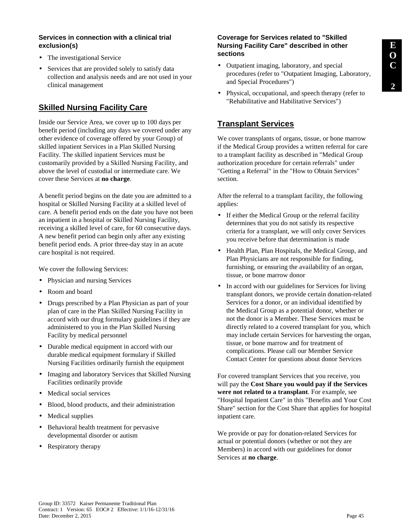### **Services in connection with a clinical trial exclusion(s)**

- The investigational Service
- Services that are provided solely to satisfy data collection and analysis needs and are not used in your clinical management

# **Skilled Nursing Facility Care**

Inside our Service Area, we cover up to 100 days per benefit period (including any days we covered under any other evidence of coverage offered by your Group) of skilled inpatient Services in a Plan Skilled Nursing Facility. The skilled inpatient Services must be customarily provided by a Skilled Nursing Facility, and above the level of custodial or intermediate care. We cover these Services at **no charge**.

A benefit period begins on the date you are admitted to a hospital or Skilled Nursing Facility at a skilled level of care. A benefit period ends on the date you have not been an inpatient in a hospital or Skilled Nursing Facility, receiving a skilled level of care, for 60 consecutive days. A new benefit period can begin only after any existing benefit period ends. A prior three-day stay in an acute care hospital is not required.

We cover the following Services:

- Physician and nursing Services
- Room and board
- Drugs prescribed by a Plan Physician as part of your plan of care in the Plan Skilled Nursing Facility in accord with our drug formulary guidelines if they are administered to you in the Plan Skilled Nursing Facility by medical personnel
- Durable medical equipment in accord with our durable medical equipment formulary if Skilled Nursing Facilities ordinarily furnish the equipment
- Imaging and laboratory Services that Skilled Nursing Facilities ordinarily provide
- Medical social services
- Blood, blood products, and their administration
- Medical supplies
- Behavioral health treatment for pervasive developmental disorder or autism
- Respiratory therapy

#### **Coverage for Services related to "Skilled Nursing Facility Care" described in other sections**

- Outpatient imaging, laboratory, and special procedures (refer to "Outpatient Imaging, Laboratory, and Special Procedures")
- Physical, occupational, and speech therapy (refer to "Rehabilitative and Habilitative Services")

# **Transplant Services**

We cover transplants of organs, tissue, or bone marrow if the Medical Group provides a written referral for care to a transplant facility as described in "Medical Group authorization procedure for certain referrals" under "Getting a Referral" in the "How to Obtain Services" section.

After the referral to a transplant facility, the following applies:

- If either the Medical Group or the referral facility determines that you do not satisfy its respective criteria for a transplant, we will only cover Services you receive before that determination is made
- Health Plan, Plan Hospitals, the Medical Group, and Plan Physicians are not responsible for finding, furnishing, or ensuring the availability of an organ, tissue, or bone marrow donor
- In accord with our guidelines for Services for living transplant donors, we provide certain donation-related Services for a donor, or an individual identified by the Medical Group as a potential donor, whether or not the donor is a Member. These Services must be directly related to a covered transplant for you, which may include certain Services for harvesting the organ, tissue, or bone marrow and for treatment of complications. Please call our Member Service Contact Center for questions about donor Services

For covered transplant Services that you receive, you will pay the **Cost Share you would pay if the Services were not related to a transplant**. For example, see "Hospital Inpatient Care" in this "Benefits and Your Cost Share" section for the Cost Share that applies for hospital inpatient care.

We provide or pay for donation-related Services for actual or potential donors (whether or not they are Members) in accord with our guidelines for donor Services at **no charge**.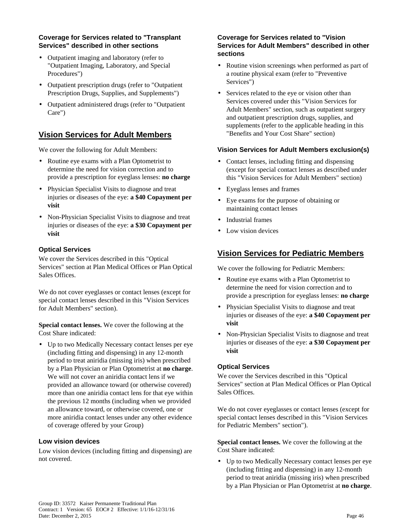#### **Coverage for Services related to "Transplant Services" described in other sections**

- Outpatient imaging and laboratory (refer to "Outpatient Imaging, Laboratory, and Special Procedures")
- Outpatient prescription drugs (refer to "Outpatient Prescription Drugs, Supplies, and Supplements")
- Outpatient administered drugs (refer to "Outpatient Care")

# **Vision Services for Adult Members**

We cover the following for Adult Members:

- Routine eye exams with a Plan Optometrist to determine the need for vision correction and to provide a prescription for eyeglass lenses: **no charge**
- Physician Specialist Visits to diagnose and treat injuries or diseases of the eye: **a \$40 Copayment per visit**
- Non-Physician Specialist Visits to diagnose and treat injuries or diseases of the eye: **a \$30 Copayment per visit**

## **Optical Services**

We cover the Services described in this "Optical Services" section at Plan Medical Offices or Plan Optical Sales Offices.

We do not cover eyeglasses or contact lenses (except for special contact lenses described in this "Vision Services for Adult Members" section).

**Special contact lenses.** We cover the following at the Cost Share indicated:

• Up to two Medically Necessary contact lenses per eye (including fitting and dispensing) in any 12-month period to treat aniridia (missing iris) when prescribed by a Plan Physician or Plan Optometrist at **no charge**. We will not cover an aniridia contact lens if we provided an allowance toward (or otherwise covered) more than one aniridia contact lens for that eye within the previous 12 months (including when we provided an allowance toward, or otherwise covered, one or more aniridia contact lenses under any other evidence of coverage offered by your Group)

### **Low vision devices**

Low vision devices (including fitting and dispensing) are not covered.

#### **Coverage for Services related to "Vision Services for Adult Members" described in other sections**

- Routine vision screenings when performed as part of a routine physical exam (refer to "Preventive Services")
- Services related to the eye or vision other than Services covered under this "Vision Services for Adult Members" section, such as outpatient surgery and outpatient prescription drugs, supplies, and supplements (refer to the applicable heading in this "Benefits and Your Cost Share" section)

#### **Vision Services for Adult Members exclusion(s)**

- Contact lenses, including fitting and dispensing (except for special contact lenses as described under this "Vision Services for Adult Members" section)
- Eyeglass lenses and frames
- Eye exams for the purpose of obtaining or maintaining contact lenses
- Industrial frames
- Low vision devices

# **Vision Services for Pediatric Members**

We cover the following for Pediatric Members:

- Routine eye exams with a Plan Optometrist to determine the need for vision correction and to provide a prescription for eyeglass lenses: **no charge**
- Physician Specialist Visits to diagnose and treat injuries or diseases of the eye: **a \$40 Copayment per visit**
- Non-Physician Specialist Visits to diagnose and treat injuries or diseases of the eye: **a \$30 Copayment per visit**

### **Optical Services**

We cover the Services described in this "Optical Services" section at Plan Medical Offices or Plan Optical Sales Offices.

We do not cover eyeglasses or contact lenses (except for special contact lenses described in this "Vision Services for Pediatric Members" section").

**Special contact lenses.** We cover the following at the Cost Share indicated:

• Up to two Medically Necessary contact lenses per eye (including fitting and dispensing) in any 12-month period to treat aniridia (missing iris) when prescribed by a Plan Physician or Plan Optometrist at **no charge**.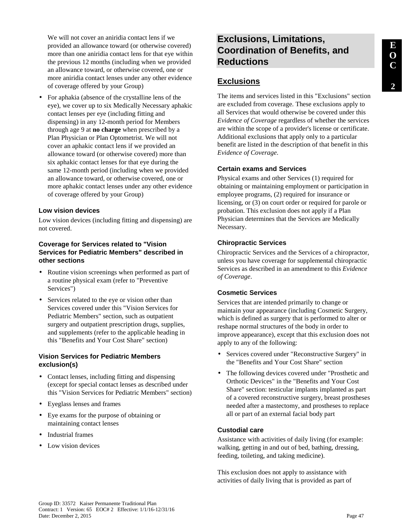We will not cover an aniridia contact lens if we provided an allowance toward (or otherwise covered) more than one aniridia contact lens for that eye within the previous 12 months (including when we provided an allowance toward, or otherwise covered, one or more aniridia contact lenses under any other evidence of coverage offered by your Group)

• For aphakia (absence of the crystalline lens of the eye), we cover up to six Medically Necessary aphakic contact lenses per eye (including fitting and dispensing) in any 12-month period for Members through age 9 at **no charge** when prescribed by a Plan Physician or Plan Optometrist. We will not cover an aphakic contact lens if we provided an allowance toward (or otherwise covered) more than six aphakic contact lenses for that eye during the same 12-month period (including when we provided an allowance toward, or otherwise covered, one or more aphakic contact lenses under any other evidence of coverage offered by your Group)

#### **Low vision devices**

Low vision devices (including fitting and dispensing) are not covered.

#### **Coverage for Services related to "Vision Services for Pediatric Members" described in other sections**

- Routine vision screenings when performed as part of a routine physical exam (refer to "Preventive Services")
- Services related to the eye or vision other than Services covered under this "Vision Services for Pediatric Members" section, such as outpatient surgery and outpatient prescription drugs, supplies, and supplements (refer to the applicable heading in this "Benefits and Your Cost Share" section)

#### **Vision Services for Pediatric Members exclusion(s)**

- Contact lenses, including fitting and dispensing (except for special contact lenses as described under this "Vision Services for Pediatric Members" section)
- Eyeglass lenses and frames
- Eye exams for the purpose of obtaining or maintaining contact lenses
- Industrial frames
- Low vision devices

# **Exclusions, Limitations, Coordination of Benefits, and Reductions**

## **Exclusions**

The items and services listed in this "Exclusions" section are excluded from coverage. These exclusions apply to all Services that would otherwise be covered under this *Evidence of Coverage* regardless of whether the services are within the scope of a provider's license or certificate. Additional exclusions that apply only to a particular benefit are listed in the description of that benefit in this *Evidence of Coverage*.

#### **Certain exams and Services**

Physical exams and other Services (1) required for obtaining or maintaining employment or participation in employee programs, (2) required for insurance or licensing, or (3) on court order or required for parole or probation. This exclusion does not apply if a Plan Physician determines that the Services are Medically Necessary.

#### **Chiropractic Services**

Chiropractic Services and the Services of a chiropractor, unless you have coverage for supplemental chiropractic Services as described in an amendment to this *Evidence of Coverage*.

#### **Cosmetic Services**

Services that are intended primarily to change or maintain your appearance (including Cosmetic Surgery, which is defined as surgery that is performed to alter or reshape normal structures of the body in order to improve appearance), except that this exclusion does not apply to any of the following:

- Services covered under "Reconstructive Surgery" in the "Benefits and Your Cost Share" section
- The following devices covered under "Prosthetic and Orthotic Devices" in the "Benefits and Your Cost Share" section: testicular implants implanted as part of a covered reconstructive surgery, breast prostheses needed after a mastectomy, and prostheses to replace all or part of an external facial body part

#### **Custodial care**

Assistance with activities of daily living (for example: walking, getting in and out of bed, bathing, dressing, feeding, toileting, and taking medicine).

This exclusion does not apply to assistance with activities of daily living that is provided as part of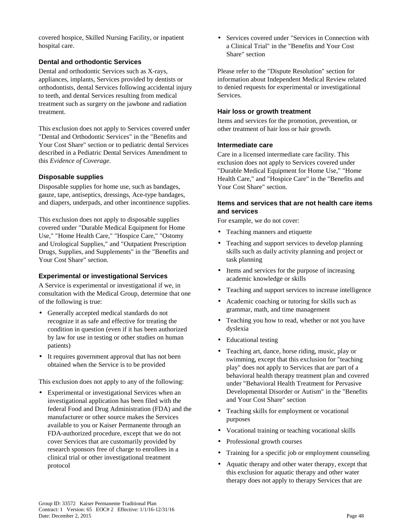covered hospice, Skilled Nursing Facility, or inpatient hospital care.

#### **Dental and orthodontic Services**

Dental and orthodontic Services such as X-rays, appliances, implants, Services provided by dentists or orthodontists, dental Services following accidental injury to teeth, and dental Services resulting from medical treatment such as surgery on the jawbone and radiation treatment.

This exclusion does not apply to Services covered under "Dental and Orthodontic Services" in the "Benefits and Your Cost Share" section or to pediatric dental Services described in a Pediatric Dental Services Amendment to this *Evidence of Coverage*.

#### **Disposable supplies**

Disposable supplies for home use, such as bandages, gauze, tape, antiseptics, dressings, Ace-type bandages, and diapers, underpads, and other incontinence supplies.

This exclusion does not apply to disposable supplies covered under "Durable Medical Equipment for Home Use," "Home Health Care," "Hospice Care," "Ostomy and Urological Supplies," and "Outpatient Prescription Drugs, Supplies, and Supplements" in the "Benefits and Your Cost Share" section.

#### **Experimental or investigational Services**

A Service is experimental or investigational if we, in consultation with the Medical Group, determine that one of the following is true:

- Generally accepted medical standards do not recognize it as safe and effective for treating the condition in question (even if it has been authorized by law for use in testing or other studies on human patients)
- It requires government approval that has not been obtained when the Service is to be provided

This exclusion does not apply to any of the following:

• Experimental or investigational Services when an investigational application has been filed with the federal Food and Drug Administration (FDA) and the manufacturer or other source makes the Services available to you or Kaiser Permanente through an FDA-authorized procedure, except that we do not cover Services that are customarily provided by research sponsors free of charge to enrollees in a clinical trial or other investigational treatment protocol

• Services covered under "Services in Connection with a Clinical Trial" in the "Benefits and Your Cost Share" section

Please refer to the "Dispute Resolution" section for information about Independent Medical Review related to denied requests for experimental or investigational Services.

#### **Hair loss or growth treatment**

Items and services for the promotion, prevention, or other treatment of hair loss or hair growth.

#### **Intermediate care**

Care in a licensed intermediate care facility. This exclusion does not apply to Services covered under "Durable Medical Equipment for Home Use," "Home Health Care," and "Hospice Care" in the "Benefits and Your Cost Share" section.

#### **Items and services that are not health care items and services**

For example, we do not cover:

- Teaching manners and etiquette
- Teaching and support services to develop planning skills such as daily activity planning and project or task planning
- Items and services for the purpose of increasing academic knowledge or skills
- Teaching and support services to increase intelligence
- Academic coaching or tutoring for skills such as grammar, math, and time management
- Teaching you how to read, whether or not you have dyslexia
- Educational testing
- Teaching art, dance, horse riding, music, play or swimming, except that this exclusion for "teaching play" does not apply to Services that are part of a behavioral health therapy treatment plan and covered under "Behavioral Health Treatment for Pervasive Developmental Disorder or Autism" in the "Benefits and Your Cost Share" section
- Teaching skills for employment or vocational purposes
- Vocational training or teaching vocational skills
- Professional growth courses
- Training for a specific job or employment counseling
- Aquatic therapy and other water therapy, except that this exclusion for aquatic therapy and other water therapy does not apply to therapy Services that are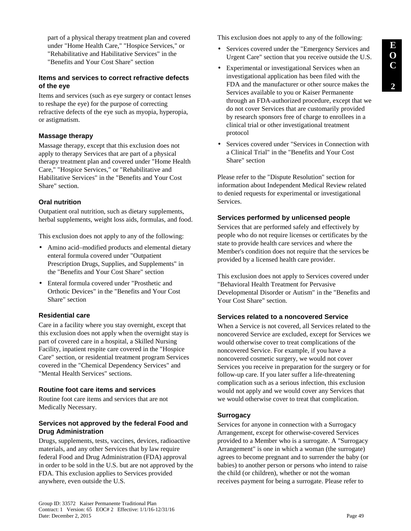part of a physical therapy treatment plan and covered under "Home Health Care," "Hospice Services," or "Rehabilitative and Habilitative Services" in the "Benefits and Your Cost Share" section

#### **Items and services to correct refractive defects of the eye**

Items and services (such as eye surgery or contact lenses to reshape the eye) for the purpose of correcting refractive defects of the eye such as myopia, hyperopia, or astigmatism.

#### **Massage therapy**

Massage therapy, except that this exclusion does not apply to therapy Services that are part of a physical therapy treatment plan and covered under "Home Health Care," "Hospice Services," or "Rehabilitative and Habilitative Services" in the "Benefits and Your Cost Share" section.

#### **Oral nutrition**

Outpatient oral nutrition, such as dietary supplements, herbal supplements, weight loss aids, formulas, and food.

This exclusion does not apply to any of the following:

- Amino acid–modified products and elemental dietary enteral formula covered under "Outpatient Prescription Drugs, Supplies, and Supplements" in the "Benefits and Your Cost Share" section
- Enteral formula covered under "Prosthetic and Orthotic Devices" in the "Benefits and Your Cost Share" section

### **Residential care**

Care in a facility where you stay overnight, except that this exclusion does not apply when the overnight stay is part of covered care in a hospital, a Skilled Nursing Facility, inpatient respite care covered in the "Hospice Care" section, or residential treatment program Services covered in the "Chemical Dependency Services" and "Mental Health Services" sections.

#### **Routine foot care items and services**

Routine foot care items and services that are not Medically Necessary.

## **Services not approved by the federal Food and Drug Administration**

Drugs, supplements, tests, vaccines, devices, radioactive materials, and any other Services that by law require federal Food and Drug Administration (FDA) approval in order to be sold in the U.S. but are not approved by the FDA. This exclusion applies to Services provided anywhere, even outside the U.S.

This exclusion does not apply to any of the following:

- Services covered under the "Emergency Services and Urgent Care" section that you receive outside the U.S.
- Experimental or investigational Services when an investigational application has been filed with the FDA and the manufacturer or other source makes the Services available to you or Kaiser Permanente through an FDA-authorized procedure, except that we do not cover Services that are customarily provided by research sponsors free of charge to enrollees in a clinical trial or other investigational treatment protocol
- Services covered under "Services in Connection with a Clinical Trial" in the "Benefits and Your Cost Share" section

Please refer to the "Dispute Resolution" section for information about Independent Medical Review related to denied requests for experimental or investigational Services.

### **Services performed by unlicensed people**

Services that are performed safely and effectively by people who do not require licenses or certificates by the state to provide health care services and where the Member's condition does not require that the services be provided by a licensed health care provider.

This exclusion does not apply to Services covered under "Behavioral Health Treatment for Pervasive Developmental Disorder or Autism" in the "Benefits and Your Cost Share" section.

### **Services related to a noncovered Service**

When a Service is not covered, all Services related to the noncovered Service are excluded*,* except for Services we would otherwise cover to treat complications of the noncovered Service. For example, if you have a noncovered cosmetic surgery, we would not cover Services you receive in preparation for the surgery or for follow-up care. If you later suffer a life-threatening complication such as a serious infection, this exclusion would not apply and we would cover any Services that we would otherwise cover to treat that complication.

### **Surrogacy**

Services for anyone in connection with a Surrogacy Arrangement, except for otherwise-covered Services provided to a Member who is a surrogate. A "Surrogacy Arrangement" is one in which a woman (the surrogate) agrees to become pregnant and to surrender the baby (or babies) to another person or persons who intend to raise the child (or children), whether or not the woman receives payment for being a surrogate. Please refer to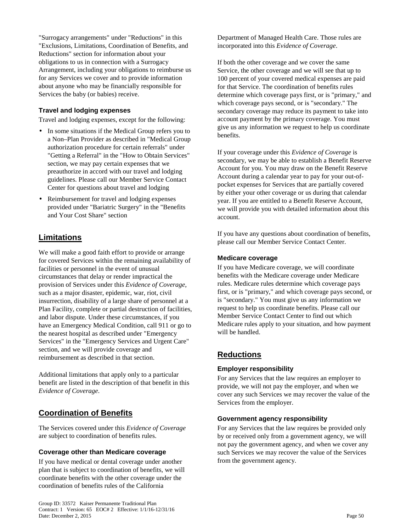"Surrogacy arrangements" under "Reductions" in this "Exclusions, Limitations, Coordination of Benefits, and Reductions" section for information about your obligations to us in connection with a Surrogacy Arrangement, including your obligations to reimburse us for any Services we cover and to provide information about anyone who may be financially responsible for Services the baby (or babies) receive.

### **Travel and lodging expenses**

Travel and lodging expenses, except for the following:

- In some situations if the Medical Group refers you to a Non–Plan Provider as described in "Medical Group authorization procedure for certain referrals" under "Getting a Referral" in the "How to Obtain Services" section, we may pay certain expenses that we preauthorize in accord with our travel and lodging guidelines. Please call our Member Service Contact Center for questions about travel and lodging
- Reimbursement for travel and lodging expenses provided under "Bariatric Surgery" in the "Benefits and Your Cost Share" section

## **Limitations**

We will make a good faith effort to provide or arrange for covered Services within the remaining availability of facilities or personnel in the event of unusual circumstances that delay or render impractical the provision of Services under this *Evidence of Coverage*, such as a major disaster, epidemic, war, riot, civil insurrection, disability of a large share of personnel at a Plan Facility, complete or partial destruction of facilities, and labor dispute. Under these circumstances, if you have an Emergency Medical Condition, call 911 or go to the nearest hospital as described under "Emergency Services" in the "Emergency Services and Urgent Care" section, and we will provide coverage and reimbursement as described in that section.

Additional limitations that apply only to a particular benefit are listed in the description of that benefit in this *Evidence of Coverage*.

## **Coordination of Benefits**

The Services covered under this *Evidence of Coverage*  are subject to coordination of benefits rules.

#### **Coverage other than Medicare coverage**

If you have medical or dental coverage under another plan that is subject to coordination of benefits, we will coordinate benefits with the other coverage under the coordination of benefits rules of the California

Department of Managed Health Care. Those rules are incorporated into this *Evidence of Coverage*.

If both the other coverage and we cover the same Service, the other coverage and we will see that up to 100 percent of your covered medical expenses are paid for that Service. The coordination of benefits rules determine which coverage pays first, or is "primary," and which coverage pays second, or is "secondary." The secondary coverage may reduce its payment to take into account payment by the primary coverage. You must give us any information we request to help us coordinate benefits.

If your coverage under this *Evidence of Coverage* is secondary, we may be able to establish a Benefit Reserve Account for you. You may draw on the Benefit Reserve Account during a calendar year to pay for your out-ofpocket expenses for Services that are partially covered by either your other coverage or us during that calendar year. If you are entitled to a Benefit Reserve Account, we will provide you with detailed information about this account.

If you have any questions about coordination of benefits, please call our Member Service Contact Center.

#### **Medicare coverage**

If you have Medicare coverage, we will coordinate benefits with the Medicare coverage under Medicare rules. Medicare rules determine which coverage pays first, or is "primary," and which coverage pays second, or is "secondary." You must give us any information we request to help us coordinate benefits. Please call our Member Service Contact Center to find out which Medicare rules apply to your situation, and how payment will be handled.

## **Reductions**

#### **Employer responsibility**

For any Services that the law requires an employer to provide, we will not pay the employer, and when we cover any such Services we may recover the value of the Services from the employer.

#### **Government agency responsibility**

For any Services that the law requires be provided only by or received only from a government agency, we will not pay the government agency, and when we cover any such Services we may recover the value of the Services from the government agency.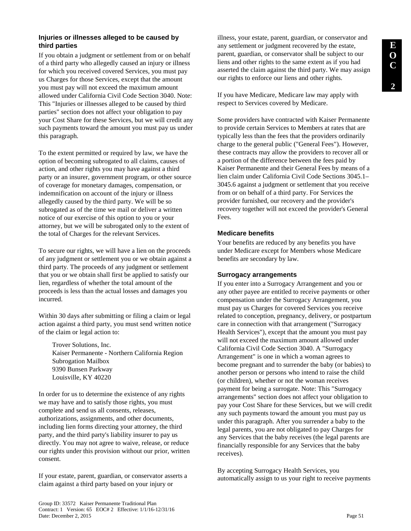## **Injuries or illnesses alleged to be caused by third parties**

If you obtain a judgment or settlement from or on behalf of a third party who allegedly caused an injury or illness for which you received covered Services, you must pay us Charges for those Services, except that the amount you must pay will not exceed the maximum amount allowed under California Civil Code Section 3040. Note: This "Injuries or illnesses alleged to be caused by third parties" section does not affect your obligation to pay your Cost Share for these Services, but we will credit any such payments toward the amount you must pay us under this paragraph.

To the extent permitted or required by law, we have the option of becoming subrogated to all claims, causes of action, and other rights you may have against a third party or an insurer, government program, or other source of coverage for monetary damages, compensation, or indemnification on account of the injury or illness allegedly caused by the third party. We will be so subrogated as of the time we mail or deliver a written notice of our exercise of this option to you or your attorney, but we will be subrogated only to the extent of the total of Charges for the relevant Services.

To secure our rights, we will have a lien on the proceeds of any judgment or settlement you or we obtain against a third party. The proceeds of any judgment or settlement that you or we obtain shall first be applied to satisfy our lien, regardless of whether the total amount of the proceeds is less than the actual losses and damages you incurred.

Within 30 days after submitting or filing a claim or legal action against a third party, you must send written notice of the claim or legal action to:

Trover Solutions, Inc. Kaiser Permanente - Northern California Region Subrogation Mailbox 9390 Bunsen Parkway Louisville, KY 40220

In order for us to determine the existence of any rights we may have and to satisfy those rights, you must complete and send us all consents, releases, authorizations, assignments, and other documents, including lien forms directing your attorney, the third party, and the third party's liability insurer to pay us directly. You may not agree to waive, release, or reduce our rights under this provision without our prior, written consent.

If your estate, parent, guardian, or conservator asserts a claim against a third party based on your injury or

illness, your estate, parent, guardian, or conservator and any settlement or judgment recovered by the estate, parent, guardian, or conservator shall be subject to our liens and other rights to the same extent as if you had asserted the claim against the third party. We may assign our rights to enforce our liens and other rights.

If you have Medicare, Medicare law may apply with respect to Services covered by Medicare.

Some providers have contracted with Kaiser Permanente to provide certain Services to Members at rates that are typically less than the fees that the providers ordinarily charge to the general public ("General Fees"). However, these contracts may allow the providers to recover all or a portion of the difference between the fees paid by Kaiser Permanente and their General Fees by means of a lien claim under California Civil Code Sections 3045.1– 3045.6 against a judgment or settlement that you receive from or on behalf of a third party. For Services the provider furnished, our recovery and the provider's recovery together will not exceed the provider's General Fees.

### **Medicare benefits**

Your benefits are reduced by any benefits you have under Medicare except for Members whose Medicare benefits are secondary by law.

## **Surrogacy arrangements**

If you enter into a Surrogacy Arrangement and you or any other payee are entitled to receive payments or other compensation under the Surrogacy Arrangement, you must pay us Charges for covered Services you receive related to conception, pregnancy, delivery, or postpartum care in connection with that arrangement ("Surrogacy Health Services"), except that the amount you must pay will not exceed the maximum amount allowed under California Civil Code Section 3040. A "Surrogacy Arrangement" is one in which a woman agrees to become pregnant and to surrender the baby (or babies) to another person or persons who intend to raise the child (or children), whether or not the woman receives payment for being a surrogate. Note: This "Surrogacy arrangements" section does not affect your obligation to pay your Cost Share for these Services, but we will credit any such payments toward the amount you must pay us under this paragraph. After you surrender a baby to the legal parents, you are not obligated to pay Charges for any Services that the baby receives (the legal parents are financially responsible for any Services that the baby receives).

By accepting Surrogacy Health Services, you automatically assign to us your right to receive payments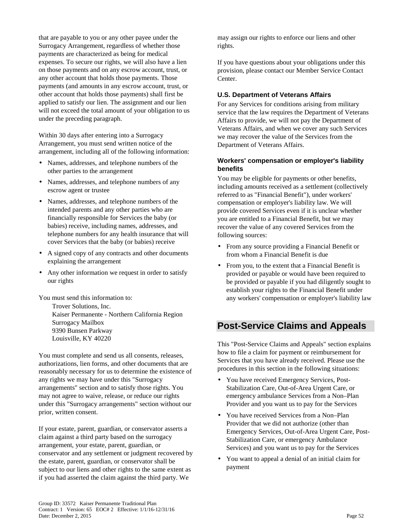that are payable to you or any other payee under the Surrogacy Arrangement, regardless of whether those payments are characterized as being for medical expenses. To secure our rights, we will also have a lien on those payments and on any escrow account, trust, or any other account that holds those payments. Those payments (and amounts in any escrow account, trust, or other account that holds those payments) shall first be applied to satisfy our lien. The assignment and our lien will not exceed the total amount of your obligation to us under the preceding paragraph.

Within 30 days after entering into a Surrogacy Arrangement, you must send written notice of the arrangement, including all of the following information:

- Names, addresses, and telephone numbers of the other parties to the arrangement
- Names, addresses, and telephone numbers of any escrow agent or trustee
- Names, addresses, and telephone numbers of the intended parents and any other parties who are financially responsible for Services the baby (or babies) receive, including names, addresses, and telephone numbers for any health insurance that will cover Services that the baby (or babies) receive
- A signed copy of any contracts and other documents explaining the arrangement
- Any other information we request in order to satisfy our rights

You must send this information to: Trover Solutions, Inc. Kaiser Permanente - Northern California Region Surrogacy Mailbox 9390 Bunsen Parkway Louisville, KY 40220

You must complete and send us all consents, releases, authorizations, lien forms, and other documents that are reasonably necessary for us to determine the existence of any rights we may have under this "Surrogacy arrangements" section and to satisfy those rights. You may not agree to waive, release, or reduce our rights under this "Surrogacy arrangements" section without our prior, written consent.

If your estate, parent, guardian, or conservator asserts a claim against a third party based on the surrogacy arrangement, your estate, parent, guardian, or conservator and any settlement or judgment recovered by the estate, parent, guardian, or conservator shall be subject to our liens and other rights to the same extent as if you had asserted the claim against the third party. We

may assign our rights to enforce our liens and other rights.

If you have questions about your obligations under this provision, please contact our Member Service Contact Center.

### **U.S. Department of Veterans Affairs**

For any Services for conditions arising from military service that the law requires the Department of Veterans Affairs to provide, we will not pay the Department of Veterans Affairs, and when we cover any such Services we may recover the value of the Services from the Department of Veterans Affairs.

### **Workers' compensation or employer's liability benefits**

You may be eligible for payments or other benefits, including amounts received as a settlement (collectively referred to as "Financial Benefit"), under workers' compensation or employer's liability law. We will provide covered Services even if it is unclear whether you are entitled to a Financial Benefit, but we may recover the value of any covered Services from the following sources:

- From any source providing a Financial Benefit or from whom a Financial Benefit is due
- From you, to the extent that a Financial Benefit is provided or payable or would have been required to be provided or payable if you had diligently sought to establish your rights to the Financial Benefit under any workers' compensation or employer's liability law

# **Post-Service Claims and Appeals**

This "Post-Service Claims and Appeals" section explains how to file a claim for payment or reimbursement for Services that you have already received. Please use the procedures in this section in the following situations:

- You have received Emergency Services, Post-Stabilization Care, Out-of-Area Urgent Care, or emergency ambulance Services from a Non–Plan Provider and you want us to pay for the Services
- You have received Services from a Non–Plan Provider that we did not authorize (other than Emergency Services, Out-of-Area Urgent Care, Post-Stabilization Care, or emergency Ambulance Services) and you want us to pay for the Services
- You want to appeal a denial of an initial claim for payment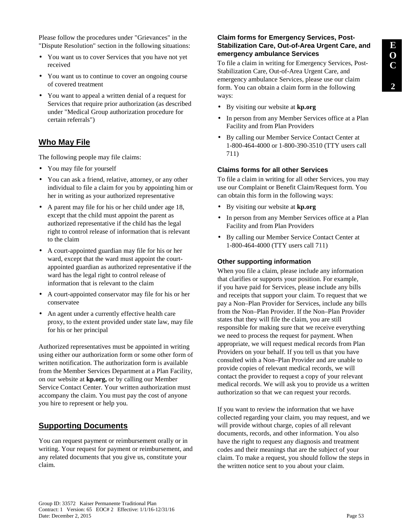Please follow the procedures under "Grievances" in the "Dispute Resolution" section in the following situations:

- You want us to cover Services that you have not yet received
- You want us to continue to cover an ongoing course of covered treatment
- You want to appeal a written denial of a request for Services that require prior authorization (as described under "Medical Group authorization procedure for certain referrals")

## **Who May File**

The following people may file claims:

- You may file for yourself
- You can ask a friend, relative, attorney, or any other individual to file a claim for you by appointing him or her in writing as your authorized representative
- A parent may file for his or her child under age 18, except that the child must appoint the parent as authorized representative if the child has the legal right to control release of information that is relevant to the claim
- A court-appointed guardian may file for his or her ward, except that the ward must appoint the courtappointed guardian as authorized representative if the ward has the legal right to control release of information that is relevant to the claim
- A court-appointed conservator may file for his or her conservatee
- An agent under a currently effective health care proxy, to the extent provided under state law, may file for his or her principal

Authorized representatives must be appointed in writing using either our authorization form or some other form of written notification. The authorization form is available from the Member Services Department at a Plan Facility, on our website at **kp.org,** or by calling our Member Service Contact Center. Your written authorization must accompany the claim. You must pay the cost of anyone you hire to represent or help you.

## **Supporting Documents**

You can request payment or reimbursement orally or in writing. Your request for payment or reimbursement, and any related documents that you give us, constitute your claim.

### **Claim forms for Emergency Services, Post-Stabilization Care, Out-of-Area Urgent Care, and emergency ambulance Services**

To file a claim in writing for Emergency Services, Post-Stabilization Care, Out-of-Area Urgent Care, and emergency ambulance Services, please use our claim form. You can obtain a claim form in the following ways:

- By visiting our website at **kp.org**
- In person from any Member Services office at a Plan Facility and from Plan Providers
- By calling our Member Service Contact Center at 1-800-464-4000 or 1-800-390-3510 (TTY users call 711)

## **Claims forms for all other Services**

To file a claim in writing for all other Services, you may use our Complaint or Benefit Claim/Request form. You can obtain this form in the following ways:

- By visiting our website at **kp.org**
- In person from any Member Services office at a Plan Facility and from Plan Providers
- By calling our Member Service Contact Center at 1-800-464-4000 (TTY users call 711)

#### **Other supporting information**

When you file a claim, please include any information that clarifies or supports your position. For example, if you have paid for Services, please include any bills and receipts that support your claim. To request that we pay a Non–Plan Provider for Services, include any bills from the Non–Plan Provider. If the Non–Plan Provider states that they will file the claim, you are still responsible for making sure that we receive everything we need to process the request for payment. When appropriate, we will request medical records from Plan Providers on your behalf. If you tell us that you have consulted with a Non–Plan Provider and are unable to provide copies of relevant medical records, we will contact the provider to request a copy of your relevant medical records. We will ask you to provide us a written authorization so that we can request your records.

If you want to review the information that we have collected regarding your claim, you may request, and we will provide without charge, copies of all relevant documents, records, and other information. You also have the right to request any diagnosis and treatment codes and their meanings that are the subject of your claim. To make a request, you should follow the steps in the written notice sent to you about your claim.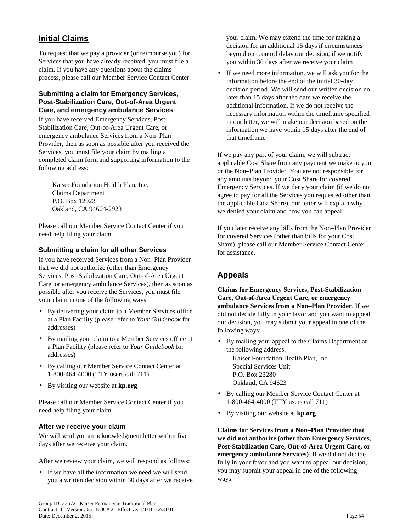# **Initial Claims**

To request that we pay a provider (or reimburse you) for Services that you have already received, you must file a claim. If you have any questions about the claims process, please call our Member Service Contact Center.

#### **Submitting a claim for Emergency Services, Post-Stabilization Care, Out-of-Area Urgent Care, and emergency ambulance Services**

If you have received Emergency Services, Post-Stabilization Care, Out-of-Area Urgent Care, or emergency ambulance Services from a Non–Plan Provider, then as soon as possible after you received the Services, you must file your claim by mailing a completed claim form and supporting information to the following address:

Kaiser Foundation Health Plan, Inc. Claims Department P.O. Box 12923 Oakland, CA 94604-2923

Please call our Member Service Contact Center if you need help filing your claim.

#### **Submitting a claim for all other Services**

If you have received Services from a Non–Plan Provider that we did not authorize (other than Emergency Services, Post-Stabilization Care, Out-of-Area Urgent Care, or emergency ambulance Services), then as soon as possible after you receive the Services, you must file your claim in one of the following ways:

- By delivering your claim to a Member Services office at a Plan Facility (please refer to *Your Guidebook* for addresses)
- By mailing your claim to a Member Services office at a Plan Facility (please refer to *Your Guidebook* for addresses)
- By calling our Member Service Contact Center at 1-800-464-4000 (TTY users call 711)
- By visiting our website at **kp.org**

Please call our Member Service Contact Center if you need help filing your claim.

### **After we receive your claim**

We will send you an acknowledgment letter within five days after we receive your claim.

After we review your claim, we will respond as follows:

• If we have all the information we need we will send you a written decision within 30 days after we receive your claim. We may extend the time for making a decision for an additional 15 days if circumstances beyond our control delay our decision, if we notify you within 30 days after we receive your claim

• If we need more information, we will ask you for the information before the end of the initial 30-day decision period. We will send our written decision no later than 15 days after the date we receive the additional information. If we do not receive the necessary information within the timeframe specified in our letter, we will make our decision based on the information we have within 15 days after the end of that timeframe

If we pay any part of your claim, we will subtract applicable Cost Share from any payment we make to you or the Non–Plan Provider. You are not responsible for any amounts beyond your Cost Share for covered Emergency Services. If we deny your claim (if we do not agree to pay for all the Services you requested other than the applicable Cost Share), our letter will explain why we denied your claim and how you can appeal.

If you later receive any bills from the Non–Plan Provider for covered Services (other than bills for your Cost Share), please call our Member Service Contact Center for assistance.

# **Appeals**

**Claims for Emergency Services, Post-Stabilization Care, Out-of-Area Urgent Care, or emergency ambulance Services from a Non–Plan Provider**. If we did not decide fully in your favor and you want to appeal our decision, you may submit your appeal in one of the following ways:

• By mailing your appeal to the Claims Department at the following address:

Kaiser Foundation Health Plan, Inc. Special Services Unit P.O. Box 23280 Oakland, CA 94623

- By calling our Member Service Contact Center at 1-800-464-4000 (TTY users call 711)
- By visiting our website at **kp.org**

**Claims for Services from a Non–Plan Provider that we did not authorize (other than Emergency Services, Post-Stabilization Care, Out-of-Area Urgent Care, or emergency ambulance Services)**. If we did not decide fully in your favor and you want to appeal our decision, you may submit your appeal in one of the following ways: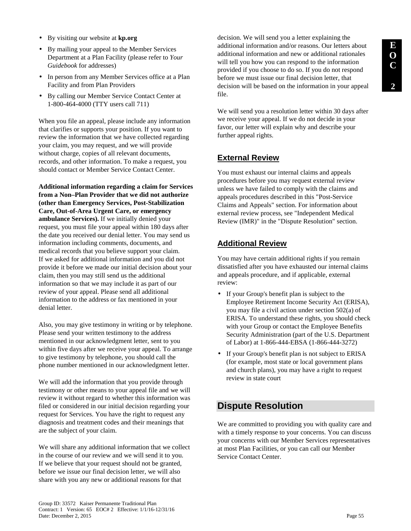- By visiting our website at **kp.org**
- By mailing your appeal to the Member Services Department at a Plan Facility (please refer to *Your Guidebook* for addresses)
- In person from any Member Services office at a Plan Facility and from Plan Providers
- By calling our Member Service Contact Center at 1-800-464-4000 (TTY users call 711)

When you file an appeal, please include any information that clarifies or supports your position. If you want to review the information that we have collected regarding your claim, you may request, and we will provide without charge, copies of all relevant documents, records, and other information. To make a request, you should contact or Member Service Contact Center.

**Additional information regarding a claim for Services from a Non–Plan Provider that we did not authorize (other than Emergency Services, Post-Stabilization Care, Out-of-Area Urgent Care, or emergency ambulance Services).** If we initially denied your request, you must file your appeal within 180 days after the date you received our denial letter. You may send us information including comments, documents, and medical records that you believe support your claim. If we asked for additional information and you did not provide it before we made our initial decision about your claim, then you may still send us the additional information so that we may include it as part of our review of your appeal. Please send all additional information to the address or fax mentioned in your denial letter.

Also, you may give testimony in writing or by telephone. Please send your written testimony to the address mentioned in our acknowledgment letter, sent to you within five days after we receive your appeal. To arrange to give testimony by telephone, you should call the phone number mentioned in our acknowledgment letter.

We will add the information that you provide through testimony or other means to your appeal file and we will review it without regard to whether this information was filed or considered in our initial decision regarding your request for Services. You have the right to request any diagnosis and treatment codes and their meanings that are the subject of your claim.

We will share any additional information that we collect in the course of our review and we will send it to you. If we believe that your request should not be granted, before we issue our final decision letter, we will also share with you any new or additional reasons for that

decision. We will send you a letter explaining the additional information and/or reasons. Our letters about additional information and new or additional rationales will tell you how you can respond to the information provided if you choose to do so. If you do not respond before we must issue our final decision letter, that decision will be based on the information in your appeal file.

We will send you a resolution letter within 30 days after we receive your appeal. If we do not decide in your favor, our letter will explain why and describe your further appeal rights.

# **External Review**

You must exhaust our internal claims and appeals procedures before you may request external review unless we have failed to comply with the claims and appeals procedures described in this "Post-Service Claims and Appeals" section. For information about external review process, see "Independent Medical Review (IMR)" in the "Dispute Resolution" section.

# **Additional Review**

You may have certain additional rights if you remain dissatisfied after you have exhausted our internal claims and appeals procedure, and if applicable, external review:

- If your Group's benefit plan is subject to the Employee Retirement Income Security Act (ERISA), you may file a civil action under section 502(a) of ERISA. To understand these rights, you should check with your Group or contact the Employee Benefits Security Administration (part of the U.S. Department of Labor) at 1-866-444-EBSA (1-866-444-3272)
- If your Group's benefit plan is not subject to ERISA (for example, most state or local government plans and church plans), you may have a right to request review in state court

# **Dispute Resolution**

We are committed to providing you with quality care and with a timely response to your concerns. You can discuss your concerns with our Member Services representatives at most Plan Facilities, or you can call our Member Service Contact Center.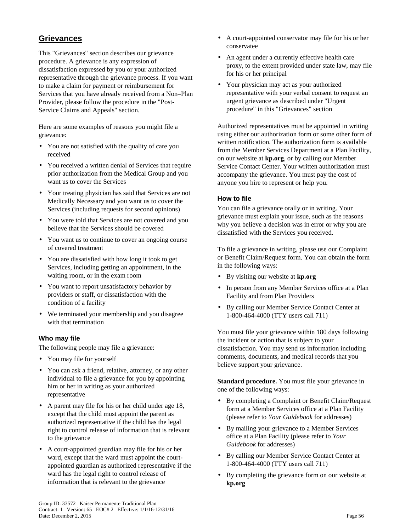# **Grievances**

This "Grievances" section describes our grievance procedure. A grievance is any expression of dissatisfaction expressed by you or your authorized representative through the grievance process. If you want to make a claim for payment or reimbursement for Services that you have already received from a Non–Plan Provider, please follow the procedure in the "Post-Service Claims and Appeals" section.

Here are some examples of reasons you might file a grievance:

- You are not satisfied with the quality of care you received
- You received a written denial of Services that require prior authorization from the Medical Group and you want us to cover the Services
- Your treating physician has said that Services are not Medically Necessary and you want us to cover the Services (including requests for second opinions)
- You were told that Services are not covered and you believe that the Services should be covered
- You want us to continue to cover an ongoing course of covered treatment
- You are dissatisfied with how long it took to get Services, including getting an appointment, in the waiting room, or in the exam room
- You want to report unsatisfactory behavior by providers or staff, or dissatisfaction with the condition of a facility
- We terminated your membership and you disagree with that termination

### **Who may file**

The following people may file a grievance:

- You may file for yourself
- You can ask a friend, relative, attorney, or any other individual to file a grievance for you by appointing him or her in writing as your authorized representative
- A parent may file for his or her child under age 18, except that the child must appoint the parent as authorized representative if the child has the legal right to control release of information that is relevant to the grievance
- A court-appointed guardian may file for his or her ward, except that the ward must appoint the courtappointed guardian as authorized representative if the ward has the legal right to control release of information that is relevant to the grievance
- A court-appointed conservator may file for his or her conservatee
- An agent under a currently effective health care proxy, to the extent provided under state law, may file for his or her principal
- Your physician may act as your authorized representative with your verbal consent to request an urgent grievance as described under "Urgent procedure" in this "Grievances" section

Authorized representatives must be appointed in writing using either our authorization form or some other form of written notification. The authorization form is available from the Member Services Department at a Plan Facility, on our website at **kp.org**, or by calling our Member Service Contact Center. Your written authorization must accompany the grievance. You must pay the cost of anyone you hire to represent or help you.

### **How to file**

You can file a grievance orally or in writing. Your grievance must explain your issue, such as the reasons why you believe a decision was in error or why you are dissatisfied with the Services you received.

To file a grievance in writing, please use our Complaint or Benefit Claim/Request form. You can obtain the form in the following ways:

- By visiting our website at **kp.org**
- In person from any Member Services office at a Plan Facility and from Plan Providers
- By calling our Member Service Contact Center at 1-800-464-4000 (TTY users call 711)

You must file your grievance within 180 days following the incident or action that is subject to your dissatisfaction. You may send us information including comments, documents, and medical records that you believe support your grievance.

**Standard procedure.** You must file your grievance in one of the following ways:

- By completing a Complaint or Benefit Claim/Request form at a Member Services office at a Plan Facility (please refer to *Your Guidebook* for addresses)
- By mailing your grievance to a Member Services office at a Plan Facility (please refer to *Your Guidebook* for addresses)
- By calling our Member Service Contact Center at 1-800-464-4000 (TTY users call 711)
- By completing the grievance form on our website at **kp.org**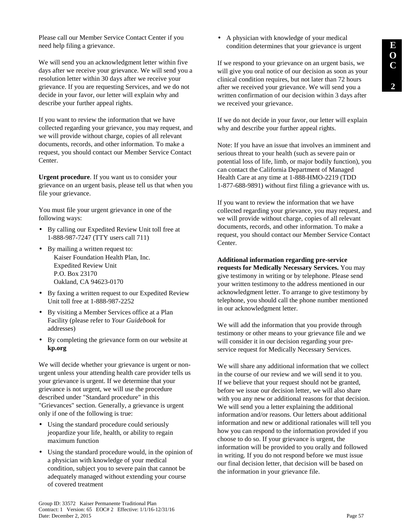Please call our Member Service Contact Center if you need help filing a grievance.

We will send you an acknowledgment letter within five days after we receive your grievance. We will send you a resolution letter within 30 days after we receive your grievance. If you are requesting Services, and we do not decide in your favor, our letter will explain why and describe your further appeal rights.

If you want to review the information that we have collected regarding your grievance, you may request, and we will provide without charge, copies of all relevant documents, records, and other information. To make a request, you should contact our Member Service Contact Center.

**Urgent procedure**. If you want us to consider your grievance on an urgent basis, please tell us that when you file your grievance.

You must file your urgent grievance in one of the following ways:

- By calling our Expedited Review Unit toll free at 1-888-987-7247 (TTY users call 711)
- By mailing a written request to: Kaiser Foundation Health Plan, Inc. Expedited Review Unit P.O. Box 23170 Oakland, CA 94623-0170
- By faxing a written request to our Expedited Review Unit toll free at 1-888-987-2252
- By visiting a Member Services office at a Plan Facility (please refer to *Your Guidebook* for addresses)
- By completing the grievance form on our website at **kp.org**

We will decide whether your grievance is urgent or nonurgent unless your attending health care provider tells us your grievance is urgent. If we determine that your grievance is not urgent, we will use the procedure described under "Standard procedure" in this "Grievances" section. Generally, a grievance is urgent only if one of the following is true:

- Using the standard procedure could seriously jeopardize your life, health, or ability to regain maximum function
- Using the standard procedure would, in the opinion of a physician with knowledge of your medical condition, subject you to severe pain that cannot be adequately managed without extending your course of covered treatment

• A physician with knowledge of your medical condition determines that your grievance is urgent

If we respond to your grievance on an urgent basis, we will give you oral notice of our decision as soon as your clinical condition requires, but not later than 72 hours after we received your grievance. We will send you a written confirmation of our decision within 3 days after we received your grievance.

If we do not decide in your favor, our letter will explain why and describe your further appeal rights.

Note: If you have an issue that involves an imminent and serious threat to your health (such as severe pain or potential loss of life, limb, or major bodily function), you can contact the California Department of Managed Health Care at any time at 1-888-HMO-2219 (TDD 1-877-688-9891) without first filing a grievance with us.

If you want to review the information that we have collected regarding your grievance, you may request, and we will provide without charge, copies of all relevant documents, records, and other information. To make a request, you should contact our Member Service Contact Center.

**Additional information regarding pre-service requests for Medically Necessary Services.** You may give testimony in writing or by telephone. Please send your written testimony to the address mentioned in our acknowledgment letter. To arrange to give testimony by telephone, you should call the phone number mentioned in our acknowledgment letter.

We will add the information that you provide through testimony or other means to your grievance file and we will consider it in our decision regarding your preservice request for Medically Necessary Services.

We will share any additional information that we collect in the course of our review and we will send it to you. If we believe that your request should not be granted, before we issue our decision letter, we will also share with you any new or additional reasons for that decision. We will send you a letter explaining the additional information and/or reasons. Our letters about additional information and new or additional rationales will tell you how you can respond to the information provided if you choose to do so. If your grievance is urgent, the information will be provided to you orally and followed in writing. If you do not respond before we must issue our final decision letter, that decision will be based on the information in your grievance file.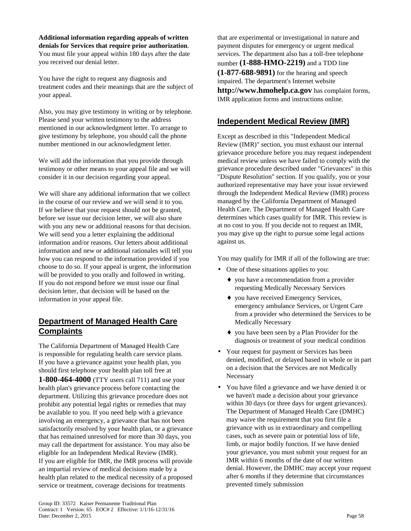**Additional information regarding appeals of written denials for Services that require prior authorization**. You must file your appeal within 180 days after the date you received our denial letter.

You have the right to request any diagnosis and treatment codes and their meanings that are the subject of your appeal.

Also, you may give testimony in writing or by telephone. Please send your written testimony to the address mentioned in our acknowledgment letter. To arrange to give testimony by telephone, you should call the phone number mentioned in our acknowledgment letter.

We will add the information that you provide through testimony or other means to your appeal file and we will consider it in our decision regarding your appeal.

We will share any additional information that we collect in the course of our review and we will send it to you. If we believe that your request should not be granted, before we issue our decision letter, we will also share with you any new or additional reasons for that decision. We will send you a letter explaining the additional information and/or reasons. Our letters about additional information and new or additional rationales will tell you how you can respond to the information provided if you choose to do so. If your appeal is urgent, the information will be provided to you orally and followed in writing. If you do not respond before we must issue our final decision letter, that decision will be based on the information in your appeal file.

# **Department of Managed Health Care Complaints**

The California Department of Managed Health Care is responsible for regulating health care service plans. If you have a grievance against your health plan, you should first telephone your health plan toll free at **1-800-464-4000** (TTY users call 711) and use your health plan's grievance process before contacting the department. Utilizing this grievance procedure does not prohibit any potential legal rights or remedies that may be available to you. If you need help with a grievance involving an emergency, a grievance that has not been satisfactorily resolved by your health plan, or a grievance that has remained unresolved for more than 30 days, you may call the department for assistance. You may also be eligible for an Independent Medical Review (IMR). If you are eligible for IMR, the IMR process will provide an impartial review of medical decisions made by a health plan related to the medical necessity of a proposed service or treatment, coverage decisions for treatments

that are experimental or investigational in nature and payment disputes for emergency or urgent medical services. The department also has a toll-free telephone number **(1-888-HMO-2219)** and a TDD line **(1-877-688-9891)** for the hearing and speech impaired. The department's Internet website **http://www.hmohelp.ca.gov** has complaint forms, IMR application forms and instructions online.

# **Independent Medical Review (IMR)**

Except as described in this "Independent Medical Review (IMR)" section, you must exhaust our internal grievance procedure before you may request independent medical review unless we have failed to comply with the grievance procedure described under "Grievances" in this "Dispute Resolution" section. If you qualify, you or your authorized representative may have your issue reviewed through the Independent Medical Review (IMR) process managed by the California Department of Managed Health Care. The Department of Managed Health Care determines which cases qualify for IMR. This review is at no cost to you. If you decide not to request an IMR, you may give up the right to pursue some legal actions against us.

You may qualify for IMR if all of the following are true:

- One of these situations applies to you:
	- ♦ you have a recommendation from a provider requesting Medically Necessary Services
	- ♦ you have received Emergency Services, emergency ambulance Services, or Urgent Care from a provider who determined the Services to be Medically Necessary
	- ♦ you have been seen by a Plan Provider for the diagnosis or treatment of your medical condition
- Your request for payment or Services has been denied, modified, or delayed based in whole or in part on a decision that the Services are not Medically Necessary
- You have filed a grievance and we have denied it or we haven't made a decision about your grievance within 30 days (or three days for urgent grievances). The Department of Managed Health Care (DMHC) may waive the requirement that you first file a grievance with us in extraordinary and compelling cases, such as severe pain or potential loss of life, limb, or major bodily function. If we have denied your grievance, you must submit your request for an IMR within 6 months of the date of our written denial. However, the DMHC may accept your request after 6 months if they determine that circumstances prevented timely submission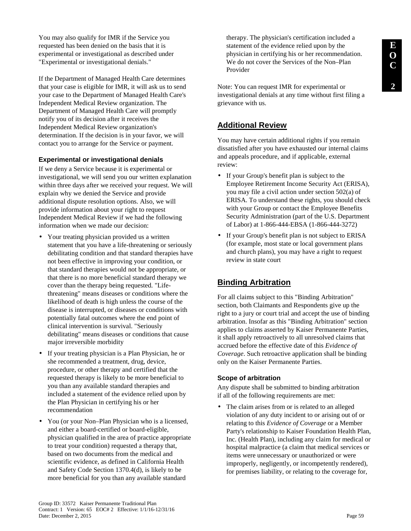You may also qualify for IMR if the Service you requested has been denied on the basis that it is experimental or investigational as described under "Experimental or investigational denials."

If the Department of Managed Health Care determines that your case is eligible for IMR, it will ask us to send your case to the Department of Managed Health Care's Independent Medical Review organization. The Department of Managed Health Care will promptly notify you of its decision after it receives the Independent Medical Review organization's determination. If the decision is in your favor, we will contact you to arrange for the Service or payment.

## **Experimental or investigational denials**

If we deny a Service because it is experimental or investigational, we will send you our written explanation within three days after we received your request. We will explain why we denied the Service and provide additional dispute resolution options. Also, we will provide information about your right to request Independent Medical Review if we had the following information when we made our decision:

- Your treating physician provided us a written statement that you have a life-threatening or seriously debilitating condition and that standard therapies have not been effective in improving your condition, or that standard therapies would not be appropriate, or that there is no more beneficial standard therapy we cover than the therapy being requested. "Lifethreatening" means diseases or conditions where the likelihood of death is high unless the course of the disease is interrupted, or diseases or conditions with potentially fatal outcomes where the end point of clinical intervention is survival. "Seriously debilitating" means diseases or conditions that cause major irreversible morbidity
- If your treating physician is a Plan Physician, he or she recommended a treatment, drug, device, procedure, or other therapy and certified that the requested therapy is likely to be more beneficial to you than any available standard therapies and included a statement of the evidence relied upon by the Plan Physician in certifying his or her recommendation
- You (or your Non–Plan Physician who is a licensed, and either a board-certified or board-eligible, physician qualified in the area of practice appropriate to treat your condition) requested a therapy that, based on two documents from the medical and scientific evidence, as defined in California Health and Safety Code Section 1370.4(d), is likely to be more beneficial for you than any available standard

therapy. The physician's certification included a statement of the evidence relied upon by the physician in certifying his or her recommendation. We do not cover the Services of the Non–Plan Provider

Note: You can request IMR for experimental or investigational denials at any time without first filing a grievance with us.

# **Additional Review**

You may have certain additional rights if you remain dissatisfied after you have exhausted our internal claims and appeals procedure, and if applicable, external review:

- If your Group's benefit plan is subject to the Employee Retirement Income Security Act (ERISA), you may file a civil action under section 502(a) of ERISA. To understand these rights, you should check with your Group or contact the Employee Benefits Security Administration (part of the U.S. Department of Labor) at 1-866-444-EBSA (1-866-444-3272)
- If your Group's benefit plan is not subject to ERISA (for example, most state or local government plans and church plans), you may have a right to request review in state court

## **Binding Arbitration**

For all claims subject to this "Binding Arbitration" section, both Claimants and Respondents give up the right to a jury or court trial and accept the use of binding arbitration. Insofar as this "Binding Arbitration" section applies to claims asserted by Kaiser Permanente Parties, it shall apply retroactively to all unresolved claims that accrued before the effective date of this *Evidence of Coverage*. Such retroactive application shall be binding only on the Kaiser Permanente Parties.

### **Scope of arbitration**

Any dispute shall be submitted to binding arbitration if all of the following requirements are met:

• The claim arises from or is related to an alleged violation of any duty incident to or arising out of or relating to this *Evidence of Coverage* or a Member Party's relationship to Kaiser Foundation Health Plan, Inc. (Health Plan), including any claim for medical or hospital malpractice (a claim that medical services or items were unnecessary or unauthorized or were improperly, negligently, or incompetently rendered), for premises liability, or relating to the coverage for,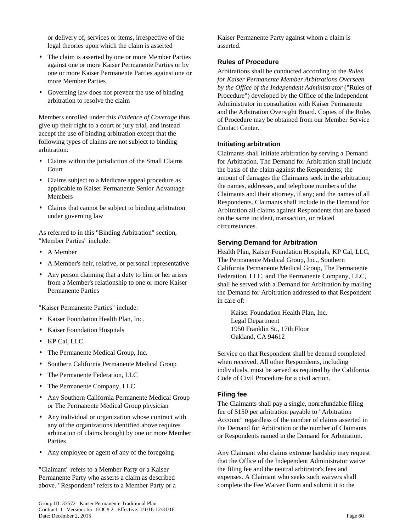or delivery of, services or items, irrespective of the legal theories upon which the claim is asserted

- The claim is asserted by one or more Member Parties against one or more Kaiser Permanente Parties or by one or more Kaiser Permanente Parties against one or more Member Parties
- Governing law does not prevent the use of binding arbitration to resolve the claim

Members enrolled under this *Evidence of Coverage* thus give up their right to a court or jury trial, and instead accept the use of binding arbitration except that the following types of claims are not subject to binding arbitration:

- Claims within the jurisdiction of the Small Claims Court
- Claims subject to a Medicare appeal procedure as applicable to Kaiser Permanente Senior Advantage Members
- Claims that cannot be subject to binding arbitration under governing law

As referred to in this "Binding Arbitration" section, "Member Parties" include:

- A Member
- A Member's heir, relative, or personal representative
- Any person claiming that a duty to him or her arises from a Member's relationship to one or more Kaiser Permanente Parties

"Kaiser Permanente Parties" include:

- Kaiser Foundation Health Plan, Inc.
- Kaiser Foundation Hospitals
- KP Cal, LLC
- The Permanente Medical Group, Inc.
- Southern California Permanente Medical Group
- The Permanente Federation, LLC
- The Permanente Company, LLC
- Any Southern California Permanente Medical Group or The Permanente Medical Group physician
- Any individual or organization whose contract with any of the organizations identified above requires arbitration of claims brought by one or more Member Parties
- Any employee or agent of any of the foregoing

"Claimant" refers to a Member Party or a Kaiser Permanente Party who asserts a claim as described above. "Respondent" refers to a Member Party or a Kaiser Permanente Party against whom a claim is asserted.

#### **Rules of Procedure**

Arbitrations shall be conducted according to the *Rules for Kaiser Permanente Member Arbitrations Overseen by the Office of the Independent Administrator* ("Rules of Procedure") developed by the Office of the Independent Administrator in consultation with Kaiser Permanente and the Arbitration Oversight Board. Copies of the Rules of Procedure may be obtained from our Member Service Contact Center.

#### **Initiating arbitration**

Claimants shall initiate arbitration by serving a Demand for Arbitration. The Demand for Arbitration shall include the basis of the claim against the Respondents; the amount of damages the Claimants seek in the arbitration; the names, addresses, and telephone numbers of the Claimants and their attorney, if any; and the names of all Respondents. Claimants shall include in the Demand for Arbitration all claims against Respondents that are based on the same incident, transaction, or related circumstances.

### **Serving Demand for Arbitration**

Health Plan, Kaiser Foundation Hospitals, KP Cal, LLC, The Permanente Medical Group, Inc., Southern California Permanente Medical Group, The Permanente Federation, LLC, and The Permanente Company, LLC, shall be served with a Demand for Arbitration by mailing the Demand for Arbitration addressed to that Respondent in care of:

Kaiser Foundation Health Plan, Inc. Legal Department 1950 Franklin St., 17th Floor Oakland, CA 94612

Service on that Respondent shall be deemed completed when received. All other Respondents, including individuals, must be served as required by the California Code of Civil Procedure for a civil action.

### **Filing fee**

The Claimants shall pay a single, nonrefundable filing fee of \$150 per arbitration payable to "Arbitration Account" regardless of the number of claims asserted in the Demand for Arbitration or the number of Claimants or Respondents named in the Demand for Arbitration.

Any Claimant who claims extreme hardship may request that the Office of the Independent Administrator waive the filing fee and the neutral arbitrator's fees and expenses. A Claimant who seeks such waivers shall complete the Fee Waiver Form and submit it to the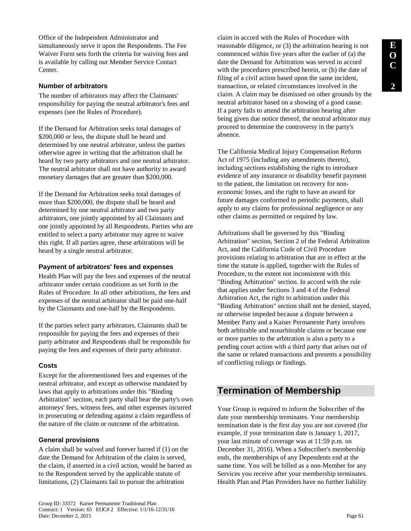Office of the Independent Administrator and simultaneously serve it upon the Respondents. The Fee Waiver Form sets forth the criteria for waiving fees and is available by calling our Member Service Contact Center.

### **Number of arbitrators**

The number of arbitrators may affect the Claimants' responsibility for paying the neutral arbitrator's fees and expenses (see the Rules of Procedure).

If the Demand for Arbitration seeks total damages of \$200,000 or less, the dispute shall be heard and determined by one neutral arbitrator, unless the parties otherwise agree in writing that the arbitration shall be heard by two party arbitrators and one neutral arbitrator. The neutral arbitrator shall not have authority to award monetary damages that are greater than \$200,000.

If the Demand for Arbitration seeks total damages of more than \$200,000, the dispute shall be heard and determined by one neutral arbitrator and two party arbitrators, one jointly appointed by all Claimants and one jointly appointed by all Respondents. Parties who are entitled to select a party arbitrator may agree to waive this right. If all parties agree, these arbitrations will be heard by a single neutral arbitrator.

### **Payment of arbitrators' fees and expenses**

Health Plan will pay the fees and expenses of the neutral arbitrator under certain conditions as set forth in the Rules of Procedure. In all other arbitrations, the fees and expenses of the neutral arbitrator shall be paid one-half by the Claimants and one-half by the Respondents.

If the parties select party arbitrators, Claimants shall be responsible for paying the fees and expenses of their party arbitrator and Respondents shall be responsible for paying the fees and expenses of their party arbitrator.

### **Costs**

Except for the aforementioned fees and expenses of the neutral arbitrator, and except as otherwise mandated by laws that apply to arbitrations under this "Binding Arbitration" section, each party shall bear the party's own attorneys' fees, witness fees, and other expenses incurred in prosecuting or defending against a claim regardless of the nature of the claim or outcome of the arbitration.

## **General provisions**

A claim shall be waived and forever barred if (1) on the date the Demand for Arbitration of the claim is served, the claim, if asserted in a civil action, would be barred as to the Respondent served by the applicable statute of limitations, (2) Claimants fail to pursue the arbitration

claim in accord with the Rules of Procedure with reasonable diligence, or (3) the arbitration hearing is not commenced within five years after the earlier of (a) the date the Demand for Arbitration was served in accord with the procedures prescribed herein, or (b) the date of filing of a civil action based upon the same incident, transaction, or related circumstances involved in the claim. A claim may be dismissed on other grounds by the neutral arbitrator based on a showing of a good cause. If a party fails to attend the arbitration hearing after being given due notice thereof, the neutral arbitrator may proceed to determine the controversy in the party's absence.

The California Medical Injury Compensation Reform Act of 1975 (including any amendments thereto), including sections establishing the right to introduce evidence of any insurance or disability benefit payment to the patient, the limitation on recovery for noneconomic losses, and the right to have an award for future damages conformed to periodic payments, shall apply to any claims for professional negligence or any other claims as permitted or required by law.

Arbitrations shall be governed by this "Binding Arbitration" section, Section 2 of the Federal Arbitration Act, and the California Code of Civil Procedure provisions relating to arbitration that are in effect at the time the statute is applied, together with the Rules of Procedure, to the extent not inconsistent with this "Binding Arbitration" section. In accord with the rule that applies under Sections 3 and 4 of the Federal Arbitration Act, the right to arbitration under this "Binding Arbitration" section shall not be denied, stayed, or otherwise impeded because a dispute between a Member Party and a Kaiser Permanente Party involves both arbitrable and nonarbitrable claims or because one or more parties to the arbitration is also a party to a pending court action with a third party that arises out of the same or related transactions and presents a possibility of conflicting rulings or findings.

# **Termination of Membership**

Your Group is required to inform the Subscriber of the date your membership terminates. Your membership termination date is the first day you are not covered (for example, if your termination date is January 1, 2017, your last minute of coverage was at 11:59 p.m. on December 31, 2016). When a Subscriber's membership ends, the memberships of any Dependents end at the same time. You will be billed as a non-Member for any Services you receive after your membership terminates. Health Plan and Plan Providers have no further liability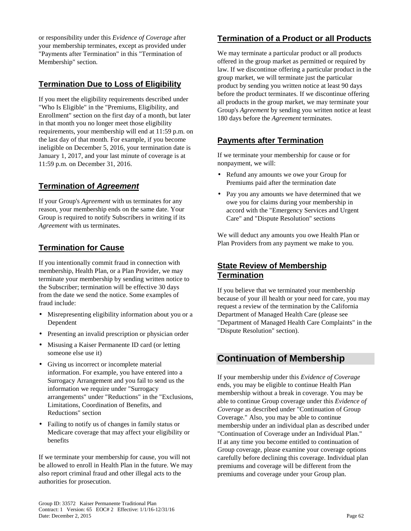or responsibility under this *Evidence of Coverage* after your membership terminates, except as provided under "Payments after Termination" in this "Termination of Membership" section.

# **Termination Due to Loss of Eligibility**

If you meet the eligibility requirements described under "Who Is Eligible" in the "Premiums, Eligibility, and Enrollment" section on the first day of a month, but later in that month you no longer meet those eligibility requirements, your membership will end at 11:59 p.m. on the last day of that month. For example, if you become ineligible on December 5, 2016, your termination date is January 1, 2017, and your last minute of coverage is at 11:59 p.m. on December 31, 2016.

# **Termination of Agreement**

If your Group's *Agreement* with us terminates for any reason, your membership ends on the same date. Your Group is required to notify Subscribers in writing if its *Agreement* with us terminates.

# **Termination for Cause**

If you intentionally commit fraud in connection with membership, Health Plan, or a Plan Provider, we may terminate your membership by sending written notice to the Subscriber; termination will be effective 30 days from the date we send the notice. Some examples of fraud include:

- Misrepresenting eligibility information about you or a Dependent
- Presenting an invalid prescription or physician order
- Misusing a Kaiser Permanente ID card (or letting someone else use it)
- Giving us incorrect or incomplete material information. For example, you have entered into a Surrogacy Arrangement and you fail to send us the information we require under "Surrogacy arrangements" under "Reductions" in the "Exclusions, Limitations, Coordination of Benefits, and Reductions" section
- Failing to notify us of changes in family status or Medicare coverage that may affect your eligibility or benefits

If we terminate your membership for cause, you will not be allowed to enroll in Health Plan in the future. We may also report criminal fraud and other illegal acts to the authorities for prosecution.

# **Termination of a Product or all Products**

We may terminate a particular product or all products offered in the group market as permitted or required by law. If we discontinue offering a particular product in the group market, we will terminate just the particular product by sending you written notice at least 90 days before the product terminates. If we discontinue offering all products in the group market, we may terminate your Group's *Agreement* by sending you written notice at least 180 days before the *Agreement* terminates.

# **Payments after Termination**

If we terminate your membership for cause or for nonpayment, we will:

- Refund any amounts we owe your Group for Premiums paid after the termination date
- Pay you any amounts we have determined that we owe you for claims during your membership in accord with the "Emergency Services and Urgent Care" and "Dispute Resolution" sections

We will deduct any amounts you owe Health Plan or Plan Providers from any payment we make to you.

## **State Review of Membership Termination**

If you believe that we terminated your membership because of your ill health or your need for care, you may request a review of the termination by the California Department of Managed Health Care (please see "Department of Managed Health Care Complaints" in the "Dispute Resolution" section).

# **Continuation of Membership**

If your membership under this *Evidence of Coverage* ends, you may be eligible to continue Health Plan membership without a break in coverage. You may be able to continue Group coverage under this *Evidence of Coverage* as described under "Continuation of Group Coverage." Also, you may be able to continue membership under an individual plan as described under "Continuation of Coverage under an Individual Plan." If at any time you become entitled to continuation of Group coverage, please examine your coverage options carefully before declining this coverage. Individual plan premiums and coverage will be different from the premiums and coverage under your Group plan.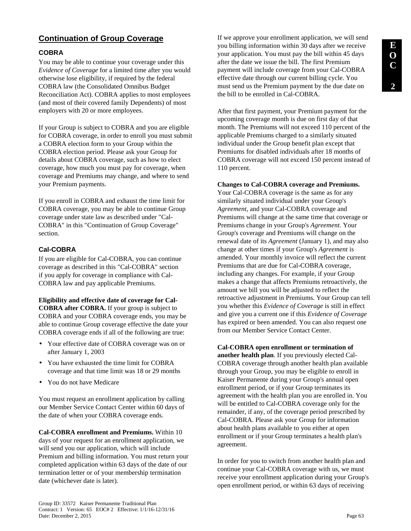# **E O C 2**

# **Continuation of Group Coverage**

### **COBRA**

You may be able to continue your coverage under this *Evidence of Coverage* for a limited time after you would otherwise lose eligibility, if required by the federal COBRA law (the Consolidated Omnibus Budget Reconciliation Act). COBRA applies to most employees (and most of their covered family Dependents) of most employers with 20 or more employees.

If your Group is subject to COBRA and you are eligible for COBRA coverage, in order to enroll you must submit a COBRA election form to your Group within the COBRA election period. Please ask your Group for details about COBRA coverage, such as how to elect coverage, how much you must pay for coverage, when coverage and Premiums may change, and where to send your Premium payments.

If you enroll in COBRA and exhaust the time limit for COBRA coverage, you may be able to continue Group coverage under state law as described under "Cal-COBRA" in this "Continuation of Group Coverage" section.

## **Cal-COBRA**

If you are eligible for Cal-COBRA, you can continue coverage as described in this "Cal-COBRA" section if you apply for coverage in compliance with Cal-COBRA law and pay applicable Premiums.

# **Eligibility and effective date of coverage for Cal-COBRA after COBRA.** If your group is subject to

COBRA and your COBRA coverage ends, you may be able to continue Group coverage effective the date your COBRA coverage ends if all of the following are true:

- Your effective date of COBRA coverage was on or after January 1, 2003
- You have exhausted the time limit for COBRA coverage and that time limit was 18 or 29 months
- You do not have Medicare

You must request an enrollment application by calling our Member Service Contact Center within 60 days of the date of when your COBRA coverage ends.

**Cal-COBRA enrollment and Premiums.** Within 10 days of your request for an enrollment application, we will send you our application, which will include Premium and billing information. You must return your completed application within 63 days of the date of our termination letter or of your membership termination date (whichever date is later).

If we approve your enrollment application, we will send you billing information within 30 days after we receive your application. You must pay the bill within 45 days after the date we issue the bill. The first Premium payment will include coverage from your Cal-COBRA effective date through our current billing cycle. You must send us the Premium payment by the due date on the bill to be enrolled in Cal-COBRA.

After that first payment, your Premium payment for the upcoming coverage month is due on first day of that month. The Premiums will not exceed 110 percent of the applicable Premiums charged to a similarly situated individual under the Group benefit plan except that Premiums for disabled individuals after 18 months of COBRA coverage will not exceed 150 percent instead of 110 percent.

#### **Changes to Cal-COBRA coverage and Premiums.**

Your Cal-COBRA coverage is the same as for any similarly situated individual under your Group's *Agreement*, and your Cal-COBRA coverage and Premiums will change at the same time that coverage or Premiums change in your Group's *Agreement*. Your Group's coverage and Premiums will change on the renewal date of its *Agreement* (January 1), and may also change at other times if your Group's *Agreement* is amended. Your monthly invoice will reflect the current Premiums that are due for Cal-COBRA coverage, including any changes. For example, if your Group makes a change that affects Premiums retroactively, the amount we bill you will be adjusted to reflect the retroactive adjustment in Premiums. Your Group can tell you whether this *Evidence of Coverage* is still in effect and give you a current one if this *Evidence of Coverage* has expired or been amended. You can also request one from our Member Service Contact Center.

**Cal-COBRA open enrollment or termination of another health plan**. If you previously elected Cal-COBRA coverage through another health plan available through your Group, you may be eligible to enroll in Kaiser Permanente during your Group's annual open enrollment period, or if your Group terminates its agreement with the health plan you are enrolled in. You will be entitled to Cal-COBRA coverage only for the remainder, if any, of the coverage period prescribed by Cal-COBRA. Please ask your Group for information about health plans available to you either at open enrollment or if your Group terminates a health plan's agreement.

In order for you to switch from another health plan and continue your Cal-COBRA coverage with us, we must receive your enrollment application during your Group's open enrollment period, or within 63 days of receiving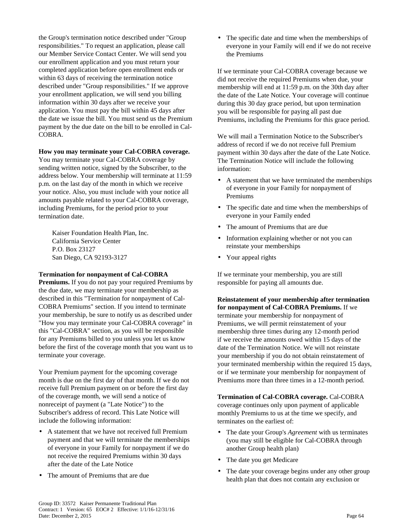the Group's termination notice described under "Group responsibilities." To request an application, please call our Member Service Contact Center. We will send you our enrollment application and you must return your completed application before open enrollment ends or within 63 days of receiving the termination notice described under "Group responsibilities." If we approve your enrollment application, we will send you billing information within 30 days after we receive your application. You must pay the bill within 45 days after the date we issue the bill. You must send us the Premium payment by the due date on the bill to be enrolled in Cal-COBRA.

#### **How you may terminate your Cal-COBRA coverage.**

You may terminate your Cal-COBRA coverage by sending written notice, signed by the Subscriber, to the address below. Your membership will terminate at 11:59 p.m. on the last day of the month in which we receive your notice. Also, you must include with your notice all amounts payable related to your Cal-COBRA coverage, including Premiums, for the period prior to your termination date.

Kaiser Foundation Health Plan, Inc. California Service Center P.O. Box 23127 San Diego, CA 92193-3127

#### **Termination for nonpayment of Cal-COBRA**

**Premiums.** If you do not pay your required Premiums by the due date, we may terminate your membership as described in this "Termination for nonpayment of Cal-COBRA Premiums" section. If you intend to terminate your membership, be sure to notify us as described under "How you may terminate your Cal-COBRA coverage" in this "Cal-COBRA" section, as you will be responsible for any Premiums billed to you unless you let us know before the first of the coverage month that you want us to terminate your coverage.

Your Premium payment for the upcoming coverage month is due on the first day of that month. If we do not receive full Premium payment on or before the first day of the coverage month, we will send a notice of nonreceipt of payment (a "Late Notice") to the Subscriber's address of record. This Late Notice will include the following information:

- A statement that we have not received full Premium payment and that we will terminate the memberships of everyone in your Family for nonpayment if we do not receive the required Premiums within 30 days after the date of the Late Notice
- The amount of Premiums that are due

• The specific date and time when the memberships of everyone in your Family will end if we do not receive the Premiums

If we terminate your Cal-COBRA coverage because we did not receive the required Premiums when due, your membership will end at 11:59 p.m. on the 30th day after the date of the Late Notice. Your coverage will continue during this 30 day grace period, but upon termination you will be responsible for paying all past due Premiums, including the Premiums for this grace period.

We will mail a Termination Notice to the Subscriber's address of record if we do not receive full Premium payment within 30 days after the date of the Late Notice. The Termination Notice will include the following information:

- A statement that we have terminated the memberships of everyone in your Family for nonpayment of Premiums
- The specific date and time when the memberships of everyone in your Family ended
- The amount of Premiums that are due
- Information explaining whether or not you can reinstate your memberships
- Your appeal rights

If we terminate your membership, you are still responsible for paying all amounts due.

**Reinstatement of your membership after termination for nonpayment of Cal-COBRA Premiums.** If we terminate your membership for nonpayment of Premiums, we will permit reinstatement of your membership three times during any 12-month period if we receive the amounts owed within 15 days of the date of the Termination Notice. We will not reinstate your membership if you do not obtain reinstatement of your terminated membership within the required 15 days, or if we terminate your membership for nonpayment of Premiums more than three times in a 12-month period.

**Termination of Cal-COBRA coverage.** Cal-COBRA coverage continues only upon payment of applicable monthly Premiums to us at the time we specify, and terminates on the earliest of:

- The date your Group's *Agreement* with us terminates (you may still be eligible for Cal-COBRA through another Group health plan)
- The date you get Medicare
- The date your coverage begins under any other group health plan that does not contain any exclusion or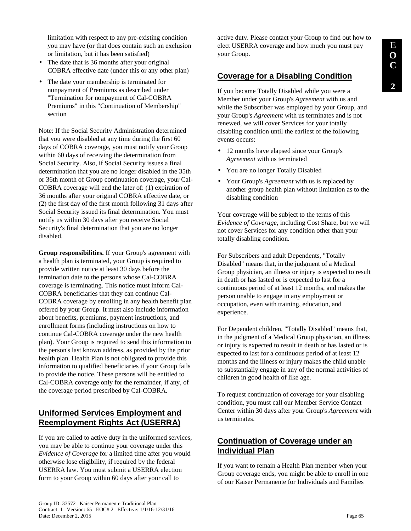limitation with respect to any pre-existing condition you may have (or that does contain such an exclusion or limitation, but it has been satisfied)

- The date that is 36 months after your original COBRA effective date (under this or any other plan)
- The date your membership is terminated for nonpayment of Premiums as described under "Termination for nonpayment of Cal-COBRA Premiums" in this "Continuation of Membership" section

Note: If the Social Security Administration determined that you were disabled at any time during the first 60 days of COBRA coverage, you must notify your Group within 60 days of receiving the determination from Social Security. Also, if Social Security issues a final determination that you are no longer disabled in the 35th or 36th month of Group continuation coverage, your Cal-COBRA coverage will end the later of: (1) expiration of 36 months after your original COBRA effective date, or (2) the first day of the first month following 31 days after Social Security issued its final determination. You must notify us within 30 days after you receive Social Security's final determination that you are no longer disabled.

**Group responsibilities.** If your Group's agreement with a health plan is terminated, your Group is required to provide written notice at least 30 days before the termination date to the persons whose Cal-COBRA coverage is terminating. This notice must inform Cal-COBRA beneficiaries that they can continue Cal-COBRA coverage by enrolling in any health benefit plan offered by your Group. It must also include information about benefits, premiums, payment instructions, and enrollment forms (including instructions on how to continue Cal-COBRA coverage under the new health plan). Your Group is required to send this information to the person's last known address, as provided by the prior health plan. Health Plan is not obligated to provide this information to qualified beneficiaries if your Group fails to provide the notice. These persons will be entitled to Cal-COBRA coverage only for the remainder, if any, of the coverage period prescribed by Cal-COBRA.

# **Uniformed Services Employment and Reemployment Rights Act (USERRA)**

If you are called to active duty in the uniformed services, you may be able to continue your coverage under this *Evidence of Coverage* for a limited time after you would otherwise lose eligibility, if required by the federal USERRA law. You must submit a USERRA election form to your Group within 60 days after your call to

active duty. Please contact your Group to find out how to elect USERRA coverage and how much you must pay your Group.

## **Coverage for a Disabling Condition**

If you became Totally Disabled while you were a Member under your Group's *Agreement* with us and while the Subscriber was employed by your Group, and your Group's *Agreement* with us terminates and is not renewed, we will cover Services for your totally disabling condition until the earliest of the following events occurs:

- 12 months have elapsed since your Group's *Agreement* with us terminated
- You are no longer Totally Disabled
- Your Group's *Agreement* with us is replaced by another group health plan without limitation as to the disabling condition

Your coverage will be subject to the terms of this *Evidence of Coverage,* including Cost Share, but we will not cover Services for any condition other than your totally disabling condition.

For Subscribers and adult Dependents, "Totally Disabled" means that, in the judgment of a Medical Group physician, an illness or injury is expected to result in death or has lasted or is expected to last for a continuous period of at least 12 months, and makes the person unable to engage in any employment or occupation, even with training, education, and experience.

For Dependent children, "Totally Disabled" means that, in the judgment of a Medical Group physician, an illness or injury is expected to result in death or has lasted or is expected to last for a continuous period of at least 12 months and the illness or injury makes the child unable to substantially engage in any of the normal activities of children in good health of like age.

To request continuation of coverage for your disabling condition, you must call our Member Service Contact Center within 30 days after your Group's *Agreement* with us terminates.

# **Continuation of Coverage under an Individual Plan**

If you want to remain a Health Plan member when your Group coverage ends, you might be able to enroll in one of our Kaiser Permanente for Individuals and Families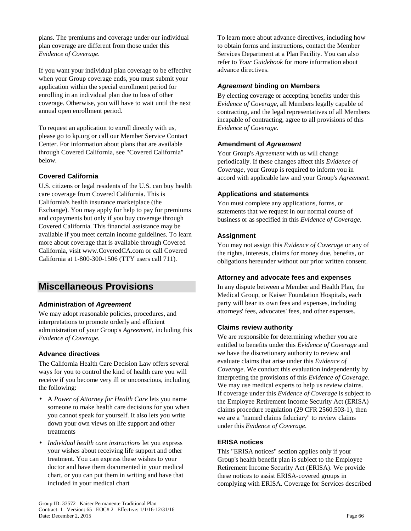plans. The premiums and coverage under our individual plan coverage are different from those under this *Evidence of Coverage*.

If you want your individual plan coverage to be effective when your Group coverage ends, you must submit your application within the special enrollment period for enrolling in an individual plan due to loss of other coverage. Otherwise, you will have to wait until the next annual open enrollment period.

To request an application to enroll directly with us, please go to kp.org or call our Member Service Contact Center. For information about plans that are available through Covered California, see "Covered California" below.

### **Covered California**

U.S. citizens or legal residents of the U.S. can buy health care coverage from Covered California. This is California's health insurance marketplace (the Exchange). You may apply for help to pay for premiums and copayments but only if you buy coverage through Covered California. This financial assistance may be available if you meet certain income guidelines. To learn more about coverage that is available through Covered California, visit www.CoveredCA.com or call Covered California at 1-800-300-1506 (TTY users call 711).

# **Miscellaneous Provisions**

### **Administration of Agreement**

We may adopt reasonable policies, procedures, and interpretations to promote orderly and efficient administration of your Group's *Agreement,* including this *Evidence of Coverage.*

### **Advance directives**

The California Health Care Decision Law offers several ways for you to control the kind of health care you will receive if you become very ill or unconscious, including the following:

- A *Power of Attorney for Health Care* lets you name someone to make health care decisions for you when you cannot speak for yourself. It also lets you write down your own views on life support and other treatments
- *Individual health care instructions* let you express your wishes about receiving life support and other treatment. You can express these wishes to your doctor and have them documented in your medical chart, or you can put them in writing and have that included in your medical chart

To learn more about advance directives, including how to obtain forms and instructions, contact the Member Services Department at a Plan Facility. You can also refer to *Your Guidebook* for more information about advance directives.

### **Agreement binding on Members**

By electing coverage or accepting benefits under this *Evidence of Coverage*, all Members legally capable of contracting, and the legal representatives of all Members incapable of contracting, agree to all provisions of this *Evidence of Coverage*.

### **Amendment of Agreement**

Your Group's *Agreement* with us will change periodically. If these changes affect this *Evidence of Coverage*, your Group is required to inform you in accord with applicable law and your Group's *Agreement.*

### **Applications and statements**

You must complete any applications, forms, or statements that we request in our normal course of business or as specified in this *Evidence of Coverage*.

### **Assignment**

You may not assign this *Evidence of Coverage* or any of the rights, interests, claims for money due, benefits, or obligations hereunder without our prior written consent.

### **Attorney and advocate fees and expenses**

In any dispute between a Member and Health Plan, the Medical Group, or Kaiser Foundation Hospitals, each party will bear its own fees and expenses, including attorneys' fees, advocates' fees, and other expenses.

### **Claims review authority**

We are responsible for determining whether you are entitled to benefits under this *Evidence of Coverage* and we have the discretionary authority to review and evaluate claims that arise under this *Evidence of Coverage*. We conduct this evaluation independently by interpreting the provisions of this *Evidence of Coverage*. We may use medical experts to help us review claims. If coverage under this *Evidence of Coverage* is subject to the Employee Retirement Income Security Act (ERISA) claims procedure regulation (29 CFR 2560.503-1), then we are a "named claims fiduciary" to review claims under this *Evidence of Coverage*.

### **ERISA notices**

This "ERISA notices" section applies only if your Group's health benefit plan is subject to the Employee Retirement Income Security Act (ERISA). We provide these notices to assist ERISA-covered groups in complying with ERISA. Coverage for Services described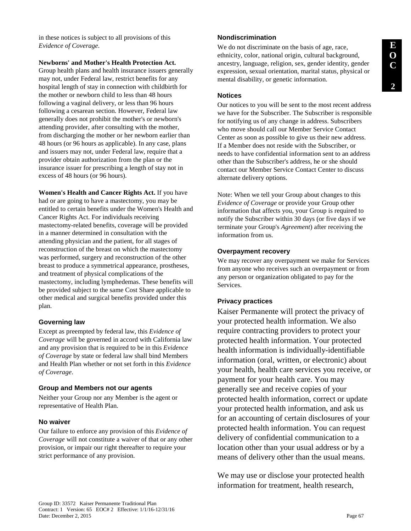in these notices is subject to all provisions of this *Evidence of Coverage*.

**Newborns' and Mother's Health Protection Act.** 

Group health plans and health insurance issuers generally may not, under Federal law, restrict benefits for any hospital length of stay in connection with childbirth for the mother or newborn child to less than 48 hours following a vaginal delivery, or less than 96 hours following a cesarean section. However, Federal law generally does not prohibit the mother's or newborn's attending provider, after consulting with the mother, from discharging the mother or her newborn earlier than 48 hours (or 96 hours as applicable). In any case, plans and issuers may not, under Federal law, require that a provider obtain authorization from the plan or the insurance issuer for prescribing a length of stay not in excess of 48 hours (or 96 hours).

**Women's Health and Cancer Rights Act.** If you have had or are going to have a mastectomy, you may be entitled to certain benefits under the Women's Health and Cancer Rights Act. For individuals receiving mastectomy-related benefits, coverage will be provided in a manner determined in consultation with the attending physician and the patient, for all stages of reconstruction of the breast on which the mastectomy was performed, surgery and reconstruction of the other breast to produce a symmetrical appearance, prostheses, and treatment of physical complications of the mastectomy, including lymphedemas. These benefits will be provided subject to the same Cost Share applicable to other medical and surgical benefits provided under this plan.

#### **Governing law**

Except as preempted by federal law, this *Evidence of Coverage* will be governed in accord with California law and any provision that is required to be in this *Evidence of Coverage* by state or federal law shall bind Members and Health Plan whether or not set forth in this *Evidence of Coverage*.

#### **Group and Members not our agents**

Neither your Group nor any Member is the agent or representative of Health Plan.

#### **No waiver**

Our failure to enforce any provision of this *Evidence of Coverage* will not constitute a waiver of that or any other provision, or impair our right thereafter to require your strict performance of any provision.

#### **Nondiscrimination**

We do not discriminate on the basis of age, race, ethnicity, color, national origin, cultural background, ancestry, language, religion, sex, gender identity, gender expression, sexual orientation, marital status, physical or mental disability, or genetic information.

#### **Notices**

Our notices to you will be sent to the most recent address we have for the Subscriber. The Subscriber is responsible for notifying us of any change in address. Subscribers who move should call our Member Service Contact Center as soon as possible to give us their new address. If a Member does not reside with the Subscriber, or needs to have confidential information sent to an address other than the Subscriber's address, he or she should contact our Member Service Contact Center to discuss alternate delivery options.

Note: When we tell your Group about changes to this *Evidence of Coverage* or provide your Group other information that affects you, your Group is required to notify the Subscriber within 30 days (or five days if we terminate your Group's *Agreement*) after receiving the information from us.

#### **Overpayment recovery**

We may recover any overpayment we make for Services from anyone who receives such an overpayment or from any person or organization obligated to pay for the Services.

#### **Privacy practices**

Kaiser Permanente will protect the privacy of your protected health information. We also require contracting providers to protect your protected health information. Your protected health information is individually-identifiable information (oral, written, or electronic) about your health, health care services you receive, or payment for your health care. You may generally see and receive copies of your protected health information, correct or update your protected health information, and ask us for an accounting of certain disclosures of your protected health information. You can request delivery of confidential communication to a location other than your usual address or by a means of delivery other than the usual means.

We may use or disclose your protected health information for treatment, health research,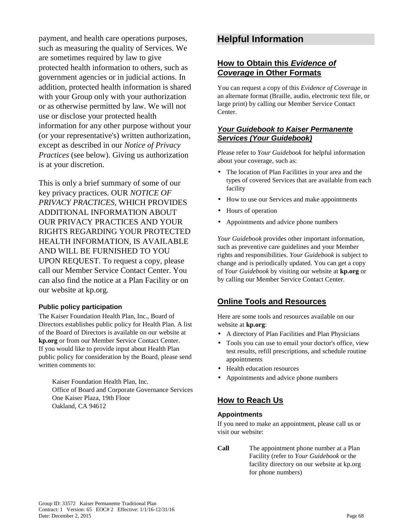payment, and health care operations purposes, such as measuring the quality of Services. We are sometimes required by law to give protected health information to others, such as government agencies or in judicial actions. In addition, protected health information is shared with your Group only with your authorization or as otherwise permitted by law. We will not use or disclose your protected health information for any other purpose without your (or your representative's) written authorization, except as described in our *Notice of Privacy Practices* (see below). Giving us authorization is at your discretion.

This is only a brief summary of some of our key privacy practices. OUR *NOTICE OF PRIVACY PRACTICES*, WHICH PROVIDES ADDITIONAL INFORMATION ABOUT OUR PRIVACY PRACTICES AND YOUR RIGHTS REGARDING YOUR PROTECTED HEALTH INFORMATION, IS AVAILABLE AND WILL BE FURNISHED TO YOU UPON REQUEST. To request a copy, please call our Member Service Contact Center. You can also find the notice at a Plan Facility or on our website at kp.org*.* 

#### **Public policy participation**

The Kaiser Foundation Health Plan, Inc., Board of Directors establishes public policy for Health Plan. A list of the Board of Directors is available on our website at **kp.org** or from our Member Service Contact Center. If you would like to provide input about Health Plan public policy for consideration by the Board, please send written comments to:

Kaiser Foundation Health Plan, Inc. Office of Board and Corporate Governance Services One Kaiser Plaza, 19th Floor Oakland, CA 94612

# **Helpful Information**

## **How to Obtain this Evidence of Coverage in Other Formats**

You can request a copy of this *Evidence of Coverage* in an alternate format (Braille, audio, electronic text file, or large print) by calling our Member Service Contact Center.

## **Your Guidebook to Kaiser Permanente Services (Your Guidebook)**

Please refer to *Your Guidebook* for helpful information about your coverage, such as:

- The location of Plan Facilities in your area and the types of covered Services that are available from each facility
- How to use our Services and make appointments
- Hours of operation
- Appointments and advice phone numbers

*Your Guidebook* provides other important information, such as preventive care guidelines and your Member rights and responsibilities. *Your Guidebook* is subject to change and is periodically updated. You can get a copy of *Your Guidebook* by visiting our website at **kp.org** or by calling our Member Service Contact Center.

## **Online Tools and Resources**

Here are some tools and resources available on our website at **kp.org**:

- A directory of Plan Facilities and Plan Physicians
- Tools you can use to email your doctor's office, view test results, refill prescriptions, and schedule routine appointments
- Health education resources
- Appointments and advice phone numbers

## **How to Reach Us**

#### **Appointments**

If you need to make an appointment, please call us or visit our website:

**Call** The appointment phone number at a Plan Facility (refer to *Your Guidebook* or the facility directory on our website at kp.org for phone numbers)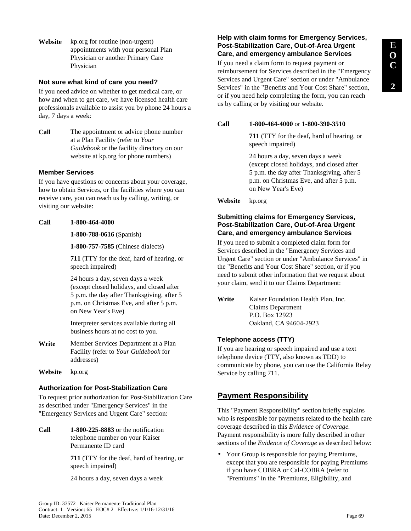**Website** kp.org for routine (non-urgent) appointments with your personal Plan Physician or another Primary Care Physician

# **Not sure what kind of care you need?**

If you need advice on whether to get medical care, or how and when to get care, we have licensed health care professionals available to assist you by phone 24 hours a day, 7 days a week:

**Call** The appointment or advice phone number at a Plan Facility (refer to *Your Guidebook* or the facility directory on our website at kp.org for phone numbers)

## **Member Services**

If you have questions or concerns about your coverage, how to obtain Services, or the facilities where you can receive care, you can reach us by calling, writing, or visiting our website:

#### **Call 1-800-464-4000**

**1-800-788-0616** (Spanish)

**1-800-757-7585** (Chinese dialects)

**711** (TTY for the deaf, hard of hearing, or speech impaired)

24 hours a day, seven days a week (except closed holidays, and closed after 5 p.m. the day after Thanksgiving, after 5 p.m. on Christmas Eve, and after 5 p.m. on New Year's Eve)

Interpreter services available during all business hours at no cost to you.

- **Write** Member Services Department at a Plan Facility (refer to *Your Guidebook* for addresses)
- **Website** kp.org

# **Authorization for Post-Stabilization Care**

To request prior authorization for Post-Stabilization Care as described under "Emergency Services" in the "Emergency Services and Urgent Care" section:

**Call 1-800-225-8883** or the notification telephone number on your Kaiser Permanente ID card

> **711** (TTY for the deaf, hard of hearing, or speech impaired)

24 hours a day, seven days a week

# **Help with claim forms for Emergency Services, Post-Stabilization Care, Out-of-Area Urgent Care, and emergency ambulance Services**

If you need a claim form to request payment or reimbursement for Services described in the "Emergency Services and Urgent Care" section or under "Ambulance Services" in the "Benefits and Your Cost Share" section, or if you need help completing the form, you can reach us by calling or by visiting our website.

## **Call 1-800-464-4000** or **1-800-390-3510**

**711** (TTY for the deaf, hard of hearing, or speech impaired)

24 hours a day, seven days a week (except closed holidays, and closed after 5 p.m. the day after Thanksgiving, after 5 p.m. on Christmas Eve, and after 5 p.m. on New Year's Eve)

**Website** kp.org

# **Submitting claims for Emergency Services, Post-Stabilization Care, Out-of-Area Urgent Care, and emergency ambulance Services**

If you need to submit a completed claim form for Services described in the "Emergency Services and Urgent Care" section or under "Ambulance Services" in the "Benefits and Your Cost Share" section, or if you need to submit other information that we request about your claim, send it to our Claims Department:

# **Telephone access (TTY)**

If you are hearing or speech impaired and use a text telephone device (TTY, also known as TDD) to communicate by phone, you can use the California Relay Service by calling 711.

# **Payment Responsibility**

This "Payment Responsibility" section briefly explains who is responsible for payments related to the health care coverage described in this *Evidence of Coverage.*  Payment responsibility is more fully described in other sections of the *Evidence of Coverage* as described below:

• Your Group is responsible for paying Premiums, except that you are responsible for paying Premiums if you have COBRA or Cal-COBRA (refer to "Premiums" in the "Premiums, Eligibility, and

**Write** Kaiser Foundation Health Plan, Inc. Claims Department P.O. Box 12923 Oakland, CA 94604-2923